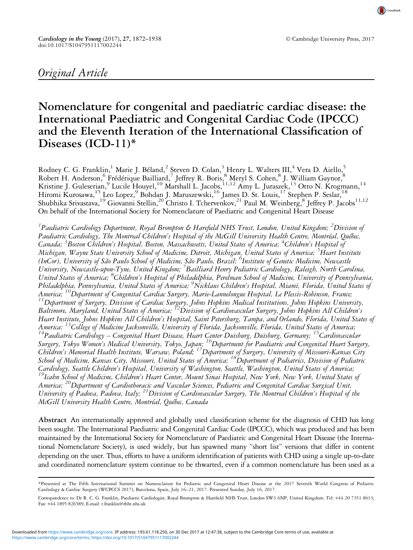# Original Article

CrossMark

# Nomenclature for congenital and paediatric cardiac disease: the International Paediatric and Congenital Cardiac Code (IPCCC) and the Eleventh Iteration of the International Classification of Diseases (ICD-11)\*

Rodney C. G. Franklin,<sup>1</sup> Marie J. Béland,<sup>2</sup> Steven D. Colan,<sup>3</sup> Henry L. Walters III,<sup>4</sup> Vera D. Aiello,<sup>5</sup> Robert H. Anderson, <sup>6</sup> Frédérique Bailliard,<sup>7</sup> Jeffrey R. Boris, <sup>8</sup> Meryl S. Cohen, <sup>8</sup> J. William Gaynor, <sup>8</sup> Kristine J. Guleserian,<sup>9</sup> Lucile Houyel,<sup>10</sup> Marshall L. Jacobs,<sup>11,12</sup> Amy L. Juraszek,<sup>13</sup> Otto N. Krogmann,<sup>14</sup> Hiromi Kurosawa,<sup>15</sup> Leo Lopez,<sup>9</sup> Bohdan J. Maruszewski,<sup>16</sup> James D. St. Louis,<sup>17</sup> Stephen P. Seslar,<sup>18</sup> Shubhika Srivastava,<sup>19</sup> Giovanni Stellin,<sup>20</sup> Christo I. Tchervenkov,<sup>21</sup> Paul M. Weinberg,<sup>8</sup> Jeffrey P. Jacobs<sup>11,12</sup> On behalf of the International Society for Nomenclature of Paediatric and Congenital Heart Disease

<sup>1</sup>Paediatric Cardiology Department, Royal Brompton & Harefield NHS Trust, London, United Kingdom; <sup>2</sup>Division of Paediatric Cardiology, The Montreal Children's Hospital of the McGill University Health Centre, Montréal, Québec, Canada; <sup>3</sup>Boston Children's Hospital, Boston, Massachusetts, United States of America; <sup>4</sup>Children's Hospital of Michigan, Wayne State University School of Medicine, Detroit, Michigan, United States of America; <sup>5</sup>Heart Institute (InCor), University of São Paulo School of Medicine, São Paulo, Brazil; <sup>6</sup>Institute of Genetic Medicine, Newcastle University, Newcastle-upon-Tyne, United Kingdom; <sup>7</sup> Bailliard Henry Pediatric Cardiology, Raleigh, North Carolina, United States of America; <sup>8</sup>Children's Hospital of Philadelphia, Perelman School of Medicine, University of Pennsylvania, Philadelphia, Pennsylvania, United States of America; <sup>9</sup>Nicklaus Children's Hospital, Miami, Florida, United States of America; <sup>10</sup>Department of Congenital Cardiac Surgery, Marie-Lannelongue Hospital, Le Plessis-Robinson, France;<br><sup>11</sup>Department of Surgery, Division of Cardiac Surgery, Johns Hopkins Medical Institutions, Johns Hopkins Univ Baltimore, Maryland, United States of America;  $^{12}$ Division of Cardiovascular Surgery, Johns Hopkins All Children's Heart Institute, Johns Hopkins All Children's Hospital, Saint Petersburg, Tampa, and Orlando, Florida, United States of America; <sup>13</sup>College of Medicine Jacksonville, University of Florida, Jacksonville, Florida, United States of America;<br><sup>14</sup>Paediatric Cardiology – Congenital Heart Disease, Heart Center Duisburg, Duisburg, Germany; <sup>15</sup>Car Surgery, Tokyo Women's Medical University, Tokyo, Japan; <sup>16</sup>Department for Paediatric and Congenital Heart Surgery, Children's Memorial Health Institute, Warsaw, Poland; 17Department of Surgery, University of Missouri-Kansas City School of Medicine, Kansas City, Missouri, United States of America; <sup>18</sup>Department of Pediatrics, Division of Pediatric<br>Cardiology, Seattle Children's Hospital, University of Washington, Seattle, Washington, United States <sup>19</sup>Icahn School of Medicine, Children's Heart Center, Mount Sinai Hospital, New York, New York, United States of America; <sup>20</sup>Department of Cardiothoracic and Vascular Sciences, Pediatric and Congenital Cardiac Surgical Unit, University of Padova, Padova, Italy; <sup>21</sup>Division of Cardiovascular Surgery, The Montreal Children's Hospital of the McGill University Health Centre, Montréal, Québec, Canada

Abstract An internationally approved and globally used classification scheme for the diagnosis of CHD has long been sought. The International Paediatric and Congenital Cardiac Code (IPCCC), which was produced and has been maintained by the International Society for Nomenclature of Paediatric and Congenital Heart Disease (the International Nomenclature Society), is used widely, but has spawned many "short list" versions that differ in content depending on the user. Thus, efforts to have a uniform identification of patients with CHD using a single up-to-date and coordinated nomenclature system continue to be thwarted, even if a common nomenclature has been used as a

<sup>\*</sup>Presented at The Fifth International Summit on Nomenclature for Pediatric and Congenital Heart Disease at the 2017 Seventh World Congress of Pediatric Cardiology & Cardiac Surgery (WCPCCS 2017), Barcelona, Spain, July 16–21, 2017. Presented Sunday, July 16, 2017.

Correspondence to: Dr R. C. G. Franklin, Paediatric Cardiologist, Royal Brompton & Harefield NHS Trust, London SW3 6NP, United Kingdom. Tel: +44 20 7351 8613; Fax: +44 1895 826589; E-mail: [r.franklin@rbht.nhs.uk](mailto:r.franklin@rbht.nhs.uk)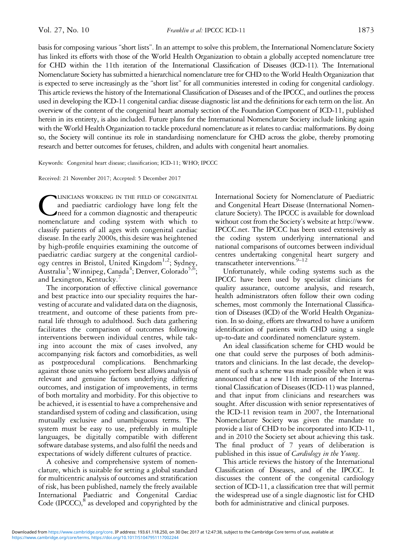basis for composing various "short lists". In an attempt to solve this problem, the International Nomenclature Society has linked its efforts with those of the World Health Organization to obtain a globally accepted nomenclature tree for CHD within the 11th iteration of the International Classification of Diseases (ICD-11). The International Nomenclature Society has submitted a hierarchical nomenclature tree for CHD to the World Health Organization that is expected to serve increasingly as the "short list" for all communities interested in coding for congenital cardiology. This article reviews the history of the International Classification of Diseases and of the IPCCC, and outlines the process used in developing the ICD-11 congenital cardiac disease diagnostic list and the definitions for each term on the list. An overview of the content of the congenital heart anomaly section of the Foundation Component of ICD-11, published herein in its entirety, is also included. Future plans for the International Nomenclature Society include linking again with the World Health Organization to tackle procedural nomenclature as it relates to cardiac malformations. By doing so, the Society will continue its role in standardising nomenclature for CHD across the globe, thereby promoting research and better outcomes for fetuses, children, and adults with congenital heart anomalies.

Keywords: Congenital heart disease; classification; ICD-11; WHO; IPCCC

Received: 21 November 2017; Accepted: 5 December 2017

CLINICIANS WORKING IN THE FIELD OF CONGENITAL and paediatric cardiology have long felt the need for a common diagnostic and therapeutic nomenclature and coding system with which to and paediatric cardiology have long felt the need for a common diagnostic and therapeutic classify patients of all ages with congenital cardiac disease. In the early 2000s, this desire was heightened by high-profile enquiries examining the outcome of paediatric cardiac surgery at the congenital cardiology centres in Bristol, United Kingdom<sup>1,2</sup>; Sydney, Australia<sup>[3](#page-13-0)</sup>; Winnipeg, Canada<sup>[4](#page-13-0)</sup>; Denver, Colorado<sup>5,6</sup>; and Lexington, Kentucky.<sup>[7](#page-13-0)</sup>

The incorporation of effective clinical governance and best practice into our speciality requires the harvesting of accurate and validated data on the diagnosis, treatment, and outcome of these patients from prenatal life through to adulthood. Such data gathering facilitates the comparison of outcomes following interventions between individual centres, while taking into account the mix of cases involved, any accompanying risk factors and comorbidities, as well as postprocedural complications. Benchmarking against those units who perform best allows analysis of relevant and genuine factors underlying differing outcomes, and instigation of improvements, in terms of both mortality and morbidity. For this objective to be achieved, it is essential to have a comprehensive and standardised system of coding and classification, using mutually exclusive and unambiguous terms. The system must be easy to use, preferably in multiple languages, be digitally compatible with different software database systems, and also fulfil the needs and expectations of widely different cultures of practice.

A cohesive and comprehensive system of nomenclature, which is suitable for setting a global standard for multicentric analysis of outcomes and stratification of risk, has been published, namely the freely available International Paediatric and Congenital Cardiac Code (IPCCC), $^8$  as developed and copyrighted by the

International Society for Nomenclature of Paediatric and Congenital Heart Disease (International Nomenclature Society). The IPCCC is available for download without cost from the Society's website at [http://www.](http://www.IPCCC.net) [IPCCC.net](http://www.IPCCC.net). The IPCCC has been used extensively as the coding system underlying international and national comparisons of outcomes between individual centres undertaking congenital heart surgery and transcatheter interventions.  $9-12$  $9-12$  $9-12$ 

Unfortunately, while coding systems such as the IPCCC have been used by specialist clinicians for quality assurance, outcome analysis, and research, health administrators often follow their own coding schemes, most commonly the International Classification of Diseases (ICD) of the World Health Organization. In so doing, efforts are thwarted to have a uniform identification of patients with CHD using a single up-to-date and coordinated nomenclature system.

An ideal classification scheme for CHD would be one that could serve the purposes of both administrators and clinicians. In the last decade, the development of such a scheme was made possible when it was announced that a new 11th iteration of the International Classification of Diseases (ICD-11) was planned, and that input from clinicians and researchers was sought. After discussion with senior representatives of the ICD-11 revision team in 2007, the International Nomenclature Society was given the mandate to provide a list of CHD to be incorporated into ICD-11, and in 2010 the Society set about achieving this task. The final product of 7 years of deliberation is published in this issue of Cardiology in the Young.

This article reviews the history of the International Classification of Diseases, and of the IPCCC. It discusses the content of the congenital cardiology section of ICD-11, a classification tree that will permit the widespread use of a single diagnostic list for CHD both for administrative and clinical purposes.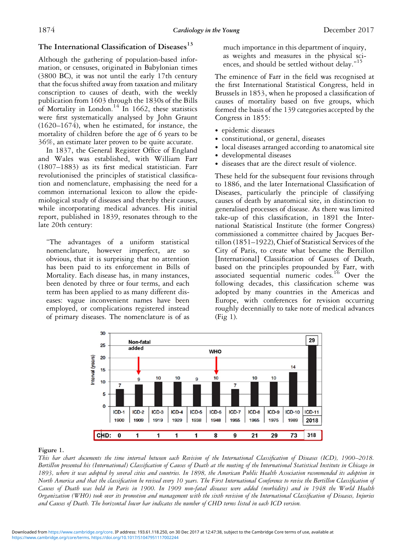## <span id="page-2-0"></span>The International Classification of Diseases<sup>[13](#page-13-0)</sup>

Although the gathering of population-based information, or censuses, originated in Babylonian times (3800 BC), it was not until the early 17th century that the focus shifted away from taxation and military conscription to causes of death, with the weekly publication from 1603 through the 1830s of the Bills of Mortality in London.<sup>[14](#page-13-0)</sup> In 1662, these statistics were first systematically analysed by John Graunt (1620–1674), when he estimated, for instance, the mortality of children before the age of 6 years to be 36%, an estimate later proven to be quite accurate.

In 1837, the General Register Office of England and Wales was established, with William Farr (1807–1883) as its first medical statistician. Farr revolutionised the principles of statistical classification and nomenclature, emphasising the need for a common international lexicon to allow the epidemiological study of diseases and thereby their causes, while incorporating medical advances. His initial report, published in 1839, resonates through to the late 20th century:

"The advantages of a uniform statistical nomenclature, however imperfect, are so obvious, that it is surprising that no attention has been paid to its enforcement in Bills of Mortality. Each disease has, in many instances, been denoted by three or four terms, and each term has been applied to as many different diseases: vague inconvenient names have been employed, or complications registered instead of primary diseases. The nomenclature is of as

much importance in this department of inquiry, as weights and measures in the physical sci-ences, and should be settled without delay."<sup>[15](#page-13-0)</sup>

The eminence of Farr in the field was recognised at the first International Statistical Congress, held in Brussels in 1853, when he proposed a classification of causes of mortality based on five groups, which formed the basis of the 139 categories accepted by the Congress in 1855:

- ∙ epidemic diseases
- ∙ constitutional, or general, diseases
- ∙ local diseases arranged according to anatomical site
- ∙ developmental diseases
- ∙ diseases that are the direct result of violence.

These held for the subsequent four revisions through to 1886, and the later International Classification of Diseases, particularly the principle of classifying causes of death by anatomical site, in distinction to generalised processes of disease. As there was limited take-up of this classification, in 1891 the International Statistical Institute (the former Congress) commissioned a committee chaired by Jacques Bertillon (1851–1922), Chief of Statistical Services of the City of Paris, to create what became the Bertillon [International] Classification of Causes of Death, based on the principles propounded by Farr, with associated sequential numeric codes.[16](#page-13-0) Over the following decades, this classification scheme was adopted by many countries in the Americas and Europe, with conferences for revision occurring roughly decennially to take note of medical advances (Fig 1).



#### Figure 1.

This bar chart documents the time interval between each Revision of the International Classification of Diseases (ICD), 1900–2018. Bertillon presented his (International) Classification of Causes of Death at the meeting of the International Statistical Institute in Chicago in 1893, where it was adopted by several cities and countries. In 1898, the American Public Health Association recommended its adoption in North America and that the classification be revised every 10 years. The First International Conference to revise the Bertillon Classification of Causes of Death was held in Paris in 1900. In 1909 non-fatal diseases were added (morbidity) and in 1948 the World Health Organization (WHO) took over its promotion and management with the sixth revision of the International Classification of Diseases, Injuries and Causes of Death. The horizontal lower bar indicates the number of CHD terms listed in each ICD version.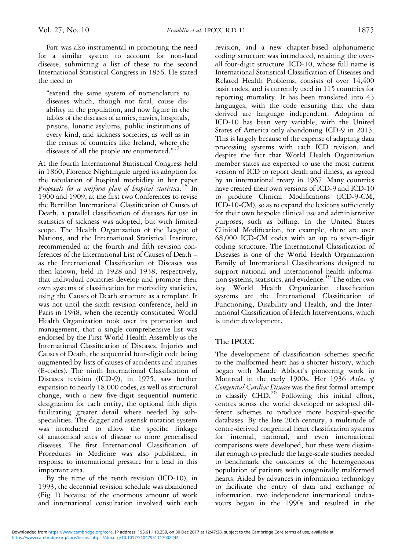Farr was also instrumental in promoting the need for a similar system to account for non-fatal disease, submitting a list of these to the second International Statistical Congress in 1856. He stated the need to

"extend the same system of nomenclature to diseases which, though not fatal, cause disability in the population, and now figure in the tables of the diseases of armies, navies, hospitals, prisons, lunatic asylums, public institutions of every kind, and sickness societies, as well as in the census of countries like Ireland, where the diseases of all the people are enumerated."<sup>[17](#page-13-0)</sup>

At the fourth International Statistical Congress held in 1860, Florence Nightingale urged its adoption for the tabulation of hospital morbidity in her paper Proposals for a uniform plan of hospital statistics. <sup>[18](#page-13-0)</sup> In 1900 and 1909, at the first two Conferences to revise the Bertillon International Classification of Causes of Death, a parallel classification of diseases for use in statistics of sickness was adopted, but with limited scope. The Health Organization of the League of Nations, and the International Statistical Institute, recommended at the fourth and fifth revision conferences of the International List of Causes of Death – as the International Classification of Diseases was then known, held in 1928 and 1938, respectively, that individual countries develop and promote their own systems of classification for morbidity statistics, using the Causes of Death structure as a template. It was not until the sixth revision conference, held in Paris in 1948, when the recently constituted World Health Organization took over its promotion and management, that a single comprehensive list was endorsed by the First World Health Assembly as the International Classification of Diseases, Injuries and Causes of Death, the sequential four-digit code being augmented by lists of causes of accidents and injuries (E-codes). The ninth International Classification of Diseases revision (ICD-9), in 1975, saw further expansion to nearly 18,000 codes, as well as structural change, with a new five-digit sequential numeric designation for each entity, the optional fifth digit facilitating greater detail where needed by subspecialities. The dagger and asterisk notation system was introduced to allow the specific linkage of anatomical sites of disease to more generalised diseases. The first International Classification of Procedures in Medicine was also published, in response to international pressure for a lead in this important area.

By the time of the tenth revision (ICD-10), in 1993, the decennial revision schedule was abandoned [\(Fig 1\)](#page-2-0) because of the enormous amount of work and international consultation involved with each

revision, and a new chapter-based alphanumeric coding structure was introduced, retaining the overall four-digit structure. ICD-10, whose full name is International Statistical Classification of Diseases and Related Health Problems, consists of over 14,400 basic codes, and is currently used in 115 countries for reporting mortality. It has been translated into 43 languages, with the code ensuring that the data derived are language independent. Adoption of ICD-10 has been very variable, with the United States of America only abandoning ICD-9 in 2015. This is largely because of the expense of adapting data processing systems with each ICD revision, and despite the fact that World Health Organization member states are expected to use the most current version of ICD to report death and illness, as agreed by an international treaty in 1967. Many countries have created their own versions of ICD-9 and ICD-10 to produce Clinical Modifications (ICD-9-CM, ICD-10-CM), so as to expand the lexicons sufficiently for their own bespoke clinical use and administrative purposes, such as billing. In the United States Clinical Modification, for example, there are over 68,000 ICD-CM codes with an up to seven-digit coding structure. The International Classification of Diseases is one of the World Health Organization Family of International Classifications designed to support national and international health informa-tion systems, statistics, and evidence.<sup>[19](#page-13-0)</sup> The other two key World Health Organization classification systems are the International Classification of Functioning, Disability and Health, and the International Classification of Health Interventions, which is under development.

## The IPCCC

The development of classification schemes specific to the malformed heart has a shorter history, which began with Maude Abbott's pioneering work in Montreal in the early 1900s. Her 1936 Atlas of Congenital Cardiac Disease was the first formal attempt to classify CHD.<sup>[20](#page-13-0)</sup> Following this initial effort, centres across the world developed or adopted different schemes to produce more hospital-specific databases. By the late 20th century, a multitude of centre-derived congenital heart classification systems for internal, national, and even international comparisons were developed, but these were dissimilar enough to preclude the large-scale studies needed to benchmark the outcomes of the heterogeneous population of patients with congenitally malformed hearts. Aided by advances in information technology to facilitate the entry of data and exchange of information, two independent international endeavours began in the 1990s and resulted in the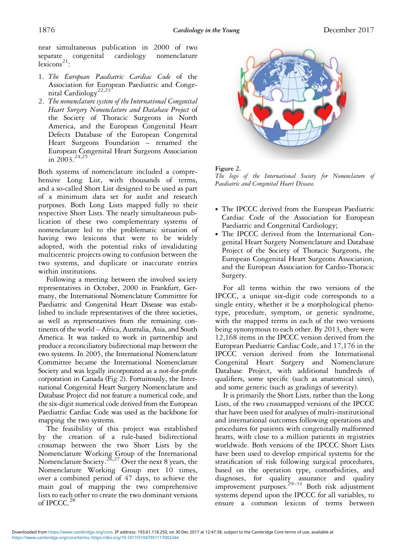near simultaneous publication in 2000 of two separate congenital cardiology nomenclature  $lexicons<sup>21</sup>$  $lexicons<sup>21</sup>$  $lexicons<sup>21</sup>$ :

- 1. The European Paediatric Cardiac Code of the Association for European Paediatric and Conge-nital Cardiology<sup>[22,23](#page-13-0)</sup>
- 2. The nomenclature system of the International Congenital Heart Surgery Nomenclature and Database Project of the Society of Thoracic Surgeons in North America, and the European Congenital Heart Defects Database of the European Congenital Heart Surgeons Foundation – renamed the European Congenital Heart Surgeons Association in  $2003$ <sup>[24,25](#page-13-0)</sup>

Both systems of nomenclature included a comprehensive Long List, with thousands of terms, and a so-called Short List designed to be used as part of a minimum data set for audit and research purposes. Both Long Lists mapped fully to their respective Short Lists. The nearly simultaneous publication of these two complementary systems of nomenclature led to the problematic situation of having two lexicons that were to be widely adopted, with the potential risks of invalidating multicentric projects owing to confusion between the two systems, and duplicate or inaccurate entries within institutions.

Following a meeting between the involved society representatives in October, 2000 in Frankfurt, Germany, the International Nomenclature Committee for Paediatric and Congenital Heart Disease was established to include representatives of the three societies, as well as representatives from the remaining continents of the world – Africa, Australia, Asia, and South America. It was tasked to work in partnership and produce a reconciliatory bidirectional map between the two systems. In 2005, the International Nomenclature Committee became the International Nomenclature Society and was legally incorporated as a not-for-profit corporation in Canada (Fig 2). Fortuitously, the International Congenital Heart Surgery Nomenclature and Database Project did not feature a numerical code, and the six-digit numerical code derived from the European Paediatric Cardiac Code was used as the backbone for mapping the two systems.

The feasibility of this project was established by the creation of a rule-based bidirectional crossmap between the two Short Lists by the Nomenclature Working Group of the International Nomenclature Society.<sup>[26,27](#page-13-0)</sup> Over the next 8 years, the Nomenclature Working Group met 10 times, over a combined period of 47 days, to achieve the main goal of mapping the two comprehensive lists to each other to create the two dominant versions of IPCCC. $^{28}$  $^{28}$  $^{28}$ 



#### Figure 2.

The logo of the International Society for Nomenclature of Paediatric and Congenital Heart Disease.

- ∙ The IPCCC derived from the European Paediatric Cardiac Code of the Association for European Paediatric and Congenital Cardiology;
- ∙ The IPCCC derived from the International Congenital Heart Surgery Nomenclature and Database Project of the Society of Thoracic Surgeons, the European Congenital Heart Surgeons Association, and the European Association for Cardio-Thoracic Surgery.

For all terms within the two versions of the IPCCC, a unique six-digit code corresponds to a single entity, whether it be a morphological phenotype, procedure, symptom, or genetic syndrome, with the mapped terms in each of the two versions being synonymous to each other. By 2013, there were 12,168 items in the IPCCC version derived from the European Paediatric Cardiac Code, and 17,176 in the IPCCC version derived from the International Congenital Heart Surgery and Nomenclature Database Project, with additional hundreds of qualifiers, some specific (such as anatomical sites), and some generic (such as gradings of severity).

It is primarily the Short Lists, rather than the Long Lists, of the two crossmapped versions of the IPCCC that have been used for analyses of multi-institutional and international outcomes following operations and procedures for patients with congenitally malformed hearts, with close to a million patients in registries worldwide. Both versions of the IPCCC Short Lists have been used to develop empirical systems for the stratification of risk following surgical procedures, based on the operation type, comorbidities, and diagnoses, for quality assurance and quality improvement purposes.<sup>[29](#page-13-0)–[31](#page-13-0)</sup> Both risk adjustment systems depend upon the IPCCC for all variables, to ensure a common lexicon of terms between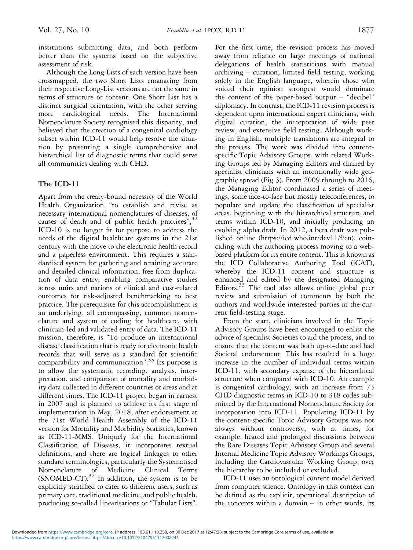institutions submitting data, and both perform better than the systems based on the subjective assessment of risk.

Although the Long Lists of each version have been crossmapped, the two Short Lists emanating from their respective Long-List versions are not the same in terms of structure or content. One Short List has a distinct surgical orientation, with the other serving more cardiological needs. The International Nomenclature Society recognised this disparity, and believed that the creation of a congenital cardiology subset within ICD-11 would help resolve the situation by presenting a single comprehensive and hierarchical list of diagnostic terms that could serve all communities dealing with CHD.

## The ICD-11

Apart from the treaty-bound necessity of the World Health Organization "to establish and revise as necessary international nomenclatures of diseases, of causes of death and of public health practices",<sup>[32](#page-13-0)</sup> ICD-10 is no longer fit for purpose to address the needs of the digital healthcare systems in the 21st century with the move to the electronic health record and a paperless environment. This requires a standardised system for gathering and retaining accurate and detailed clinical information, free from duplication of data entry, enabling comparative studies across units and nations of clinical and cost-related outcomes for risk-adjusted benchmarking to best practice. The prerequisite for this accomplishment is an underlying, all encompassing, common nomenclature and system of coding for healthcare, with clinician-led and validated entry of data. The ICD-11 mission, therefore, is "To produce an international disease classification that is ready for electronic health records that will serve as a standard for scientific comparability and communication". [33](#page-13-0) Its purpose is to allow the systematic recording, analysis, interpretation, and comparison of mortality and morbidity data collected in different countries or areas and at different times. The ICD-11 project began in earnest in 2007 and is planned to achieve its first stage of implementation in May, 2018, after endorsement at the 71st World Health Assembly of the ICD-11 version for Mortality and Morbidity Statistics, known as ICD-11-MMS. Uniquely for the International Classification of Diseases, it incorporates textual definitions, and there are logical linkages to other standard terminologies, particularly the Systematised Nomenclature of Medicine Clinical Terms (SNOMED-CT). $32$  In addition, the system is to be explicitly stratified to cater to different users, such as primary care, traditional medicine, and public health, producing so-called linearisations or "Tabular Lists".

For the first time, the revision process has moved away from reliance on large meetings of national delegations of health statisticians with manual archiving – curation, limited field testing, working solely in the English language, wherein those who voiced their opinion strongest would dominate the content of the paper-based output – "decibel" diplomacy. In contrast, the ICD-11 revision process is dependent upon international expert clinicians, with digital curation, the incorporation of wide peer review, and extensive field testing. Although working in English, multiple translations are integral to the process. The work was divided into contentspecific Topic Advisory Groups, with related Working Groups led by Managing Editors and chaired by specialist clinicians with an intentionally wide geographic spread ([Fig 3](#page-6-0)). From 2009 through to 2016, the Managing Editor coordinated a series of meetings, some face-to-face but mostly teleconferences, to populate and update the classification of specialist areas, beginning with the hierarchical structure and terms within ICD-10, and initially producing an evolving alpha draft. In 2012, a beta draft was published online [\(https://icd.who.int/dev11/f/en](https://icd.who.int/dev11/f/en)), coinciding with the authoring process moving to a webbased platform for its entire content. This is known as the ICD Collaborative Authoring Tool (iCAT), whereby the ICD-11 content and structure is enhanced and edited by the designated Managing Editors.[33](#page-13-0) The tool also allows online global peer review and submission of comments by both the authors and worldwide interested parties in the current field-testing stage.

From the start, clinicians involved in the Topic Advisory Groups have been encouraged to enlist the advice of specialist Societies to aid the process, and to ensure that the content was both up-to-date and had Societal endorsement. This has resulted in a huge increase in the number of individual terms within ICD-11, with secondary expanse of the hierarchical structure when compared with ICD-10. An example is congenital cardiology, with an increase from 73 CHD diagnostic terms in ICD-10 to 318 codes submitted by the International Nomenclature Society for incorporation into ICD-11. Populating ICD-11 by the content-specific Topic Advisory Groups was not always without controversy, with at times, for example, heated and prolonged discussions between the Rare Diseases Topic Advisory Group and several Internal Medicine Topic Advisory Workings Groups, including the Cardiovascular Working Group, over the hierarchy to be included or excluded.

ICD-11 uses an ontological content model derived from computer science. Ontology in this context can be defined as the explicit, operational description of the concepts within a domain – in other words, its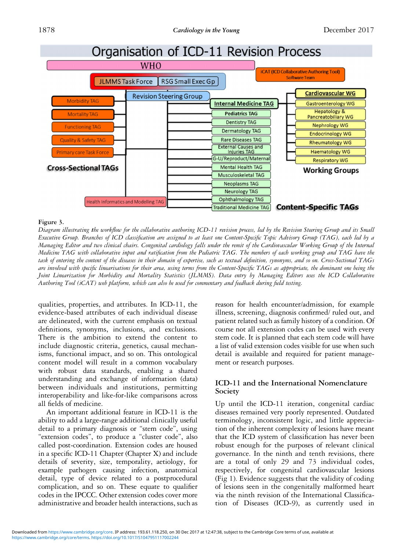<span id="page-6-0"></span>

#### Figure 3.

Diagram illustrating the workflow for the collaborative authoring ICD-11 revision process, led by the Revision Steering Group and its Small Executive Group. Branches of ICD classification are assigned to at least one Content-Specific Topic Advisory Group (TAG), each led by a Managing Editor and two clinical chairs. Congenital cardiology falls under the remit of the Cardiovascular Working Group of the Internal Medicine TAG with collaborative input and ratification from the Pediatric TAG. The members of each working group and TAG have the task of entering the content of the diseases in their domain of expertise, such as textual definition, synonyms, and so on. Cross-Sectional TAGs are involved with specific linearisations for their area, using terms from the Content-Specific TAGs as appropriate, the dominant one being the Joint Linearization for Morbidity and Mortality Statistics (JLMMS). Data entry by Managing Editors uses the ICD Collaborative Authoring Tool (iCAT) web platform, which can also be used for commentary and feedback during field testing.

qualities, properties, and attributes. In ICD-11, the evidence-based attributes of each individual disease are delineated, with the current emphasis on textual definitions, synonyms, inclusions, and exclusions. There is the ambition to extend the content to include diagnostic criteria, genetics, causal mechanisms, functional impact, and so on. This ontological content model will result in a common vocabulary with robust data standards, enabling a shared understanding and exchange of information (data) between individuals and institutions, permitting interoperability and like-for-like comparisons across all fields of medicine.

An important additional feature in ICD-11 is the ability to add a large-range additional clinically useful detail to a primary diagnosis or "stem code", using "extension codes", to produce a "cluster code", also called post-coordination. Extension codes are housed in a specific ICD-11 Chapter (Chapter X) and include details of severity, size, temporality, aetiology, for example pathogen causing infection, anatomical detail, type of device related to a postprocedural complication, and so on. These equate to qualifier codes in the IPCCC. Other extension codes cover more administrative and broader health interactions, such as reason for health encounter/admission, for example illness, screening, diagnosis confirmed/ ruled out, and patient related such as family history of a condition. Of course not all extension codes can be used with every stem code. It is planned that each stem code will have a list of valid extension codes visible for use when such detail is available and required for patient management or research purposes.

#### ICD-11 and the International Nomenclature Society

Up until the ICD-11 iteration, congenital cardiac diseases remained very poorly represented. Outdated terminology, inconsistent logic, and little appreciation of the inherent complexity of lesions have meant that the ICD system of classification has never been robust enough for the purposes of relevant clinical governance. In the ninth and tenth revisions, there are a total of only 29 and 73 individual codes, respectively, for congenital cardiovascular lesions ([Fig 1\)](#page-2-0). Evidence suggests that the validity of coding of lesions seen in the congenitally malformed heart via the ninth revision of the International Classification of Diseases (ICD-9), as currently used in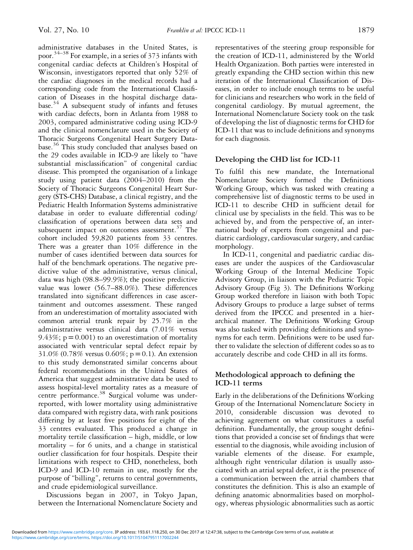administrative databases in the United States, is poor. $^{34-38}$  $^{34-38}$  $^{34-38}$  $^{34-38}$  $^{34-38}$  For example, in a series of 373 infants with congenital cardiac defects at Children's Hospital of Wisconsin, investigators reported that only 52% of the cardiac diagnoses in the medical records had a corresponding code from the International Classification of Diseases in the hospital discharge data-base.<sup>[34](#page-14-0)</sup> A subsequent study of infants and fetuses with cardiac defects, born in Atlanta from 1988 to 2003, compared administrative coding using ICD-9 and the clinical nomenclature used in the Society of Thoracic Surgeons Congenital Heart Surgery Database.[36](#page-14-0) This study concluded that analyses based on the 29 codes available in ICD-9 are likely to "have substantial misclassification" of congenital cardiac disease. This prompted the organisation of a linkage study using patient data (2004–2010) from the Society of Thoracic Surgeons Congenital Heart Surgery (STS-CHS) Database, a clinical registry, and the Pediatric Health Information Systems administrative database in order to evaluate differential coding/ classification of operations between data sets and subsequent impact on outcomes assessment. $37$  The cohort included 59,820 patients from 33 centres. There was a greater than 10% difference in the number of cases identified between data sources for half of the benchmark operations. The negative predictive value of the administrative, versus clinical, data was high (98.8–99.9%); the positive predictive value was lower (56.7–88.0%). These differences translated into significant differences in case ascertainment and outcomes assessment. These ranged from an underestimation of mortality associated with common arterial trunk repair by 25.7% in the administrative versus clinical data (7.01% versus 9.43%;  $p = 0.001$ ) to an overestimation of mortality associated with ventricular septal defect repair by 31.0% (0.78% versus 0.60%;  $p = 0.1$ ). An extension to this study demonstrated similar concerns about federal recommendations in the United States of America that suggest administrative data be used to assess hospital-level mortality rates as a measure of centre performance.<sup>[38](#page-14-0)</sup> Surgical volume was underreported, with lower mortality using administrative data compared with registry data, with rank positions differing by at least five positions for eight of the 33 centres evaluated. This produced a change in mortality tertile classification – high, middle, or low mortality – for 6 units, and a change in statistical outlier classification for four hospitals. Despite their limitations with respect to CHD, nonetheless, both ICD-9 and ICD-10 remain in use, mostly for the purpose of "billing", returns to central governments, and crude epidemiological surveillance.

Discussions began in 2007, in Tokyo Japan, between the International Nomenclature Society and representatives of the steering group responsible for the creation of ICD-11, administered by the World Health Organization. Both parties were interested in greatly expanding the CHD section within this new iteration of the International Classification of Diseases, in order to include enough terms to be useful for clinicians and researchers who work in the field of congenital cardiology. By mutual agreement, the International Nomenclature Society took on the task of developing the list of diagnostic terms for CHD for ICD-11 that was to include definitions and synonyms for each diagnosis.

## Developing the CHD list for ICD-11

To fulfil this new mandate, the International Nomenclature Society formed the Definitions Working Group, which was tasked with creating a comprehensive list of diagnostic terms to be used in ICD-11 to describe CHD in sufficient detail for clinical use by specialists in the field. This was to be achieved by, and from the perspective of, an international body of experts from congenital and paediatric cardiology, cardiovascular surgery, and cardiac morphology.

In ICD-11, congenital and paediatric cardiac diseases are under the auspices of the Cardiovascular Working Group of the Internal Medicine Topic Advisory Group, in liaison with the Pediatric Topic Advisory Group ([Fig 3\)](#page-6-0). The Definitions Working Group worked therefore in liaison with both Topic Advisory Groups to produce a large subset of terms derived from the IPCCC and presented in a hierarchical manner. The Definitions Working Group was also tasked with providing definitions and synonyms for each term. Definitions were to be used further to validate the selection of different codes so as to accurately describe and code CHD in all its forms.

## Methodological approach to defining the ICD-11 terms

Early in the deliberations of the Definitions Working Group of the International Nomenclature Society in 2010, considerable discussion was devoted to achieving agreement on what constitutes a useful definition. Fundamentally, the group sought definitions that provided a concise set of findings that were essential to the diagnosis, while avoiding inclusion of variable elements of the disease. For example, although right ventricular dilation is usually associated with an atrial septal defect, it is the presence of a communication between the atrial chambers that constitutes the definition. This is also an example of defining anatomic abnormalities based on morphology, whereas physiologic abnormalities such as aortic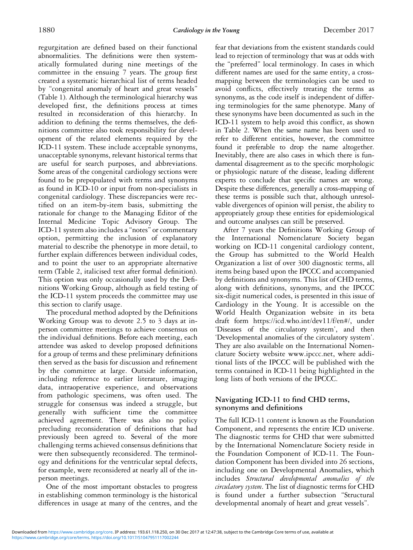regurgitation are defined based on their functional abnormalities. The definitions were then systematically formulated during nine meetings of the committee in the ensuing 7 years. The group first created a systematic hierarchical list of terms headed by "congenital anomaly of heart and great vessels" [\(Table 1](#page-15-0)). Although the terminological hierarchy was developed first, the definitions process at times resulted in reconsideration of this hierarchy. In addition to defining the terms themselves, the definitions committee also took responsibility for development of the related elements required by the ICD-11 system. These include acceptable synonyms, unacceptable synonyms, relevant historical terms that are useful for search purposes, and abbreviations. Some areas of the congenital cardiology sections were found to be prepopulated with terms and synonyms as found in ICD-10 or input from non-specialists in congenital cardiology. These discrepancies were rectified on an item-by-item basis, submitting the rationale for change to the Managing Editor of the Internal Medicine Topic Advisory Group. The ICD-11 system also includes a"notes" or commentary option, permitting the inclusion of explanatory material to describe the phenotype in more detail, to further explain differences between individual codes, and to point the user to an appropriate alternative term [\(Table 2](#page-28-0), italicised text after formal definition). This option was only occasionally used by the Definitions Working Group, although as field testing of the ICD-11 system proceeds the committee may use this section to clarify usage.

The procedural method adopted by the Definitions Working Group was to devote 2.5 to 3 days at inperson committee meetings to achieve consensus on the individual definitions. Before each meeting, each attendee was asked to develop proposed definitions for a group of terms and these preliminary definitions then served as the basis for discussion and refinement by the committee at large. Outside information, including reference to earlier literature, imaging data, intraoperative experience, and observations from pathologic specimens, was often used. The struggle for consensus was indeed a struggle, but generally with sufficient time the committee achieved agreement. There was also no policy precluding reconsideration of definitions that had previously been agreed to. Several of the more challenging terms achieved consensus definitions that were then subsequently reconsidered. The terminology and definitions for the ventricular septal defects, for example, were reconsidered at nearly all of the inperson meetings.

One of the most important obstacles to progress in establishing common terminology is the historical differences in usage at many of the centres, and the

fear that deviations from the existent standards could lead to rejection of terminology that was at odds with the "preferred" local terminology. In cases in which different names are used for the same entity, a crossmapping between the terminologies can be used to avoid conflicts, effectively treating the terms as synonyms, as the code itself is independent of differing terminologies for the same phenotype. Many of these synonyms have been documented as such in the ICD-11 system to help avoid this conflict, as shown in [Table 2](#page-28-0). When the same name has been used to refer to different entities, however, the committee found it preferable to drop the name altogether. Inevitably, there are also cases in which there is fundamental disagreement as to the specific morphologic or physiologic nature of the disease, leading different experts to conclude that specific names are wrong. Despite these differences, generally a cross-mapping of these terms is possible such that, although unresolvable divergences of opinion will persist, the ability to appropriately group these entities for epidemiological and outcome analyses can still be preserved.

After 7 years the Definitions Working Group of the International Nomenclature Society began working on ICD-11 congenital cardiology content, the Group has submitted to the World Health Organization a list of over 300 diagnostic terms, all items being based upon the IPCCC and accompanied by definitions and synonyms. This list of CHD terms, along with definitions, synonyms, and the IPCCC six-digit numerical codes, is presented in this issue of Cardiology in the Young. It is accessible on the World Health Organization website in its beta draft form [https://icd.who.int/dev11/f/en#/,](https://icd.who.int/dev11/f/en#/) under 'Diseases of the circulatory system', and then 'Developmental anomalies of the circulatory system'. They are also available on the International Nomenclature Society website<www.ipccc.net>, where additional lists of the IPCCC will be published with the terms contained in ICD-11 being highlighted in the long lists of both versions of the IPCCC.

## Navigating ICD-11 to find CHD terms, synonyms and definitions

The full ICD-11 content is known as the Foundation Component, and represents the entire ICD universe. The diagnostic terms for CHD that were submitted by the International Nomenclature Society reside in the Foundation Component of ICD-11. The Foundation Component has been divided into 26 sections, including one on Developmental Anomalies, which includes Structural developmental anomalies of the circulatory system. The list of diagnostic terms for CHD is found under a further subsection "Structural developmental anomaly of heart and great vessels".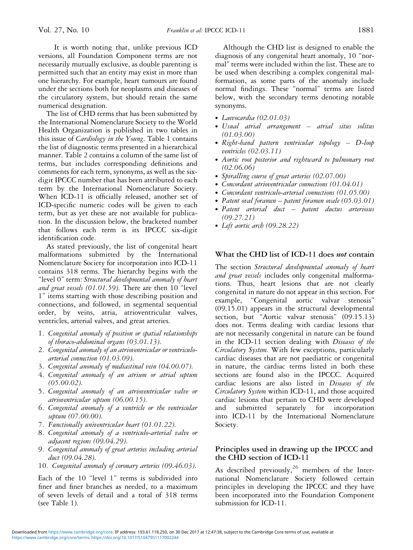It is worth noting that, unlike previous ICD versions, all Foundation Component terms are not necessarily mutually exclusive, as double parenting is permitted such that an entity may exist in more than one hierarchy. For example, heart tumours are found under the sections both for neoplasms and diseases of the circulatory system, but should retain the same numerical designation.

The list of CHD terms that has been submitted by the International Nomenclature Society to the World Health Organization is published in two tables in this issue of Cardiology in the Young. [Table 1](#page-15-0) contains the list of diagnostic terms presented in a hierarchical manner. [Table 2](#page-28-0) contains a column of the same list of terms, but includes corresponding definitions and comments for each term, synonyms, as well as the sixdigit IPCCC number that has been attributed to each term by the International Nomenclature Society. When ICD-11 is officially released, another set of ICD-specific numeric codes will be given to each term, but as yet these are not available for publication. In the discussion below, the bracketed number that follows each term is its IPCCC six-digit identification code.

As stated previously, the list of congenital heart malformations submitted by the International Nomenclature Society for incorporation into ICD-11 contains 318 terms. The hierarchy begins with the "level 0" term: Structural developmental anomaly of heart and great vessels (01.01.59). There are then 10 "level 1" items starting with those describing position and connections, and followed, in segmental sequential order, by veins, atria, atrioventricular valves, ventricles, arterial valves, and great arteries.

- 1. Congenital anomaly of position or spatial relationships of thoraco-abdominal organs (03.01.13).
- 2. Congenital anomaly of an atrioventricular or ventriculoarterial connection (01.03.09).
- 3. Congenital anomaly of mediastinal vein (04.00.07).
- 4. Congenital anomaly of an atrium or atrial septum (05.00.02).
- 5. Congenital anomaly of an atrioventricular valve or atrioventricular septum (06.00.15).
- 6. Congenital anomaly of a ventricle or the ventricular septum (07.00.00).
- 7. Functionally univentricular heart (01.01.22).
- 8. Congenital anomaly of a ventriculo-arterial valve or adjacent regions (09.04.29).
- 9. Congenital anomaly of great arteries including arterial duct (09.04.28).
- 10. Congenital anomaly of coronary arteries (09.46.03).

Each of the 10 "level 1" terms is subdivided into finer and finer branches as needed, to a maximum of seven levels of detail and a total of 318 terms (see [Table 1](#page-15-0)).

Although the CHD list is designed to enable the diagnosis of any congenital heart anomaly, 10 "normal" terms were included within the list. These are to be used when describing a complex congenital malformation, as some parts of the anomaly include normal findings. These "normal" terms are listed below, with the secondary terms denoting notable synonyms.

- ∙ Laevocardia (02.01.03)
- ∙ Usual atrial arrangement atrial situs solitus (01.03.00)
- ∙ Right-hand pattern ventricular topology D-loop ventricles (02.03.11)
- ∙ Aortic root posterior and rightward to pulmonary root (02.06.06)
- ∙ Spiralling course of great arteries (02.07.00)
- ∙ Concordant atrioventricular connections (01.04.01)
- ∙ Concordant ventriculo-arterial connections (01.05.00)
- ∙ Patent oval foramen patent foramen ovale (05.03.01)
- ∙ Patent arterial duct patent ductus arteriosus (09.27.21)
- ∙ Left aortic arch (09.28.22)

## What the CHD list of ICD-11 does *not* contain

The section Structural developmental anomaly of heart and great vessels includes only congenital malformations. Thus, heart lesions that are not clearly congenital in nature do not appear in this section. For example, "Congenital aortic valvar stenosis" (09.15.01) appears in the structural developmental section, but "Aortic valvar stenosis" (09.15.13) does not. Terms dealing with cardiac lesions that are not necessarily congenital in nature can be found in the ICD-11 section dealing with Diseases of the Circulatory System. With few exceptions, particularly cardiac diseases that are not paediatric or congenital in nature, the cardiac terms listed in both these sections are found also in the IPCCC. Acquired cardiac lesions are also listed in Diseases of the Circulatory System within ICD-11, and those acquired cardiac lesions that pertain to CHD were developed and submitted separately for incorporation into ICD-11 by the International Nomenclature Society.

## Principles used in drawing up the IPCCC and the CHD section of ICD-11

As described previously,<sup>[26](#page-13-0)</sup> members of the International Nomenclature Society followed certain principles in developing the IPCCC and they have been incorporated into the Foundation Component submission for ICD-11.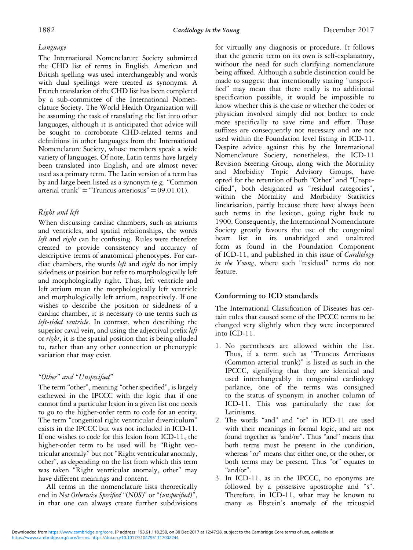## Language

The International Nomenclature Society submitted the CHD list of terms in English. American and British spelling was used interchangeably and words with dual spellings were treated as synonyms. A French translation of the CHD list has been completed by a sub-committee of the International Nomenclature Society. The World Health Organization will be assuming the task of translating the list into other languages, although it is anticipated that advice will be sought to corroborate CHD-related terms and definitions in other languages from the International Nomenclature Society, whose members speak a wide variety of languages. Of note, Latin terms have largely been translated into English, and are almost never used as a primary term. The Latin version of a term has by and large been listed as a synonym (e.g. "Common arterial trunk" = "Truncus arteriosus" =  $09.01.01$ ).

## Right and left

When discussing cardiac chambers, such as atriums and ventricles, and spatial relationships, the words left and right can be confusing. Rules were therefore created to provide consistency and accuracy of descriptive terms of anatomical phenotypes. For cardiac chambers, the words *left* and *right* do not imply sidedness or position but refer to morphologically left and morphologically right. Thus, left ventricle and left atrium mean the morphologically left ventricle and morphologically left atrium, respectively. If one wishes to describe the position or sidedness of a cardiac chamber, it is necessary to use terms such as left-sided ventricle. In contrast, when describing the superior caval vein, and using the adjectival prefix *left* or right, it is the spatial position that is being alluded to, rather than any other connection or phenotypic variation that may exist.

## "Other" and "Unspecified"

The term "other", meaning "other specified", is largely eschewed in the IPCCC with the logic that if one cannot find a particular lesion in a given list one needs to go to the higher-order term to code for an entity. The term "congenital right ventricular diverticulum" exists in the IPCCC but was not included in ICD-11. If one wishes to code for this lesion from ICD-11, the higher-order term to be used will be "Right ventricular anomaly" but not "Right ventricular anomaly, other", as depending on the list from which this term was taken "Right ventricular anomaly, other" may have different meanings and content.

All terms in the nomenclature lists theoretically end in Not Otherwise Specified "(NOS)" or "(unspecified)", in that one can always create further subdivisions

for virtually any diagnosis or procedure. It follows that the generic term on its own is self-explanatory, without the need for such clarifying nomenclature being affixed. Although a subtle distinction could be made to suggest that intentionally stating "unspecified" may mean that there really is no additional specification possible, it would be impossible to know whether this is the case or whether the coder or physician involved simply did not bother to code more specifically to save time and effort. These suffixes are consequently not necessary and are not used within the Foundation level listing in ICD-11. Despite advice against this by the International Nomenclature Society, nonetheless, the ICD-11 Revision Steering Group, along with the Mortality and Morbidity Topic Advisory Groups, have opted for the retention of both "Other" and "Unspecified", both designated as "residual categories", within the Mortality and Morbidity Statistics linearisation, partly because there have always been such terms in the lexicon, going right back to 1900. Consequently, the International Nomenclature Society greatly favours the use of the congenital heart list in its unabridged and unaltered form as found in the Foundation Component of ICD-11, and published in this issue of Cardiology in the Young, where such "residual" terms do not feature.

## Conforming to ICD standards

The International Classification of Diseases has certain rules that caused some of the IPCCC terms to be changed very slightly when they were incorporated into ICD-11.

- 1. No parentheses are allowed within the list. Thus, if a term such as "Truncus Arteriosus (Common arterial trunk)" is listed as such in the IPCCC, signifying that they are identical and used interchangeably in congenital cardiology parlance, one of the terms was consigned to the status of synonym in another column of ICD-11. This was particularly the case for Latinisms.
- 2. The words "and" and "or" in ICD-11 are used with their meanings in formal logic, and are not found together as "and/or". Thus "and" means that both terms must be present in the condition, whereas "or" means that either one, or the other, or both terms may be present. Thus "or" equates to "and/or".
- 3. In ICD-11, as in the IPCCC, no eponyms are followed by a possessive apostrophe and "s". Therefore, in ICD-11, what may be known to many as Ebstein's anomaly of the tricuspid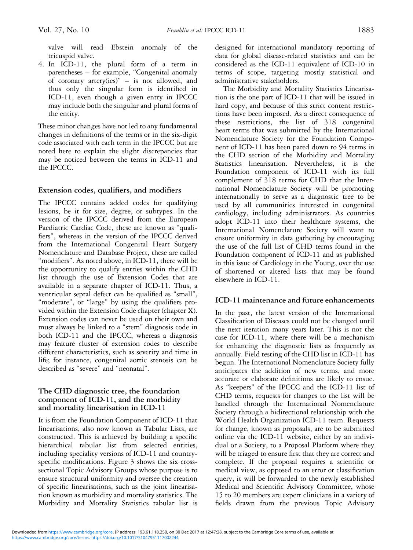4. In ICD-11, the plural form of a term in parentheses – for example, "Congenital anomaly of coronary artery(ies)" – is not allowed, and thus only the singular form is identified in ICD-11, even though a given entry in IPCCC may include both the singular and plural forms of the entity.

These minor changes have not led to any fundamental changes in definitions of the terms or in the six-digit code associated with each term in the IPCCC but are noted here to explain the slight discrepancies that may be noticed between the terms in ICD-11 and the IPCCC.

## Extension codes, qualifiers, and modifiers

The IPCCC contains added codes for qualifying lesions, be it for size, degree, or subtypes. In the version of the IPCCC derived from the European Paediatric Cardiac Code, these are known as "qualifiers", whereas in the version of the IPCCC derived from the International Congenital Heart Surgery Nomenclature and Database Project, these are called "modifiers". As noted above, in ICD-11, there will be the opportunity to qualify entries within the CHD list through the use of Extension Codes that are available in a separate chapter of ICD-11. Thus, a ventricular septal defect can be qualified as "small", "moderate", or "large" by using the qualifiers provided within the Extension Code chapter (chapter X). Extension codes can never be used on their own and must always be linked to a "stem" diagnosis code in both ICD-11 and the IPCCC, whereas a diagnosis may feature cluster of extension codes to describe different characteristics, such as severity and time in life; for instance, congenital aortic stenosis can be described as "severe" and "neonatal".

## The CHD diagnostic tree, the foundation component of ICD-11, and the morbidity and mortality linearisation in ICD-11

It is from the Foundation Component of ICD-11 that linearisations, also now known as Tabular Lists, are constructed. This is achieved by building a specific hierarchical tabular list from selected entities, including speciality versions of ICD-11 and countryspecific modifications. [Figure 3](#page-6-0) shows the six crosssectional Topic Advisory Groups whose purpose is to ensure structural uniformity and oversee the creation of specific linearisations, such as the joint linearisation known as morbidity and mortality statistics. The Morbidity and Mortality Statistics tabular list is designed for international mandatory reporting of data for global disease-related statistics and can be considered as the ICD-11 equivalent of ICD-10 in terms of scope, targeting mostly statistical and administrative stakeholders.

The Morbidity and Mortality Statistics Linearisation is the one part of ICD-11 that will be issued in hard copy, and because of this strict content restrictions have been imposed. As a direct consequence of these restrictions, the list of 318 congenital heart terms that was submitted by the International Nomenclature Society for the Foundation Component of ICD-11 has been pared down to 94 terms in the CHD section of the Morbidity and Mortality Statistics linearisation. Nevertheless, it is the Foundation component of ICD-11 with its full complement of 318 terms for CHD that the International Nomenclature Society will be promoting internationally to serve as a diagnostic tree to be used by all communities interested in congenital cardiology, including administrators. As countries adopt ICD-11 into their healthcare systems, the International Nomenclature Society will want to ensure uniformity in data gathering by encouraging the use of the full list of CHD terms found in the Foundation component of ICD-11 and as published in this issue of Cardiology in the Young, over the use of shortened or altered lists that may be found elsewhere in ICD-11.

## ICD-11 maintenance and future enhancements

In the past, the latest version of the International Classification of Diseases could not be changed until the next iteration many years later. This is not the case for ICD-11, where there will be a mechanism for enhancing the diagnostic lists as frequently as annually. Field testing of the CHD list in ICD-11 has begun. The International Nomenclature Society fully anticipates the addition of new terms, and more accurate or elaborate definitions are likely to ensue. As "keepers" of the IPCCC and the ICD-11 list of CHD terms, requests for changes to the list will be handled through the International Nomenclature Society through a bidirectional relationship with the World Health Organization ICD-11 team. Requests for change, known as proposals, are to be submitted online via the ICD-11 website, either by an individual or a Society, to a Proposal Platform where they will be triaged to ensure first that they are correct and complete. If the proposal requires a scientific or medical view, as opposed to an error or classification query, it will be forwarded to the newly established Medical and Scientific Advisory Committee, whose 15 to 20 members are expert clinicians in a variety of fields drawn from the previous Topic Advisory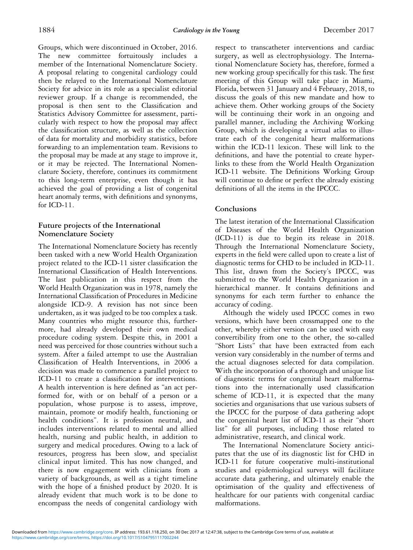Groups, which were discontinued in October, 2016. The new committee fortuitously includes a member of the International Nomenclature Society. A proposal relating to congenital cardiology could then be relayed to the International Nomenclature Society for advice in its role as a specialist editorial reviewer group. If a change is recommended, the proposal is then sent to the Classification and Statistics Advisory Committee for assessment, particularly with respect to how the proposal may affect the classification structure, as well as the collection of data for mortality and morbidity statistics, before forwarding to an implementation team. Revisions to the proposal may be made at any stage to improve it, or it may be rejected. The International Nomenclature Society, therefore, continues its commitment to this long-term enterprise, even though it has achieved the goal of providing a list of congenital heart anomaly terms, with definitions and synonyms, for ICD-11.

## Future projects of the International Nomenclature Society

The International Nomenclature Society has recently been tasked with a new World Health Organization project related to the ICD-11 sister classification the International Classification of Health Interventions. The last publication in this respect from the World Health Organization was in 1978, namely the International Classification of Procedures in Medicine alongside ICD-9. A revision has not since been undertaken, as it was judged to be too complex a task. Many countries who might resource this, furthermore, had already developed their own medical procedure coding system. Despite this, in 2001 a need was perceived for those countries without such a system. After a failed attempt to use the Australian Classification of Health Interventions, in 2006 a decision was made to commence a parallel project to ICD-11 to create a classification for interventions. A health intervention is here defined as "an act performed for, with or on behalf of a person or a population, whose purpose is to assess, improve, maintain, promote or modify health, functioning or health conditions". It is profession neutral, and includes interventions related to mental and allied health, nursing and public health, in addition to surgery and medical procedures. Owing to a lack of resources, progress has been slow, and specialist clinical input limited. This has now changed, and there is now engagement with clinicians from a variety of backgrounds, as well as a tight timeline with the hope of a finished product by 2020. It is already evident that much work is to be done to encompass the needs of congenital cardiology with

respect to transcatheter interventions and cardiac surgery, as well as electrophysiology. The International Nomenclature Society has, therefore, formed a new working group specifically for this task. The first meeting of this Group will take place in Miami, Florida, between 31 January and 4 February, 2018, to discuss the goals of this new mandate and how to achieve them. Other working groups of the Society will be continuing their work in an ongoing and parallel manner, including the Archiving Working Group, which is developing a virtual atlas to illustrate each of the congenital heart malformations within the ICD-11 lexicon. These will link to the definitions, and have the potential to create hyperlinks to these from the World Health Organization ICD-11 website. The Definitions Working Group will continue to define or perfect the already existing definitions of all the items in the IPCCC.

## Conclusions

The latest iteration of the International Classification of Diseases of the World Health Organization (ICD-11) is due to begin its release in 2018. Through the International Nomenclature Society, experts in the field were called upon to create a list of diagnostic terms for CHD to be included in ICD-11. This list, drawn from the Society's IPCCC, was submitted to the World Health Organization in a hierarchical manner. It contains definitions and synonyms for each term further to enhance the accuracy of coding.

Although the widely used IPCCC comes in two versions, which have been crossmapped one to the other, whereby either version can be used with easy convertibility from one to the other, the so-called "Short Lists" that have been extracted from each version vary considerably in the number of terms and the actual diagnoses selected for data compilation. With the incorporation of a thorough and unique list of diagnostic terms for congenital heart malformations into the internationally used classification scheme of ICD-11, it is expected that the many societies and organisations that use various subsets of the IPCCC for the purpose of data gathering adopt the congenital heart list of ICD-11 as their "short list" for all purposes, including those related to administrative, research, and clinical work.

The International Nomenclature Society anticipates that the use of its diagnostic list for CHD in ICD-11 for future cooperative multi-institutional studies and epidemiological surveys will facilitate accurate data gathering, and ultimately enable the optimisation of the quality and effectiveness of healthcare for our patients with congenital cardiac malformations.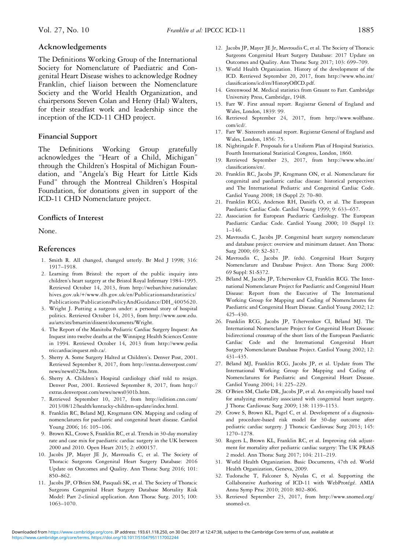#### <span id="page-13-0"></span>Acknowledgements

The Definitions Working Group of the International Society for Nomenclature of Paediatric and Congenital Heart Disease wishes to acknowledge Rodney Franklin, chief liaison between the Nomenclature Society and the World Health Organization, and chairpersons Steven Colan and Henry (Hal) Walters, for their steadfast work and leadership since the inception of the ICD-11 CHD project.

#### Financial Support

The Definitions Working Group gratefully acknowledges the "Heart of a Child, Michigan" through the Children's Hospital of Michigan Foundation, and "Angela's Big Heart for Little Kids Fund" through the Montreal Children's Hospital Foundation, for donations given in support of the ICD-11 CHD Nomenclature project.

#### Conflicts of Interest

None.

#### References

- 1. Smith R. All changed, changed utterly. Br Med J 1998; 316: 1917–1918.
- 2. Learning from Bristol: the report of the public inquiry into children's heart surgery at the Bristol Royal Infirmary 1984–1995. Retrieved October 14, 2013, from [http://webarchive.nationalarc](http://webarchive.nationalarchives.gov.uk/+/www.dh.gov.uk/en/Publicationsandstatistics/Publications/PublicationsPolicyAndGuidance/DH_4005620) hives.gov.uk/+[/www.dh.gov.uk/en/Publicationsandstatistics/](http://webarchive.nationalarchives.gov.uk/+/www.dh.gov.uk/en/Publicationsandstatistics/Publications/PublicationsPolicyAndGuidance/DH_4005620) [Publications/PublicationsPolicyAndGuidance/DH\\_4005620.](http://webarchive.nationalarchives.gov.uk/+/www.dh.gov.uk/en/Publicationsandstatistics/Publications/PublicationsPolicyAndGuidance/DH_4005620)
- 3. Wright J. Putting a surgeon under: a personal story of hospital politics. Retrieved October 14, 2013, from [http://www.uow.edu.](http://www.uow.edu.au/arts/sts/bmartin/dissent/documents/Wright) [au/arts/sts/bmartin/dissent/documents/Wright.](http://www.uow.edu.au/arts/sts/bmartin/dissent/documents/Wright)
- 4. The Report of the Manitoba Pediatric Cardiac Surgery Inquest: An Inquest into twelve deaths at the Winnipeg Health Sciences Centre in 1994. Retrieved October 14, 2013 from [http://www.pedia](http://www.pediatriccardiacinquest.mb.ca/) [triccardiacinquest.mb.ca/.](http://www.pediatriccardiacinquest.mb.ca/)
- 5. Sherry A. Some Surgery Halted at Children's. Denver Post, 2001. Retrieved September 8, 2017, from [http://extras.denverpost.com/](http://extras.denverpost.com/news/news0228a.htm) [news/news0228a.htm.](http://extras.denverpost.com/news/news0228a.htm)
- 6. Sherry A. Children's Hospital cardiology chief told to resign. Denver Post, 2001. Retrieved September 8, 2017, from [http://](http://extras.denverpost.com/news/news0301b.htm) [extras.denverpost.com/news/news0301b.htm.](http://extras.denverpost.com/news/news0301b.htm)
- 7. Retrieved September 10, 2017, from [http://edition.cnn.com/](http://edition.cnn.com/2013�/�08/12/health/kentucky-children-update/index.html) [2013/08/12/health/kentucky-children-update/index.html.](http://edition.cnn.com/2013�/�08/12/health/kentucky-children-update/index.html)
- 8. Franklin RC, Beland MJ, Krogmann ON. Mapping and coding of nomenclatures for paediatric and congenital heart disease. Cardiol Young 2006; 16: 105–106.
- 9. Brown KL, Crowe S, Franklin RC, et al. Trends in 30-day mortality rate and case mix for paediatric cardiac surgery in the UK between 2000 and 2010. Open Heart 2015; 2: e000157.
- 10. Jacobs JP, Mayer JE Jr, Mavroudis C, et al. The Society of Thoracic Surgeons Congenital Heart Surgery Database: 2016 Update on Outcomes and Quality. Ann Thorac Surg 2016; 101: 850–862.
- 11. Jacobs JP, O'Brien SM, Pasquali SK, et al. The Society of Thoracic Surgeons Congenital Heart Surgery Database Mortality Risk Model: Part 2-clinical application. Ann Thorac Surg. 2015; 100: 1063–1070.
- 12. Jacobs JP, Mayer JE Jr, Mavroudis C, et al. The Society of Thoracic Surgeons Congenital Heart Surgery Database: 2017 Update on Outcomes and Quality. Ann Thorac Surg 2017; 103: 699–709.
- 13. World Health Organization. History of the development of the ICD. Retrieved September 20, 2017, from [http://www.who.int/](http://www.who.int/classifications/icd/en/HistoryOfICD.pdf) classifi[cations/icd/en/HistoryOfICD.pdf.](http://www.who.int/classifications/icd/en/HistoryOfICD.pdf)
- 14. Greenwood M. Medical statistics from Graunt to Farr. Cambridge University Press, Cambridge, 1948.
- 15. Farr W. First annual report. Registrar General of England and Wales, London, 1839: 99.
- 16. Retrieved September 24, 2017, from [http://www.wolfbane.](http://www.wolfbane.com/icd/) [com/icd/.](http://www.wolfbane.com/icd/)
- 17. Farr W. Sixteenth annual report. Registrar General of England and Wales, London, 1856: 75.
- 18. Nightingale F. Proposals for a Uniform Plan of Hospital Statistics. Fourth International Statistical Congress, London, 1860.
- 19. Retrieved September 23, 2017, from [http://www.who.int/](http://www.who.int/classifications/en/) classifi[cations/en/](http://www.who.int/classifications/en/).
- 20. Franklin RC, Jacobs JP, Krogmann ON, et al. Nomenclature for congenital and paediatric cardiac disease: historical perspectives and The International Pediatric and Congenital Cardiac Code. Cardiol Young 2008; 18 (Suppl 2): 70–80.
- 21. Franklin RCG, Anderson RH, Daniëls O, et al. The European Paediatric Cardiac Code. Cardiol Young 1999; 9: 633–657.
- 22. Association for European Paediatric Cardiology. The European Paediatric Cardiac Code. Cardiol Young 2000; 10 (Suppl 1): 1–146.
- 23. Mavroudis C, Jacobs JP. Congenital heart surgery nomenclature and database project: overview and minimum dataset. Ann Thorac Surg 2000; 69: S2–S17.
- 24. Mavroudis C, Jacobs JP. (eds). Congenital Heart Surgery Nomenclature and Database Project. Ann Thorac Surg 2000: 69 Suppl: S1-S372.
- 25. Béland M, Jacobs JP, Tchervenkov CI, Franklin RCG. The International Nomenclature Project for Paediatric and Congenital Heart Disease: Report from the Executive of The International Working Group for Mapping and Coding of Nomenclatures for Paediatric and Congenital Heart Disease. Cardiol Young 2002; 12: 425–430.
- 26. Franklin RCG, Jacobs JP, Tchervenkov CI, Béland MJ. The International Nomenclature Project for Congenital Heart Disease: bidirectional crossmap of the short lists of the European Paediatric Cardiac Code and the International Congenital Heart Surgery Nomenclature Database Project. Cardiol Young 2002; 12: 431–435.
- 27. Béland MJ, Franklin RCG, Jacobs JP, et al. Update from The International Working Group for Mapping and Coding of Nomenclatures for Paediatric and Congenital Heart Disease. Cardiol Young 2004; 14: 225–229.
- 28. O'Brien SM, Clarke DR, Jacobs JP, et al. An empirically based tool for analyzing mortality associated with congenital heart surgery. J Thorac Cardiovasc Surg 2009; 138: 1139–1153.
- 29. Crowe S, Brown KL, Pagel C, et al. Development of a diagnosisand procedure-based risk model for 30-day outcome after pediatric cardiac surgery. J Thoracic Cardiovasc Surg 2013; 145: 1270–1278.
- 30. Rogers L, Brown KL, Franklin RC, et al. Improving risk adjustment for mortality after pediatric cardiac surgery: The UK PRAiS 2 model. Ann Thorac Surg 2017; 104: 211–219.
- 31. World Health Organization. Basic Documents, 47th ed. World Health Organization, Geneva, 2009.
- 32. Tudorache T, Falconer S, Nyulas C, et al. Supporting the Collaborative Authoring of ICD-11 with WebProtégé. AMIA Annu Symp Proc 2010; 2010: 802–806.
- 33. Retrieved September 23, 2017, from [http://www.snomed.org/](http://www.snomed.org/snomed-ct) [snomed-ct](http://www.snomed.org/snomed-ct).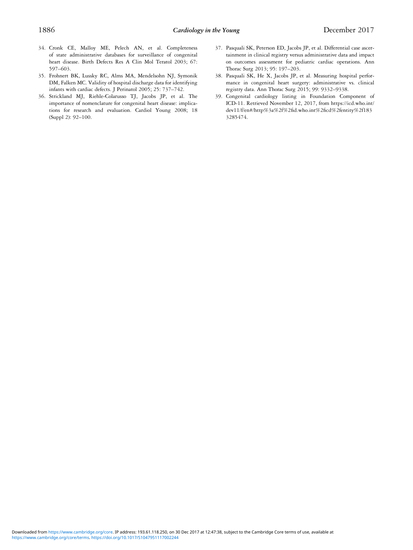- <span id="page-14-0"></span>34. Cronk CE, Malloy ME, Pelech AN, et al. Completeness of state administrative databases for surveillance of congenital heart disease. Birth Defects Res A Clin Mol Teratol 2003; 67: 597–603.
- 35. Frohnert BK, Lussky RC, Alms MA, Mendelsohn NJ, Symonik DM, Falken MC. Validity of hospital discharge data for identifying infants with cardiac defects. J Perinatol 2005; 25: 737–742.
- 36. Strickland MJ, Riehle-Colarusso TJ, Jacobs JP, et al. The importance of nomenclature for congenital heart disease: implications for research and evaluation. Cardiol Young 2008; 18 (Suppl 2): 92–100.
- 37. Pasquali SK, Peterson ED, Jacobs JP, et al. Differential case ascertainment in clinical registry versus administrative data and impact on outcomes assessment for pediatric cardiac operations. Ann Thorac Surg 2013; 95: 197–203.
- 38. Pasquali SK, He X, Jacobs JP, et al. Measuring hospital performance in congenital heart surgery: administrative vs. clinical registry data. Ann Thorac Surg 2015; 99: 9332–9338.
- 39. Congenital cardiology listing in Foundation Component of ICD-11. Retrieved November 12, 2017, from https://icd.who.int/ dev11/f/en#/http%3a%2f%2fid.who.int%2ficd%2fentity%2f183 3285474.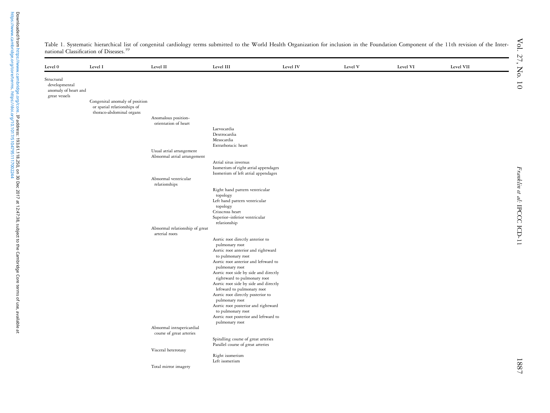| Level 0                                                              | Level I                                                       | Level II                                         | Level III                                                                | Level IV | Level V | Level VI | Level VII |
|----------------------------------------------------------------------|---------------------------------------------------------------|--------------------------------------------------|--------------------------------------------------------------------------|----------|---------|----------|-----------|
| Structural<br>developmental<br>anomaly of heart and<br>great vessels |                                                               |                                                  |                                                                          |          |         |          |           |
|                                                                      | Congenital anomaly of position<br>or spatial relationships of |                                                  |                                                                          |          |         |          |           |
|                                                                      | thoraco-abdominal organs                                      | Anomalous position-                              |                                                                          |          |         |          |           |
|                                                                      |                                                               | orientation of heart                             |                                                                          |          |         |          |           |
|                                                                      |                                                               |                                                  | Laevocardia                                                              |          |         |          |           |
|                                                                      |                                                               |                                                  | Dextrocardia<br>Mesocardia                                               |          |         |          |           |
|                                                                      |                                                               |                                                  | Extrathoracic heart                                                      |          |         |          |           |
|                                                                      |                                                               | Usual atrial arrangement                         |                                                                          |          |         |          |           |
|                                                                      |                                                               | Abnormal atrial arrangement                      |                                                                          |          |         |          |           |
|                                                                      |                                                               |                                                  | Atrial situs inversus<br>Isomerism of right atrial appendages            |          |         |          |           |
|                                                                      |                                                               |                                                  | Isomerism of left atrial appendages                                      |          |         |          |           |
|                                                                      |                                                               | Abnormal ventricular<br>relationships            |                                                                          |          |         |          |           |
|                                                                      |                                                               |                                                  | Right hand pattern ventricular                                           |          |         |          |           |
|                                                                      |                                                               |                                                  | topology<br>Left hand pattern ventricular                                |          |         |          |           |
|                                                                      |                                                               |                                                  | topology                                                                 |          |         |          |           |
|                                                                      |                                                               |                                                  | Crisscross heart                                                         |          |         |          |           |
|                                                                      |                                                               |                                                  | Superior-inferior ventricular<br>relationship                            |          |         |          |           |
|                                                                      |                                                               | Abnormal relationship of great<br>arterial roots |                                                                          |          |         |          |           |
|                                                                      |                                                               |                                                  | Aortic root directly anterior to                                         |          |         |          |           |
|                                                                      |                                                               |                                                  | pulmonary root<br>Aortic root anterior and rightward                     |          |         |          |           |
|                                                                      |                                                               |                                                  | to pulmonary root                                                        |          |         |          |           |
|                                                                      |                                                               |                                                  | Aortic root anterior and leftward to                                     |          |         |          |           |
|                                                                      |                                                               |                                                  | pulmonary root<br>Aortic root side by side and directly                  |          |         |          |           |
|                                                                      |                                                               |                                                  | rightward to pulmonary root                                              |          |         |          |           |
|                                                                      |                                                               |                                                  | Aortic root side by side and directly                                    |          |         |          |           |
|                                                                      |                                                               |                                                  | leftward to pulmonary root<br>Aortic root directly posterior to          |          |         |          |           |
|                                                                      |                                                               |                                                  | pulmonary root                                                           |          |         |          |           |
|                                                                      |                                                               |                                                  | Aortic root posterior and rightward                                      |          |         |          |           |
|                                                                      |                                                               |                                                  | to pulmonary root<br>Aortic root posterior and leftward to               |          |         |          |           |
|                                                                      |                                                               |                                                  | pulmonary root                                                           |          |         |          |           |
|                                                                      |                                                               | Abnormal intrapericardial                        |                                                                          |          |         |          |           |
|                                                                      |                                                               | course of great arteries                         |                                                                          |          |         |          |           |
|                                                                      |                                                               |                                                  | Spiralling course of great arteries<br>Parallel course of great arteries |          |         |          |           |
|                                                                      |                                                               | Visceral heterotaxy                              |                                                                          |          |         |          |           |
|                                                                      |                                                               |                                                  | Right isomerism                                                          |          |         |          |           |
|                                                                      |                                                               | Total mirror imagery                             | Left isomerism                                                           |          |         |          |           |
|                                                                      |                                                               |                                                  |                                                                          |          |         |          |           |

<span id="page-15-0"></span>Table 1. Systematic hierarchical list of congenital cardiology terms submitted to the World Health Organization for inclusion in the Foundation Component of the 11th revision of the Inter-national Classification of Diseases.<sup>[39](#page-14-0)</sup>

Franklin et al:

IPCCC ICD-11

Franklin et al: IPCCC ICD-11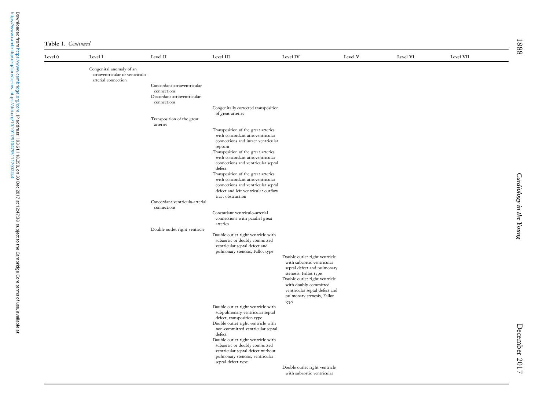|  | Table 1. Continued |
|--|--------------------|
|  |                    |

| Level ${\bf 0}$ | Level I                                                     | Level II                               | Level III                                                              | Level IV                                                    | Level V | Level VI | Level VII |
|-----------------|-------------------------------------------------------------|----------------------------------------|------------------------------------------------------------------------|-------------------------------------------------------------|---------|----------|-----------|
|                 | Congenital anomaly of an<br>atrioventricular or ventriculo- |                                        |                                                                        |                                                             |         |          |           |
|                 | arterial connection                                         | Concordant atrioventricular            |                                                                        |                                                             |         |          |           |
|                 |                                                             | connections                            |                                                                        |                                                             |         |          |           |
|                 |                                                             | Discordant atrioventricular            |                                                                        |                                                             |         |          |           |
|                 |                                                             | connections                            |                                                                        |                                                             |         |          |           |
|                 |                                                             |                                        | Congenitally corrected transposition<br>of great arteries              |                                                             |         |          |           |
|                 |                                                             | Transposition of the great<br>arteries |                                                                        |                                                             |         |          |           |
|                 |                                                             |                                        | Transposition of the great arteries                                    |                                                             |         |          |           |
|                 |                                                             |                                        | with concordant atrioventricular                                       |                                                             |         |          |           |
|                 |                                                             |                                        | connections and intact ventricular<br>septum                           |                                                             |         |          |           |
|                 |                                                             |                                        | Transposition of the great arteries                                    |                                                             |         |          |           |
|                 |                                                             |                                        | with concordant atrioventricular                                       |                                                             |         |          |           |
|                 |                                                             |                                        | connections and ventricular septal                                     |                                                             |         |          |           |
|                 |                                                             |                                        | defect<br>Transposition of the great arteries                          |                                                             |         |          |           |
|                 |                                                             |                                        | with concordant atrioventricular                                       |                                                             |         |          |           |
|                 |                                                             |                                        | connections and ventricular septal                                     |                                                             |         |          |           |
|                 |                                                             |                                        | defect and left ventricular outflow<br>tract obstruction               |                                                             |         |          |           |
|                 |                                                             | Concordant ventriculo-arterial         |                                                                        |                                                             |         |          |           |
|                 |                                                             | connections                            | Concordant ventriculo-arterial                                         |                                                             |         |          |           |
|                 |                                                             |                                        | connections with parallel great                                        |                                                             |         |          |           |
|                 |                                                             |                                        | arteries                                                               |                                                             |         |          |           |
|                 |                                                             | Double outlet right ventricle          | Double outlet right ventricle with                                     |                                                             |         |          |           |
|                 |                                                             |                                        | subaortic or doubly committed                                          |                                                             |         |          |           |
|                 |                                                             |                                        | ventricular septal defect and                                          |                                                             |         |          |           |
|                 |                                                             |                                        | pulmonary stenosis, Fallot type                                        |                                                             |         |          |           |
|                 |                                                             |                                        |                                                                        | Double outlet right ventricle<br>with subaortic ventricular |         |          |           |
|                 |                                                             |                                        |                                                                        | septal defect and pulmonary                                 |         |          |           |
|                 |                                                             |                                        |                                                                        | stenosis, Fallot type                                       |         |          |           |
|                 |                                                             |                                        |                                                                        | Double outlet right ventricle<br>with doubly committed      |         |          |           |
|                 |                                                             |                                        |                                                                        | ventricular septal defect and                               |         |          |           |
|                 |                                                             |                                        |                                                                        | pulmonary stenosis, Fallot                                  |         |          |           |
|                 |                                                             |                                        | Double outlet right ventricle with                                     | type                                                        |         |          |           |
|                 |                                                             |                                        | subpulmonary ventricular septal                                        |                                                             |         |          |           |
|                 |                                                             |                                        | defect, transposition type                                             |                                                             |         |          |           |
|                 |                                                             |                                        | Double outlet right ventricle with<br>non-committed ventricular septal |                                                             |         |          |           |
|                 |                                                             |                                        | defect                                                                 |                                                             |         |          |           |
|                 |                                                             |                                        | Double outlet right ventricle with                                     |                                                             |         |          |           |
|                 |                                                             |                                        | subaortic or doubly committed<br>ventricular septal defect without     |                                                             |         |          |           |
|                 |                                                             |                                        | pulmonary stenosis, ventricular                                        |                                                             |         |          |           |
|                 |                                                             |                                        | septal defect type                                                     |                                                             |         |          |           |
|                 |                                                             |                                        |                                                                        | Double outlet right ventricle<br>with subaortic ventricular |         |          |           |

December 2017

December 2017

1888  $\overline{a}$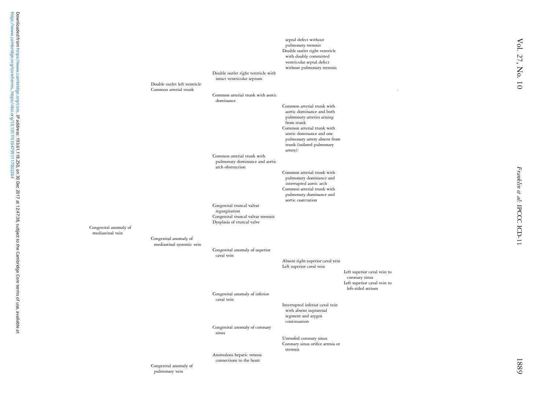|                       |                              |                                    | septal defect without             |                             |  |
|-----------------------|------------------------------|------------------------------------|-----------------------------------|-----------------------------|--|
|                       |                              |                                    | pulmonary stenosis                |                             |  |
|                       |                              |                                    | Double outlet right ventricle     |                             |  |
|                       |                              |                                    | with doubly committed             |                             |  |
|                       |                              |                                    | ventricular septal defect         |                             |  |
|                       |                              |                                    | without pulmonary stenosis        |                             |  |
|                       |                              | Double outlet right ventricle with |                                   |                             |  |
|                       |                              | intact ventricular septum          |                                   |                             |  |
|                       | Double outlet left ventricle |                                    |                                   |                             |  |
|                       | Common arterial trunk        |                                    |                                   |                             |  |
|                       |                              | Common arterial trunk with aortic  |                                   |                             |  |
|                       |                              | dominance                          |                                   |                             |  |
|                       |                              |                                    | Common arterial trunk with        |                             |  |
|                       |                              |                                    | aortic dominance and both         |                             |  |
|                       |                              |                                    | pulmonary arteries arising        |                             |  |
|                       |                              |                                    | from trunk                        |                             |  |
|                       |                              |                                    | Common arterial trunk with        |                             |  |
|                       |                              |                                    | aortic dominance and one          |                             |  |
|                       |                              |                                    | pulmonary artery absent from      |                             |  |
|                       |                              |                                    | trunk (isolated pulmonary         |                             |  |
|                       |                              |                                    | artery)                           |                             |  |
|                       |                              | Common arterial trunk with         |                                   |                             |  |
|                       |                              | pulmonary dominance and aortic     |                                   |                             |  |
|                       |                              | arch obstruction                   |                                   |                             |  |
|                       |                              |                                    | Common arterial trunk with        |                             |  |
|                       |                              |                                    | pulmonary dominance and           |                             |  |
|                       |                              |                                    | interrupted aortic arch           |                             |  |
|                       |                              |                                    | Common arterial trunk with        |                             |  |
|                       |                              |                                    | pulmonary dominance and           |                             |  |
|                       |                              |                                    | aortic coarctation                |                             |  |
|                       |                              | Congenital truncal valvar          |                                   |                             |  |
|                       |                              | regurgitation                      |                                   |                             |  |
|                       |                              | Congenital truncal valvar stenosis |                                   |                             |  |
|                       |                              | Dysplasia of truncal valve         |                                   |                             |  |
| Congenital anomaly of |                              |                                    |                                   |                             |  |
| mediastinal vein      |                              |                                    |                                   |                             |  |
|                       |                              |                                    |                                   |                             |  |
|                       | Congenital anomaly of        |                                    |                                   |                             |  |
|                       | mediastinal systemic vein    |                                    |                                   |                             |  |
|                       |                              | Congenital anomaly of superior     |                                   |                             |  |
|                       |                              | caval vein                         |                                   |                             |  |
|                       |                              |                                    | Absent right superior caval vein  |                             |  |
|                       |                              |                                    | Left superior caval vein          |                             |  |
|                       |                              |                                    |                                   | Left superior caval vein to |  |
|                       |                              |                                    |                                   | coronary sinus              |  |
|                       |                              |                                    |                                   | Left superior caval vein to |  |
|                       |                              |                                    |                                   | left-sided atrium           |  |
|                       |                              | Congenital anomaly of inferior     |                                   |                             |  |
|                       |                              | caval vein                         |                                   |                             |  |
|                       |                              |                                    | Interrupted inferior caval vein   |                             |  |
|                       |                              |                                    | with absent suprarenal            |                             |  |
|                       |                              |                                    | segment and azygos                |                             |  |
|                       |                              |                                    | continuation                      |                             |  |
|                       |                              | Congenital anomaly of coronary     |                                   |                             |  |
|                       |                              | sinus                              |                                   |                             |  |
|                       |                              |                                    | Unroofed coronary sinus           |                             |  |
|                       |                              |                                    | Coronary sinus orifice atresia or |                             |  |
|                       |                              |                                    | stenosis                          |                             |  |
|                       |                              | Anomalous hepatic venous           |                                   |                             |  |
|                       |                              | connections to the heart           |                                   |                             |  |
|                       | Congenital anomaly of        |                                    |                                   |                             |  |
|                       | pulmonary vein               |                                    |                                   |                             |  |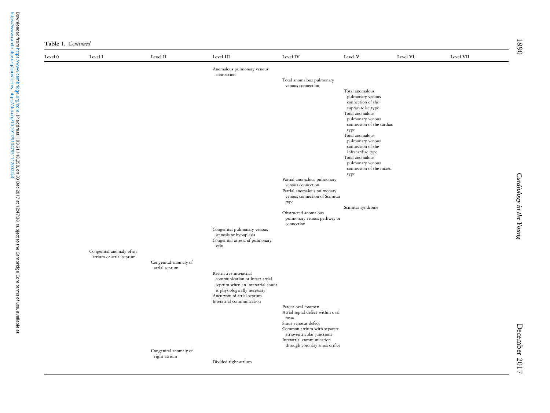| Table 1. Continued |  |
|--------------------|--|
|--------------------|--|

| Level 0 | Level I                                             | Level II                               | Level III                                                          | Level IV                                                     | Level V                                     | Level VI | Level VII |
|---------|-----------------------------------------------------|----------------------------------------|--------------------------------------------------------------------|--------------------------------------------------------------|---------------------------------------------|----------|-----------|
|         |                                                     |                                        | Anomalous pulmonary venous<br>connection                           |                                                              |                                             |          |           |
|         |                                                     |                                        |                                                                    | Total anomalous pulmonary                                    |                                             |          |           |
|         |                                                     |                                        |                                                                    | venous connection                                            | Total anomalous                             |          |           |
|         |                                                     |                                        |                                                                    |                                                              | pulmonary venous                            |          |           |
|         |                                                     |                                        |                                                                    |                                                              | connection of the<br>supracardiac type      |          |           |
|         |                                                     |                                        |                                                                    |                                                              | Total anomalous<br>pulmonary venous         |          |           |
|         |                                                     |                                        |                                                                    |                                                              | connection of the cardiac                   |          |           |
|         |                                                     |                                        |                                                                    |                                                              | type<br>Total anomalous                     |          |           |
|         |                                                     |                                        |                                                                    |                                                              | pulmonary venous                            |          |           |
|         |                                                     |                                        |                                                                    |                                                              | connection of the<br>infracardiac type      |          |           |
|         |                                                     |                                        |                                                                    |                                                              | Total anomalous                             |          |           |
|         |                                                     |                                        |                                                                    |                                                              | pulmonary venous<br>connection of the mixed |          |           |
|         |                                                     |                                        |                                                                    | Partial anomalous pulmonary                                  | type                                        |          |           |
|         |                                                     |                                        |                                                                    | venous connection                                            |                                             |          |           |
|         |                                                     |                                        |                                                                    | Partial anomalous pulmonary<br>venous connection of Scimitar |                                             |          |           |
|         |                                                     |                                        |                                                                    | type                                                         |                                             |          |           |
|         |                                                     |                                        |                                                                    | Obstructed anomalous                                         | Scimitar syndrome                           |          |           |
|         |                                                     |                                        |                                                                    | pulmonary venous pathway or<br>connection                    |                                             |          |           |
|         |                                                     |                                        | Congenital pulmonary venous                                        |                                                              |                                             |          |           |
|         |                                                     |                                        | stenosis or hypoplasia<br>Congenital atresia of pulmonary          |                                                              |                                             |          |           |
|         |                                                     |                                        | vein                                                               |                                                              |                                             |          |           |
|         | Congenital anomaly of an<br>atrium or atrial septum |                                        |                                                                    |                                                              |                                             |          |           |
|         |                                                     | Congenital anomaly of<br>atrial septum |                                                                    |                                                              |                                             |          |           |
|         |                                                     |                                        | Restrictive interatrial                                            |                                                              |                                             |          |           |
|         |                                                     |                                        | communication or intact atrial<br>septum when an interatrial shunt |                                                              |                                             |          |           |
|         |                                                     |                                        | is physiologically necessary                                       |                                                              |                                             |          |           |
|         |                                                     |                                        | Aneurysm of atrial septum<br>Interatrial communication             |                                                              |                                             |          |           |
|         |                                                     |                                        |                                                                    | Patent oval foramen                                          |                                             |          |           |
|         |                                                     |                                        |                                                                    | Atrial septal defect within oval<br>fossa                    |                                             |          |           |
|         |                                                     |                                        |                                                                    | Sinus venosus defect<br>Common atrium with separate          |                                             |          |           |
|         |                                                     |                                        |                                                                    | atrioventricular junctions                                   |                                             |          |           |
|         |                                                     |                                        |                                                                    | Interatrial communication<br>through coronary sinus orifice  |                                             |          |           |
|         |                                                     | Congenital anomaly of                  |                                                                    |                                                              |                                             |          |           |
|         |                                                     | right atrium                           | Divided right atrium                                               |                                                              |                                             |          |           |
|         |                                                     |                                        |                                                                    |                                                              |                                             |          |           |

1890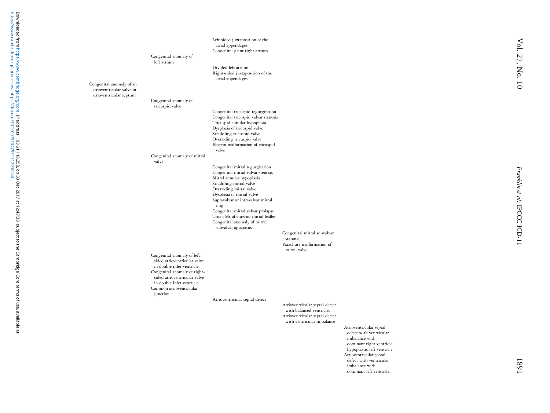Left-sided juxtaposition of the atrial appendages Congenital giant right atrium Congenital anomaly of left atriumDivided left atriumRight-sided juxtaposition of the atrial appendages Congenital anomaly of an atrioventricular valve or atrioventricular septum Congenital anomaly of tricuspid valve Congenital tricuspid regurgitation Congenital tricuspid valvar stenosis Tricuspid annular hypoplasia Dysplasia of tricuspid valve Straddling tricuspid valve Overriding tricuspid valve Ebstein malformation of tricuspid valve Congenital anomaly of mitral valve Congenital mitral regurgitation Congenital mitral valvar stenosis Mitral annular hypoplasia Straddling mitral valve Overriding mitral valve Dysplasia of mitral valve Supravalvar or intravalvar mitral ring Congenital mitral valvar prolapse True cleft of anterior mitral leaflet Congenital anomaly of mitral subvalvar apparatus Congenital mitral subvalvar stenosisParachute malformation of mitral valve Congenital anomaly of leftsided atrioventricular valve in double inlet ventricle Congenital anomaly of rightsided atrioventricular valve in double inlet ventricle Common atrioventricular junction Atrioventricular septal defect Atrioventricular septal defect with balanced ventricles Atrioventricular septal defect with ventricular imbalance Atrioventricular septal defect with ventricular imbalance with dominant right ventricle,

hypoplastic left ventricle Atrioventricular septal defect with ventricular imbalance with dominant left ventricle,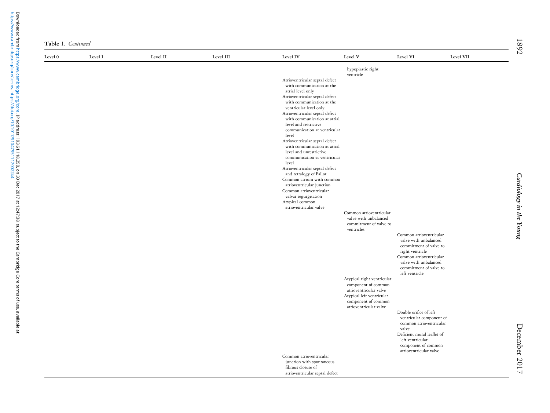| Level 0 | Level I | Level II | Level III | Level IV                                                       | Level V                                       | Level VI                                       | Level VII |
|---------|---------|----------|-----------|----------------------------------------------------------------|-----------------------------------------------|------------------------------------------------|-----------|
|         |         |          |           |                                                                | hypoplastic right                             |                                                |           |
|         |         |          |           |                                                                | ventricle                                     |                                                |           |
|         |         |          |           | Atrioventricular septal defect<br>with communication at the    |                                               |                                                |           |
|         |         |          |           | atrial level only                                              |                                               |                                                |           |
|         |         |          |           | Atrioventricular septal defect                                 |                                               |                                                |           |
|         |         |          |           | with communication at the                                      |                                               |                                                |           |
|         |         |          |           | ventricular level only                                         |                                               |                                                |           |
|         |         |          |           | Atrioventricular septal defect<br>with communication at atrial |                                               |                                                |           |
|         |         |          |           | level and restrictive                                          |                                               |                                                |           |
|         |         |          |           | communication at ventricular                                   |                                               |                                                |           |
|         |         |          |           | level                                                          |                                               |                                                |           |
|         |         |          |           | Atrioventricular septal defect<br>with communication at atrial |                                               |                                                |           |
|         |         |          |           | level and unrestrictive                                        |                                               |                                                |           |
|         |         |          |           | communication at ventricular                                   |                                               |                                                |           |
|         |         |          |           | level                                                          |                                               |                                                |           |
|         |         |          |           | Atrioventricular septal defect<br>and tetralogy of Fallot      |                                               |                                                |           |
|         |         |          |           | Common atrium with common                                      |                                               |                                                |           |
|         |         |          |           | atrioventricular junction                                      |                                               |                                                |           |
|         |         |          |           | Common atrioventricular                                        |                                               |                                                |           |
|         |         |          |           | valvar regurgitation<br>Atypical common                        |                                               |                                                |           |
|         |         |          |           | atrioventricular valve                                         |                                               |                                                |           |
|         |         |          |           |                                                                | Common atrioventricular                       |                                                |           |
|         |         |          |           |                                                                | valve with unbalanced                         |                                                |           |
|         |         |          |           |                                                                | commitment of valve to<br>ventricles          |                                                |           |
|         |         |          |           |                                                                |                                               | Common atrioventricular                        |           |
|         |         |          |           |                                                                |                                               | valve with unbalanced                          |           |
|         |         |          |           |                                                                |                                               | commitment of valve to                         |           |
|         |         |          |           |                                                                |                                               | right ventricle<br>Common atrioventricular     |           |
|         |         |          |           |                                                                |                                               | valve with unbalanced                          |           |
|         |         |          |           |                                                                |                                               | commitment of valve to                         |           |
|         |         |          |           |                                                                |                                               | left ventricle                                 |           |
|         |         |          |           |                                                                | Atypical right ventricular                    |                                                |           |
|         |         |          |           |                                                                | component of common<br>atrioventricular valve |                                                |           |
|         |         |          |           |                                                                | Atypical left ventricular                     |                                                |           |
|         |         |          |           |                                                                | component of common                           |                                                |           |
|         |         |          |           |                                                                | atrioventricular valve                        | Double orifice of left                         |           |
|         |         |          |           |                                                                |                                               | ventricular component of                       |           |
|         |         |          |           |                                                                |                                               | common atrioventricular                        |           |
|         |         |          |           |                                                                |                                               | valve                                          |           |
|         |         |          |           |                                                                |                                               | Deficient mural leaflet of<br>left ventricular |           |
|         |         |          |           |                                                                |                                               | component of common                            |           |
|         |         |          |           |                                                                |                                               | atrioventricular valve                         |           |
|         |         |          |           | Common atrioventricular                                        |                                               |                                                |           |
|         |         |          |           | junction with spontaneous                                      |                                               |                                                |           |
|         |         |          |           | fibrous closure of<br>atrioventricular septal defect           |                                               |                                                |           |

Cardiology in the Young

Cardiology in the Young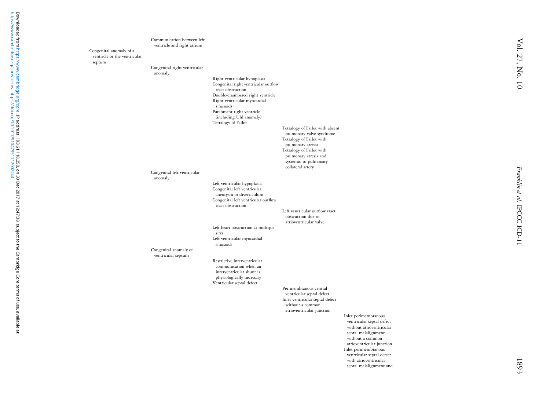|                                                                   | Communication between left<br>ventricle and right atrium |                                                                 |                                                             |                                                    |
|-------------------------------------------------------------------|----------------------------------------------------------|-----------------------------------------------------------------|-------------------------------------------------------------|----------------------------------------------------|
| Congenital anomaly of a<br>ventricle or the ventricular<br>septum |                                                          |                                                                 |                                                             |                                                    |
|                                                                   | Congenital right ventricular                             |                                                                 |                                                             |                                                    |
|                                                                   | anomaly                                                  | Right ventricular hypoplasia                                    |                                                             |                                                    |
|                                                                   |                                                          | Congenital right ventricular outflow<br>tract obstruction       |                                                             |                                                    |
|                                                                   |                                                          | Double-chambered right ventricle                                |                                                             |                                                    |
|                                                                   |                                                          | Right ventricular myocardial<br>sinusoids                       |                                                             |                                                    |
|                                                                   |                                                          | Parchment right ventricle<br>(including Uhl anomaly)            |                                                             |                                                    |
|                                                                   |                                                          | Tetralogy of Fallot                                             |                                                             |                                                    |
|                                                                   |                                                          |                                                                 | Tetralogy of Fallot with absent<br>pulmonary valve syndrome |                                                    |
|                                                                   |                                                          |                                                                 | Tetralogy of Fallot with<br>pulmonary atresia               |                                                    |
|                                                                   |                                                          |                                                                 | Tetralogy of Fallot with                                    |                                                    |
|                                                                   |                                                          |                                                                 | pulmonary atresia and<br>systemic-to-pulmonary              |                                                    |
|                                                                   | Congenital left ventricular                              |                                                                 | collateral artery                                           |                                                    |
|                                                                   | anomaly                                                  | Left ventricular hypoplasia                                     |                                                             |                                                    |
|                                                                   |                                                          | Congenital left ventricular                                     |                                                             |                                                    |
|                                                                   |                                                          | aneurysm or diverticulum<br>Congenital left ventricular outflow |                                                             |                                                    |
|                                                                   |                                                          | tract obstruction                                               | Left ventricular outflow tract                              |                                                    |
|                                                                   |                                                          |                                                                 | obstruction due to                                          |                                                    |
|                                                                   |                                                          | Left heart obstruction at multiple                              | atrioventricular valve                                      |                                                    |
|                                                                   |                                                          | sites<br>Left ventricular myocardial                            |                                                             |                                                    |
|                                                                   |                                                          | sinusoids                                                       |                                                             |                                                    |
|                                                                   | Congenital anomaly of<br>ventricular septum              |                                                                 |                                                             |                                                    |
|                                                                   |                                                          | Restrictive interventricular<br>communication when an           |                                                             |                                                    |
|                                                                   |                                                          | interventricular shunt is<br>physiologically necessary          |                                                             |                                                    |
|                                                                   |                                                          | Ventricular septal defect                                       |                                                             |                                                    |
|                                                                   |                                                          |                                                                 | Perimembranous central<br>ventricular septal defect         |                                                    |
|                                                                   |                                                          |                                                                 | Inlet ventricular septal defect<br>without a common         |                                                    |
|                                                                   |                                                          |                                                                 | atrioventricular junction                                   |                                                    |
|                                                                   |                                                          |                                                                 |                                                             | Inlet perimembranous<br>ventricular septal defect  |
|                                                                   |                                                          |                                                                 |                                                             | without atrioventricular<br>septal malalignment    |
|                                                                   |                                                          |                                                                 |                                                             | without a common                                   |
|                                                                   |                                                          |                                                                 |                                                             | atrioventricular junction<br>Inlet perimembranous  |
|                                                                   |                                                          |                                                                 |                                                             | ventricular septal defect<br>with atrioventricular |
|                                                                   |                                                          |                                                                 |                                                             | septal malalignment and                            |

[https://www.cambridge.org/core/terms.](https://www.cambridge.org/core/terms) <https://doi.org/10.1017/S1047951117002244>

Downloaded from https://www.cambridge.org/core.**IP address: 193.61.118.250, on 30 Dec 2017 at 12:47:38, subject to the Cambridge Core terms of use, available at<br>https://www.cambridge.org/core/terms. https://doi.org/10.1017** Downloaded from [https://www.cambridge.org/core.](https://www.cambridge.org/core) IP address: 193.61.118.250, on 30 Dec 2017 at 12:47:38, subject to the Cambridge Core terms of use, available at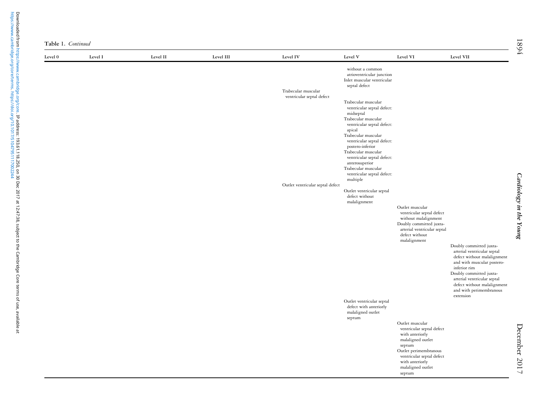| Level 0 | Level I | Level II | Level III | Level IV                         | Level V                                                                                                                                                                                                                                                                                                                            | Level VI                                                                                                                                                                                               | Level VII                                                                                                                                                                                                                                                            |
|---------|---------|----------|-----------|----------------------------------|------------------------------------------------------------------------------------------------------------------------------------------------------------------------------------------------------------------------------------------------------------------------------------------------------------------------------------|--------------------------------------------------------------------------------------------------------------------------------------------------------------------------------------------------------|----------------------------------------------------------------------------------------------------------------------------------------------------------------------------------------------------------------------------------------------------------------------|
|         |         |          |           | Trabecular muscular              | without a common<br>atrioventricular junction<br>Inlet muscular ventricular<br>septal defect                                                                                                                                                                                                                                       |                                                                                                                                                                                                        |                                                                                                                                                                                                                                                                      |
|         |         |          |           | ventricular septal defect        | Trabecular muscular<br>ventricular septal defect:<br>midseptal<br>Trabecular muscular<br>ventricular septal defect:<br>apical<br>Trabecular muscular<br>ventricular septal defect:<br>postero-inferior<br>Trabecular muscular<br>ventricular septal defect:<br>anterosuperior<br>Trabecular muscular<br>ventricular septal defect: |                                                                                                                                                                                                        |                                                                                                                                                                                                                                                                      |
|         |         |          |           |                                  | multiple                                                                                                                                                                                                                                                                                                                           |                                                                                                                                                                                                        |                                                                                                                                                                                                                                                                      |
|         |         |          |           | Outlet ventricular septal defect | Outlet ventricular septal<br>defect without<br>malalignment                                                                                                                                                                                                                                                                        | Outlet muscular                                                                                                                                                                                        |                                                                                                                                                                                                                                                                      |
|         |         |          |           |                                  |                                                                                                                                                                                                                                                                                                                                    | ventricular septal defect<br>without malalignment<br>Doubly committed juxta-<br>arterial ventricular septal<br>defect without<br>malalignment                                                          |                                                                                                                                                                                                                                                                      |
|         |         |          |           |                                  |                                                                                                                                                                                                                                                                                                                                    |                                                                                                                                                                                                        | Doubly committed juxta-<br>arterial ventricular septal<br>defect without malalignment<br>and with muscular postero-<br>inferior rim<br>Doubly committed juxta-<br>arterial ventricular septal<br>defect without malalignment<br>and with perimembranous<br>extension |
|         |         |          |           |                                  | Outlet ventricular septal<br>defect with anteriorly<br>malaligned outlet<br>septum                                                                                                                                                                                                                                                 |                                                                                                                                                                                                        |                                                                                                                                                                                                                                                                      |
|         |         |          |           |                                  |                                                                                                                                                                                                                                                                                                                                    | Outlet muscular<br>ventricular septal defect<br>with anteriorly<br>malaligned outlet<br>septum<br>Outlet perimembranous<br>ventricular septal defect<br>with anteriorly<br>malaligned outlet<br>septum |                                                                                                                                                                                                                                                                      |

Cardiology in the Young

Cardiology in the Young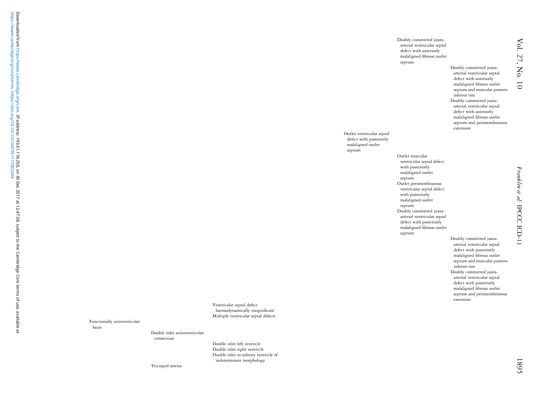Doubly committed juxtaarterial ventricular septal defect with anteriorly malaligned fibrous outlet septum Doubly committed juxtaarterial ventricular septal defect with anteriorly malaligned fibrous outlet septum and muscular posteroinferior rim Doubly committed juxtaarterial ventricular septal defect with anteriorly malaligned fibrous outlet septum and perimembranous extension Outlet muscular ventricular septal defect with posteriorly malaligned outlet septum Outlet perimembranous ventricular septal defect with posteriorly malaligned outlet septum Doubly committed juxtaarterial ventricular septal defect with posteriorly malaligned fibrous outlet septum Doubly committed juxtaarterial ventricular septal defect with posteriorly malaligned fibrous outlet septum and muscular posteroinferior rim Doubly committed juxtaarterial ventricular septal defect with posteriorly

malaligned fibrous outlet septum and perimembranous

extension

Outlet ventricular septal defect with posteriorly malaligned outlet septum

Ventricular septal defect haemodynamically insignificant Multiple ventricular septal defects

Functionally univentricular heart

Double inlet atrioventricular

Double inlet left ventricle Double inlet right ventricle Double inlet to solitary ventricle of indeterminate morphology

Tricuspid atresia

connection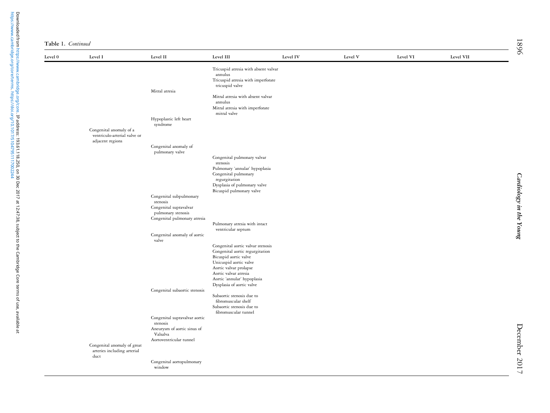| Table 1. Continued |  |
|--------------------|--|
|                    |  |

| Level 0 | Level I                                                                     | Level II                                                      | Level III                                                                                                | Level IV | Level V | Level VI | Level VII |
|---------|-----------------------------------------------------------------------------|---------------------------------------------------------------|----------------------------------------------------------------------------------------------------------|----------|---------|----------|-----------|
|         |                                                                             | Mitral atresia                                                | Tricuspid atresia with absent valvar<br>annulus<br>Tricuspid atresia with imperforate<br>tricuspid valve |          |         |          |           |
|         |                                                                             |                                                               | Mitral atresia with absent valvar<br>annulus<br>Mitral atresia with imperforate<br>mitral valve          |          |         |          |           |
|         |                                                                             | Hypoplastic left heart<br>syndrome                            |                                                                                                          |          |         |          |           |
|         | Congenital anomaly of a<br>ventriculo-arterial valve or<br>adjacent regions |                                                               |                                                                                                          |          |         |          |           |
|         |                                                                             | Congenital anomaly of<br>pulmonary valve                      |                                                                                                          |          |         |          |           |
|         |                                                                             |                                                               | Congenital pulmonary valvar<br>stenosis                                                                  |          |         |          |           |
|         |                                                                             |                                                               | Pulmonary 'annular' hypoplasia<br>Congenital pulmonary<br>regurgitation<br>Dysplasia of pulmonary valve  |          |         |          |           |
|         |                                                                             |                                                               | Bicuspid pulmonary valve                                                                                 |          |         |          |           |
|         |                                                                             | Congenital subpulmonary<br>stenosis<br>Congenital supravalvar |                                                                                                          |          |         |          |           |
|         |                                                                             | pulmonary stenosis<br>Congenital pulmonary atresia            |                                                                                                          |          |         |          |           |
|         |                                                                             | Congenital anomaly of aortic                                  | Pulmonary atresia with intact<br>ventricular septum                                                      |          |         |          |           |
|         |                                                                             | valve                                                         |                                                                                                          |          |         |          |           |
|         |                                                                             |                                                               | Congenital aortic valvar stenosis<br>Congenital aortic regurgitation                                     |          |         |          |           |
|         |                                                                             |                                                               | Bicuspid aortic valve<br>Unicuspid aortic valve                                                          |          |         |          |           |
|         |                                                                             |                                                               | Aortic valvar prolapse<br>Aortic valvar atresia                                                          |          |         |          |           |
|         |                                                                             |                                                               | Aortic 'annular' hypoplasia<br>Dysplasia of aortic valve                                                 |          |         |          |           |
|         |                                                                             | Congenital subaortic stenosis                                 | Subaortic stenosis due to                                                                                |          |         |          |           |
|         |                                                                             |                                                               | fibromuscular shelf<br>Subaortic stenosis due to<br>fibromuscular tunnel                                 |          |         |          |           |
|         |                                                                             | Congenital supravalvar aortic<br>stenosis                     |                                                                                                          |          |         |          |           |
|         |                                                                             | Aneurysm of aortic sinus of<br>Valsalva                       |                                                                                                          |          |         |          |           |
|         |                                                                             | Aortoventricular tunnel                                       |                                                                                                          |          |         |          |           |
|         | Congenital anomaly of great<br>arteries including arterial<br>duct          |                                                               |                                                                                                          |          |         |          |           |
|         |                                                                             | Congenital aortopulmonary<br>window                           |                                                                                                          |          |         |          |           |
|         |                                                                             |                                                               |                                                                                                          |          |         |          |           |

Downloaded from [https://www.cambridge.org/core.](https://www.cambridge.org/core) IP address: 193.61.118.250, on 30 Dec 2017 at 12:47:38, subject to the Cambridge Core terms of use, available at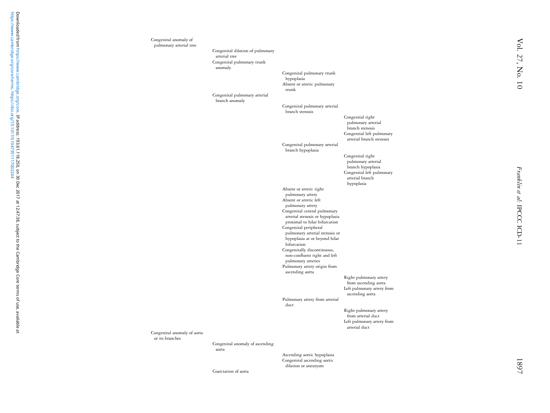Congenital anomaly of pulmonary arterial tree Congenital dilation of pulmonary arterial tree Congenital pulmonary trunk anomaly Congenital pulmonary trunk hypoplasia Absent or atretic pulmonary trunk Congenital pulmonary arterial branch anomaly Congenital pulmonary arterial branch stenosis Congenital right pulmonary arterial branch stenosis Congenital left pulmonary arterial branch stenosisCongenital pulmonary arterial branch hypoplasia Congenital right pulmonary arterial branch hypoplasia Congenital left pulmonary arterial branch hypoplasia Absent or atretic right pulmonary artery Absent or atretic left pulmonary artery Congenital central pulmonary arterial stenosis or hypoplasia proximal to hilar bifurcation Congenital peripheral pulmonary arterial stenosis or hypoplasia at or beyond hilar bifurcation Congenitally discontinuous, non-confluent right and left pulmonary arteries Pulmonary artery origin from ascending aorta Right pulmonary artery from ascending aorta Left pulmonary artery from ascending aorta Pulmonary artery from arterial duct Right pulmonary artery from arterial duct Left pulmonary artery from arterial duct Congenital anomaly of aorta or its branches Congenital anomaly of ascending aorta Ascending aortic hypoplasia Congenital ascending aortic

dilation or aneurysm

Coarctation of aorta

Franklin et al:

IPCCC ICD-11

Franklin et al: IPCCC ICD-11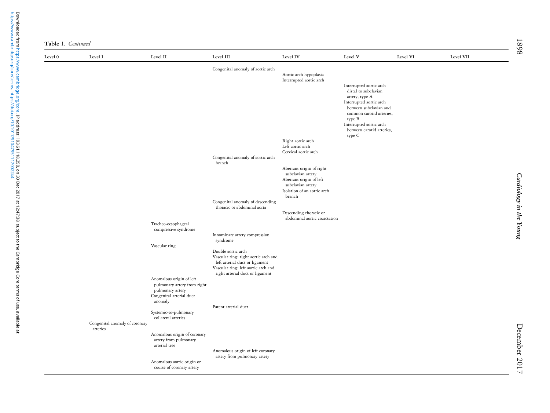| Table 1. Continued |  |  |  |
|--------------------|--|--|--|
|--------------------|--|--|--|

| Level 0 | Level I                        | Level II                                        | Level III                                                              | Level IV                                               | Level V                                                        | Level VI | Level VII |
|---------|--------------------------------|-------------------------------------------------|------------------------------------------------------------------------|--------------------------------------------------------|----------------------------------------------------------------|----------|-----------|
|         |                                |                                                 | Congenital anomaly of aortic arch                                      | Aortic arch hypoplasia                                 |                                                                |          |           |
|         |                                |                                                 |                                                                        | Interrupted aortic arch                                | Interrupted aortic arch                                        |          |           |
|         |                                |                                                 |                                                                        |                                                        | distal to subclavian                                           |          |           |
|         |                                |                                                 |                                                                        |                                                        | artery, type A<br>Interrupted aortic arch                      |          |           |
|         |                                |                                                 |                                                                        |                                                        | between subclavian and                                         |          |           |
|         |                                |                                                 |                                                                        |                                                        | common carotid arteries,<br>type B                             |          |           |
|         |                                |                                                 |                                                                        |                                                        | Interrupted aortic arch<br>between carotid arteries,<br>type C |          |           |
|         |                                |                                                 |                                                                        | Right aortic arch                                      |                                                                |          |           |
|         |                                |                                                 |                                                                        | Left aortic arch<br>Cervical aortic arch               |                                                                |          |           |
|         |                                |                                                 | Congenital anomaly of aortic arch<br>branch                            |                                                        |                                                                |          |           |
|         |                                |                                                 |                                                                        | Aberrant origin of right<br>subclavian artery          |                                                                |          |           |
|         |                                |                                                 |                                                                        | Aberrant origin of left                                |                                                                |          |           |
|         |                                |                                                 |                                                                        | subclavian artery<br>Isolation of an aortic arch       |                                                                |          |           |
|         |                                |                                                 | Congenital anomaly of descending                                       | branch                                                 |                                                                |          |           |
|         |                                |                                                 | thoracic or abdominal aorta                                            |                                                        |                                                                |          |           |
|         |                                |                                                 |                                                                        | Descending thoracic or<br>abdominal aortic coarctation |                                                                |          |           |
|         |                                | Tracheo-oesophageal                             |                                                                        |                                                        |                                                                |          |           |
|         |                                | compressive syndrome                            | Innominate artery compression                                          |                                                        |                                                                |          |           |
|         |                                | Vascular ring                                   | syndrome                                                               |                                                        |                                                                |          |           |
|         |                                |                                                 | Double aortic arch                                                     |                                                        |                                                                |          |           |
|         |                                |                                                 | Vascular ring: right aortic arch and<br>left arterial duct or ligament |                                                        |                                                                |          |           |
|         |                                |                                                 | Vascular ring: left aortic arch and<br>right arterial duct or ligament |                                                        |                                                                |          |           |
|         |                                | Anomalous origin of left                        |                                                                        |                                                        |                                                                |          |           |
|         |                                | pulmonary artery from right<br>pulmonary artery |                                                                        |                                                        |                                                                |          |           |
|         |                                | Congenital arterial duct                        |                                                                        |                                                        |                                                                |          |           |
|         |                                | anomaly                                         | Patent arterial duct                                                   |                                                        |                                                                |          |           |
|         |                                | Systemic-to-pulmonary<br>collateral arteries    |                                                                        |                                                        |                                                                |          |           |
|         | Congenital anomaly of coronary |                                                 |                                                                        |                                                        |                                                                |          |           |
|         | arteries                       | Anomalous origin of coronary                    |                                                                        |                                                        |                                                                |          |           |
|         |                                | artery from pulmonary<br>arterial tree          |                                                                        |                                                        |                                                                |          |           |
|         |                                |                                                 | Anomalous origin of left coronary                                      |                                                        |                                                                |          |           |
|         |                                | Anomalous aortic origin or                      | artery from pulmonary artery                                           |                                                        |                                                                |          |           |
|         |                                | course of coronary artery                       |                                                                        |                                                        |                                                                |          |           |

Cardiology in the Young

Cardiology in the Young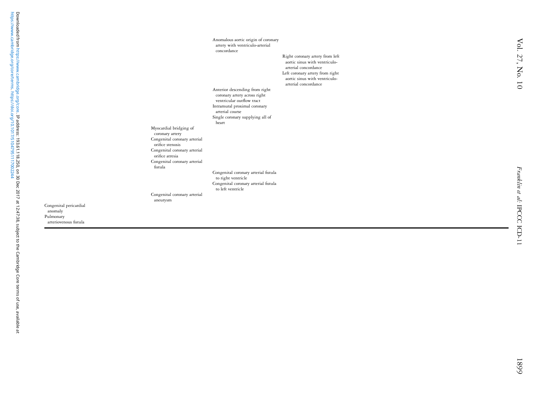Vol. 27, No. 10 Vol. 27, No. 10

artery with ventriculo-arterial concordance Right coronary artery from left aortic sinus with ventriculoarterial concordance Left coronary artery from right aortic sinus with ventriculoarterial concordance Anterior descending from right coronary artery across right ventricular outflow tract Intramural proximal coronary arterial course Single coronary supplying all of heart Myocardial bridging of coronary artery Congenital coronary arterial orifice stenosis Congenital coronary arterial orifice atresia Congenital coronary arterial fistula Congenital coronary arterial fistula to right ventricle Congenital coronary arterial fistula to left ventricle Congenital coronary arterial aneurysm

Anomalous aortic origin of coronary

Congenital pericardial anomaly Pulmonary arteriovenous fistula

1899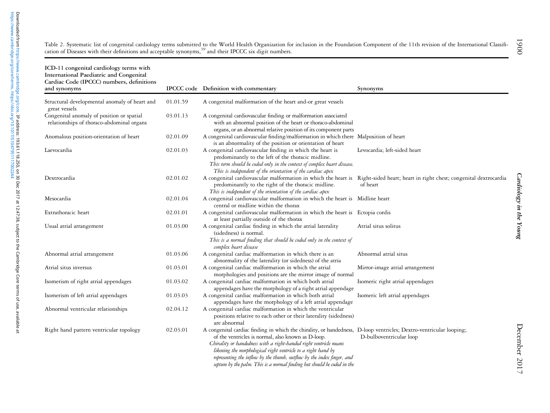<span id="page-28-0"></span>

| Table 2. Systematic list of congenital cardiology terms submitted to the World Health Organization for inclusion in the Foundation Component of the 11th revision of the International Classifi- |  |
|--------------------------------------------------------------------------------------------------------------------------------------------------------------------------------------------------|--|
| cation of Diseases with their definitions and acceptable synonyms, <sup>39</sup> and their IPCCC six digit numbers.                                                                              |  |

| ICD-11 congenital cardiology terms with<br>International Paediatric and Congenital<br>Cardiac Code (IPCCC) numbers, definitions<br>and synonyms |          | IPCCC code Definition with commentary                                                                                                                                                                                                                                                                                                                                                                                                                               | Synonyms                         |
|-------------------------------------------------------------------------------------------------------------------------------------------------|----------|---------------------------------------------------------------------------------------------------------------------------------------------------------------------------------------------------------------------------------------------------------------------------------------------------------------------------------------------------------------------------------------------------------------------------------------------------------------------|----------------------------------|
| Structural developmental anomaly of heart and<br>great vessels                                                                                  | 01.01.59 | A congenital malformation of the heart and-or great vessels                                                                                                                                                                                                                                                                                                                                                                                                         |                                  |
| Congenital anomaly of position or spatial<br>relationships of thoraco-abdominal organs                                                          | 03.01.13 | A congenital cardiovascular finding or malformation associated<br>with an abnormal position of the heart or thoraco-abdominal<br>organs, or an abnormal relative position of its component parts                                                                                                                                                                                                                                                                    |                                  |
| Anomalous position-orientation of heart                                                                                                         | 02.01.09 | A congenital cardiovascular finding/malformation in which there Malposition of heart<br>is an abnormality of the position or orientation of heart                                                                                                                                                                                                                                                                                                                   |                                  |
| Laevocardia                                                                                                                                     | 02.01.03 | A congenital cardiovascular finding in which the heart is<br>predominantly to the left of the thoracic midline.<br>This term should be coded only in the context of complex heart disease.<br>This is independent of the orientation of the cardiac apex                                                                                                                                                                                                            | Levocardia; left-sided heart     |
| Dextrocardia                                                                                                                                    | 02.01.02 | A congenital cardiovascular malformation in which the heart is Right-sided heart; heart in right chest; congenital dextrocardia<br>predominantly to the right of the thoracic midline.<br>This is independent of the orientation of the cardiac apex                                                                                                                                                                                                                | of heart                         |
| Mesocardia                                                                                                                                      | 02.01.04 | A congenital cardiovascular malformation in which the heart is Midline heart<br>central or midline within the thorax                                                                                                                                                                                                                                                                                                                                                |                                  |
| Extrathoracic heart                                                                                                                             | 02.01.01 | A congenital cardiovascular malformation in which the heart is Ectopia cordis<br>at least partially outside of the thorax                                                                                                                                                                                                                                                                                                                                           |                                  |
| Usual atrial arrangement                                                                                                                        | 01.03.00 | A congenital cardiac finding in which the atrial laterality<br>(sidedness) is normal.<br>This is a normal finding that should be coded only in the context of<br>complex heart disease                                                                                                                                                                                                                                                                              | Atrial situs solitus             |
| Abnormal atrial arrangement                                                                                                                     | 01.03.06 | A congenital cardiac malformation in which there is an<br>abnormality of the laterality (or sidedness) of the atria                                                                                                                                                                                                                                                                                                                                                 | Abnormal atrial situs            |
| Atrial situs inversus                                                                                                                           | 01.03.01 | A congenital cardiac malformation in which the atrial<br>morphologies and positions are the mirror image of normal                                                                                                                                                                                                                                                                                                                                                  | Mirror-image atrial arrangement  |
| Isomerism of right atrial appendages                                                                                                            | 01.03.02 | A congenital cardiac malformation in which both atrial<br>appendages have the morphology of a right atrial appendage                                                                                                                                                                                                                                                                                                                                                | Isomeric right atrial appendages |
| Isomerism of left atrial appendages                                                                                                             | 01.03.03 | A congenital cardiac malformation in which both atrial<br>appendages have the morphology of a left atrial appendage                                                                                                                                                                                                                                                                                                                                                 | Isomeric left atrial appendages  |
| Abnormal ventricular relationships                                                                                                              | 02.04.12 | A congenital cardiac malformation in which the ventricular<br>positions relative to each other or their laterality (sidedness)<br>are abnormal                                                                                                                                                                                                                                                                                                                      |                                  |
| Right hand pattern ventricular topology                                                                                                         | 02.03.01 | A congenital cardiac finding in which the chirality, or handedness, D-loop ventricles; Dextro-ventricular looping;<br>of the ventricles is normal, also known as D-loop.<br>Chirality or handedness with a right-handed right ventricle means<br>likening the morphological right ventricle to a right hand by<br>representing the inflow by the thumb, outflow by the index finger, and<br>septum by the palm. This is a normal finding but should be coded in the | D-bulboventricular loop          |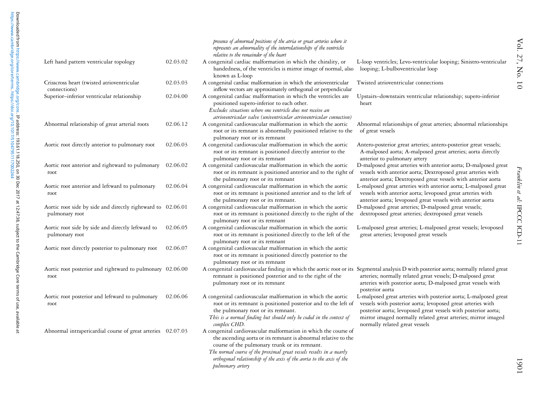|                                                                               |          | presence of abnormal positions of the atria or great arteries where it<br>represents an abnormality of the interrelationships of the ventricles<br>relative to the remainder of the heart                                                                                                                                                            |                                                                                                                                                                                                                                                                                                     |
|-------------------------------------------------------------------------------|----------|------------------------------------------------------------------------------------------------------------------------------------------------------------------------------------------------------------------------------------------------------------------------------------------------------------------------------------------------------|-----------------------------------------------------------------------------------------------------------------------------------------------------------------------------------------------------------------------------------------------------------------------------------------------------|
| Left hand pattern ventricular topology                                        | 02.03.02 | A congenital cardiac malformation in which the chirality, or<br>handedness, of the ventricles is mirror image of normal, also<br>known as L-loop                                                                                                                                                                                                     | L-loop ventricles; Levo-ventricular looping; Sinistro-ventricular<br>looping; L-bulboventricular loop                                                                                                                                                                                               |
| Crisscross heart (twisted atrioventricular<br>connections)                    | 02.03.03 | A congenital cardiac malformation in which the atrioventricular<br>inflow vectors are approximately orthogonal or perpendicular                                                                                                                                                                                                                      | Twisted atrioventricular connections                                                                                                                                                                                                                                                                |
| Superior-inferior ventricular relationship                                    | 02.04.00 | A congenital cardiac malformation in which the ventricles are<br>positioned supero-inferior to each other.<br>Excludes situations where one ventricle does not receive an<br>atrioventricular valve (univentricular atrioventricular connection)                                                                                                     | Upstairs-downstairs ventricular relationship; supero-inferior<br>heart                                                                                                                                                                                                                              |
| Abnormal relationship of great arterial roots                                 | 02.06.12 | A congenital cardiovascular malformation in which the aortic<br>root or its remnant is abnormally positioned relative to the<br>pulmonary root or its remnant                                                                                                                                                                                        | Abnormal relationships of great arteries; abnormal relationships<br>of great vessels                                                                                                                                                                                                                |
| Aortic root directly anterior to pulmonary root                               | 02.06.03 | A congenital cardiovascular malformation in which the aortic<br>root or its remnant is positioned directly anterior to the<br>pulmonary root or its remnant                                                                                                                                                                                          | Antero-posterior great arteries; antero-posterior great vessels;<br>A-malposed aorta; A-malposed great arteries; aorta directly<br>anterior to pulmonary artery                                                                                                                                     |
| Aortic root anterior and rightward to pulmonary<br>root                       | 02.06.02 | A congenital cardiovascular malformation in which the aortic<br>root or its remnant is positioned anterior and to the right of<br>the pulmonary root or its remnant                                                                                                                                                                                  | D-malposed great arteries with anterior aorta; D-malposed great<br>vessels with anterior aorta; Dextroposed great arteries with<br>anterior aorta; Dextroposed great vessels with anterior aorta                                                                                                    |
| Aortic root anterior and leftward to pulmonary<br>root                        | 02.06.04 | A congenital cardiovascular malformation in which the aortic<br>root or its remnant is positioned anterior and to the left of<br>the pulmonary root or its remnant.                                                                                                                                                                                  | L-malposed great arteries with anterior aorta; L-malposed great<br>vessels with anterior aorta; levoposed great arteries with<br>anterior aorta; levoposed great vessels with anterior aorta                                                                                                        |
| Aortic root side by side and directly rightward to 02.06.01<br>pulmonary root |          | A congenital cardiovascular malformation in which the aortic<br>root or its remnant is positioned directly to the right of the<br>pulmonary root or its remnant                                                                                                                                                                                      | D-malposed great arteries; D-malposed great vessels;<br>dextroposed great arteries; dextroposed great vessels                                                                                                                                                                                       |
| Aortic root side by side and directly leftward to<br>pulmonary root           | 02.06.05 | A congenital cardiovascular malformation in which the aortic<br>root or its remnant is positioned directly to the left of the<br>pulmonary root or its remnant                                                                                                                                                                                       | L-malposed great arteries; L-malposed great vessels; levoposed<br>great arteries; levoposed great vessels                                                                                                                                                                                           |
| Aortic root directly posterior to pulmonary root                              | 02.06.07 | A congenital cardiovascular malformation in which the aortic<br>root or its remnant is positioned directly posterior to the<br>pulmonary root or its remnant                                                                                                                                                                                         |                                                                                                                                                                                                                                                                                                     |
| Aortic root posterior and rightward to pulmonary 02.06.00<br>root             |          | A congenital cardiovascular finding in which the aortic root or its Segmental analysis D with posterior aorta; normally related great<br>remnant is positioned posterior and to the right of the<br>pulmonary root or its remnant                                                                                                                    | arteries; normally related great vessels; D-malposed great<br>arteries with posterior aorta; D-malposed great vessels with<br>posterior aorta                                                                                                                                                       |
| Aortic root posterior and leftward to pulmonary<br>root                       | 02.06.06 | A congenital cardiovascular malformation in which the aortic<br>root or its remnant is positioned posterior and to the left of<br>the pulmonary root or its remnant.<br>This is a normal finding but should only be coded in the context of<br>complex CHD.                                                                                          | L-malposed great arteries with posterior aorta; L-malposed great<br>vessels with posterior aorta; levoposed great arteries with<br>posterior aorta; levoposed great vessels with posterior aorta;<br>mirror imaged normally related great arteries; mirror imaged<br>normally related great vessels |
| Abnormal intrapericardial course of great arteries 02.07.03                   |          | A congenital cardiovascular malformation in which the course of<br>the ascending aorta or its remnant is abnormal relative to the<br>course of the pulmonary trunk or its remnant.<br>The normal course of the proximal great vessels results in a nearly<br>orthogonal relationship of the axis of the aorta to the axis of the<br>pulmonary artery |                                                                                                                                                                                                                                                                                                     |

[https://www.cambridge.org/core/terms.](https://www.cambridge.org/core/terms) <https://doi.org/10.1017/S1047951117002244>

Downloaded from https://www.cambridge.org/core.**IP address: 193.61.118.250, on 30 Dec 2017 at 12:47:38, subject to the Cambridge Core terms of use, available at<br>https://www.cambridge.org/core/terms. https://doi.org/10.1017** Downloaded from [https://www.cambridge.org/core.](https://www.cambridge.org/core) IP address: 193.61.118.250, on 30 Dec 2017 at 12:47:38, subject to the Cambridge Core terms of use, available at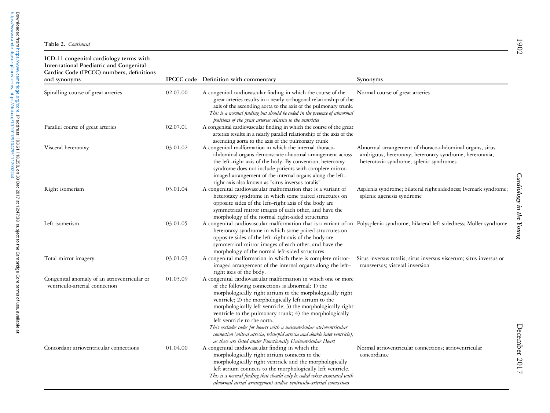| ICD-11 congenital cardiology terms with<br>International Paediatric and Congenital<br>Cardiac Code (IPCCC) numbers, definitions<br>and synonyms |          | IPCCC code Definition with commentary                                                                                                                                                                                                                                                                                                                                                                                                                                                                                                                                                                                    | Synonyms                                                                                                                                                      |
|-------------------------------------------------------------------------------------------------------------------------------------------------|----------|--------------------------------------------------------------------------------------------------------------------------------------------------------------------------------------------------------------------------------------------------------------------------------------------------------------------------------------------------------------------------------------------------------------------------------------------------------------------------------------------------------------------------------------------------------------------------------------------------------------------------|---------------------------------------------------------------------------------------------------------------------------------------------------------------|
| Spiralling course of great arteries                                                                                                             | 02.07.00 | A congenital cardiovascular finding in which the course of the<br>great arteries results in a nearly orthogonal relationship of the<br>axis of the ascending aorta to the axis of the pulmonary trunk.<br>This is a normal finding but should be coded in the presence of abnormal<br>positions of the great arteries relative to the ventricles                                                                                                                                                                                                                                                                         | Normal course of great arteries                                                                                                                               |
| Parallel course of great arteries                                                                                                               | 02.07.01 | A congenital cardiovascular finding in which the course of the great<br>arteries results in a nearly parallel relationship of the axis of the<br>ascending aorta to the axis of the pulmonary trunk                                                                                                                                                                                                                                                                                                                                                                                                                      |                                                                                                                                                               |
| Visceral heterotaxy                                                                                                                             | 03.01.02 | A congenital malformation in which the internal thoraco-<br>abdominal organs demonstrate abnormal arrangement across<br>the left-right axis of the body. By convention, heterotaxy<br>syndrome does not include patients with complete mirror-<br>imaged arrangement of the internal organs along the left-<br>right axis also known as "situs inversus totalis"                                                                                                                                                                                                                                                         | Abnormal arrangement of thoraco-abdominal organs; situs<br>ambiguus; heterotaxy; heterotaxy syndrome; heterotaxia;<br>heterotaxia syndrome; splenic syndromes |
| Right isomerism                                                                                                                                 | 03.01.04 | A congenital cardiovascular malformation that is a variant of<br>heterotaxy syndrome in which some paired structures on<br>opposite sides of the left-right axis of the body are<br>symmetrical mirror images of each other, and have the<br>morphology of the normal right-sided structures                                                                                                                                                                                                                                                                                                                             | Asplenia syndrome; bilateral right sidedness; Ivemark syndrome;<br>splenic agenesis syndrome                                                                  |
| Left isomerism                                                                                                                                  | 03.01.05 | heterotaxy syndrome in which some paired structures on<br>opposite sides of the left-right axis of the body are<br>symmetrical mirror images of each other, and have the<br>morphology of the normal left-sided structures                                                                                                                                                                                                                                                                                                                                                                                               | A congenital cardiovascular malformation that is a variant of an Polysplenia syndrome; bilateral left sidedness; Moller syndrome                              |
| Total mirror imagery                                                                                                                            | 03.01.03 | A congenital malformation in which there is complete mirror-<br>imaged arrangement of the internal organs along the left-<br>right axis of the body.                                                                                                                                                                                                                                                                                                                                                                                                                                                                     | Situs inversus totalis; situs inversus viscerum; situs inversus or<br>transversus; visceral inversion                                                         |
| Congenital anomaly of an atrioventricular or<br>ventriculo-arterial connection                                                                  | 01.03.09 | A congenital cardiovascular malformation in which one or more<br>of the following connections is abnormal: 1) the<br>morphologically right atrium to the morphologically right<br>ventricle; 2) the morphologically left atrium to the<br>morphologically left ventricle; 3) the morphologically right<br>ventricle to the pulmonary trunk; 4) the morphologically<br>left ventricle to the aorta.<br>This excludes codes for hearts with a univentricular atrioventricular<br>connection (mitral atresia, tricuspid atresia and double inlet ventricle),<br>as these are listed under Functionally Univentricular Heart |                                                                                                                                                               |
| Concordant atrioventricular connections                                                                                                         | 01.04.00 | A congenital cardiovascular finding in which the<br>morphologically right atrium connects to the<br>morphologically right ventricle and the morphologically<br>left atrium connects to the morphologically left ventricle.<br>This is a normal finding that should only be coded when associated with<br>abnormal atrial arrangement and/or ventriculo-arterial connections                                                                                                                                                                                                                                              | Normal atrioventricular connections; atrioventricular<br>concordance                                                                                          |

December 2017 December 2017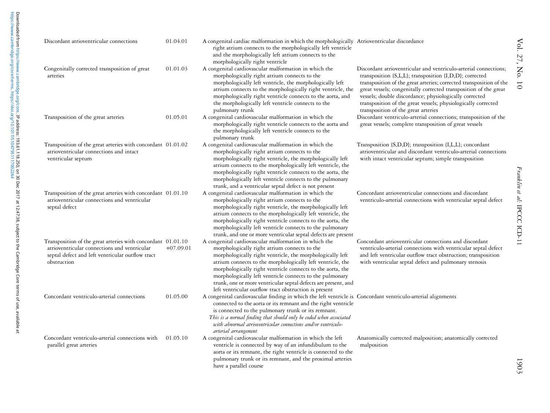| Discordant atrioventricular connections                                                                                                                                         | 01.04.01    | A congenital cardiac malformation in which the morphologically Atrioventricular discordance<br>right atrium connects to the morphologically left ventricle<br>and the morphologically left atrium connects to the<br>morphologically right ventricle                                                                                                                                                                                                                                  |                                                                                                                                                                                                                                                                                                                                                                                                                                          |
|---------------------------------------------------------------------------------------------------------------------------------------------------------------------------------|-------------|---------------------------------------------------------------------------------------------------------------------------------------------------------------------------------------------------------------------------------------------------------------------------------------------------------------------------------------------------------------------------------------------------------------------------------------------------------------------------------------|------------------------------------------------------------------------------------------------------------------------------------------------------------------------------------------------------------------------------------------------------------------------------------------------------------------------------------------------------------------------------------------------------------------------------------------|
| Congenitally corrected transposition of great<br>arteries                                                                                                                       | 01.01.03    | A congenital cardiovascular malformation in which the<br>morphologically right atrium connects to the<br>morphologically left ventricle, the morphologically left<br>atrium connects to the morphologically right ventricle, the<br>morphologically right ventricle connects to the aorta, and<br>the morphologically left ventricle connects to the<br>pulmonary trunk                                                                                                               | Discordant atrioventricular and ventriculo-arterial connections;<br>transposition {S,L,L}; transposition {I,D,D}; corrected<br>transposition of the great arteries; corrected transposition of the<br>great vessels; congenitally corrected transposition of the great<br>vessels; double discordance; physiologically corrected<br>transposition of the great vessels; physiologically corrected<br>transposition of the great arteries |
| Transposition of the great arteries                                                                                                                                             | 01.05.01    | A congenital cardiovascular malformation in which the<br>morphologically right ventricle connects to the aorta and<br>the morphologically left ventricle connects to the<br>pulmonary trunk                                                                                                                                                                                                                                                                                           | Discordant ventriculo-arterial connections; transposition of the<br>great vessels; complete transposition of great vessels                                                                                                                                                                                                                                                                                                               |
| Transposition of the great arteries with concordant 01.01.02<br>atrioventricular connections and intact<br>ventricular septum                                                   |             | A congenital cardiovascular malformation in which the<br>morphologically right atrium connects to the<br>morphologically right ventricle, the morphologically left<br>atrium connects to the morphologically left ventricle, the<br>morphologically right ventricle connects to the aorta, the<br>morphologically left ventricle connects to the pulmonary<br>trunk, and a ventricular septal defect is not present                                                                   | Transposition {S,D,D}; transposition {I,L,L}; concordant<br>atrioventricular and discordant ventriculo-arterial connections<br>with intact ventricular septum; simple transposition                                                                                                                                                                                                                                                      |
| Transposition of the great arteries with concordant 01.01.10<br>atrioventricular connections and ventricular<br>septal defect                                                   |             | A congenital cardiovascular malformation in which the<br>morphologically right atrium connects to the<br>morphologically right ventricle, the morphologically left<br>atrium connects to the morphologically left ventricle, the<br>morphologically right ventricle connects to the aorta, the<br>morphologically left ventricle connects to the pulmonary<br>trunk, and one or more ventricular septal defects are present                                                           | Concordant atrioventricular connections and discordant<br>ventriculo-arterial connections with ventricular septal defect                                                                                                                                                                                                                                                                                                                 |
| Transposition of the great arteries with concordant 01.01.10<br>atrioventricular connections and ventricular<br>septal defect and left ventricular outflow tract<br>obstruction | $+07.09.01$ | A congenital cardiovascular malformation in which the<br>morphologically right atrium connects to the<br>morphologically right ventricle, the morphologically left<br>atrium connects to the morphologically left ventricle, the<br>morphologically right ventricle connects to the aorta, the<br>morphologically left ventricle connects to the pulmonary<br>trunk, one or more ventricular septal defects are present, and<br>left ventricular outflow tract obstruction is present | Concordant atrioventricular connections and discordant<br>ventriculo-arterial connections with ventricular septal defect<br>and left ventricular outflow tract obstruction; transposition<br>with ventricular septal defect and pulmonary stenosis                                                                                                                                                                                       |
| Concordant ventriculo-arterial connections                                                                                                                                      | 01.05.00    | A congenital cardiovascular finding in which the left ventricle is Concordant ventriculo-arterial alignments<br>connected to the aorta or its remnant and the right ventricle<br>is connected to the pulmonary trunk or its remnant.<br>This is a normal finding that should only be coded when associated<br>with abnormal atrioventricular connections and/or ventriculo-<br>arterial arrangement                                                                                   |                                                                                                                                                                                                                                                                                                                                                                                                                                          |
| Concordant ventriculo-arterial connections with<br>parallel great arteries                                                                                                      | 01.05.10    | A congenital cardiovascular malformation in which the left<br>ventricle is connected by way of an infundibulum to the<br>aorta or its remnant, the right ventricle is connected to the<br>pulmonary trunk or its remnant, and the proximal arteries<br>have a parallel course                                                                                                                                                                                                         | Anatomically corrected malposition; anatomically corrected<br>malposition                                                                                                                                                                                                                                                                                                                                                                |

Franklin et al:

IPCCC ICD-11

Franklin et al: IPCCC ICD-11

1903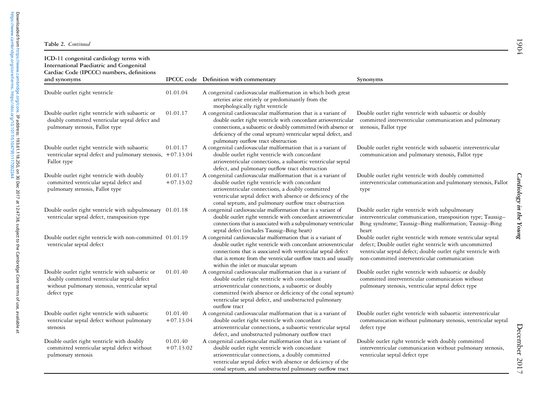| ICD-11 congenital cardiology terms with<br><b>International Paediatric and Congenital</b><br>Cardiac Code (IPCCC) numbers, definitions<br>and synonyms         |                         | IPCCC code Definition with commentary                                                                                                                                                                                                                                                                         | Synonyms                                                                                                                                                                                                                                |
|----------------------------------------------------------------------------------------------------------------------------------------------------------------|-------------------------|---------------------------------------------------------------------------------------------------------------------------------------------------------------------------------------------------------------------------------------------------------------------------------------------------------------|-----------------------------------------------------------------------------------------------------------------------------------------------------------------------------------------------------------------------------------------|
| Double outlet right ventricle                                                                                                                                  | 01.01.04                | A congenital cardiovascular malformation in which both great<br>arteries arise entirely or predominantly from the<br>morphologically right ventricle                                                                                                                                                          |                                                                                                                                                                                                                                         |
| Double outlet right ventricle with subaortic or<br>doubly committed ventricular septal defect and<br>pulmonary stenosis, Fallot type                           | 01.01.17                | A congenital cardiovascular malformation that is a variant of<br>double outlet right ventricle with concordant atrioventricular<br>connections, a subaortic or doubly committed (with absence or<br>deficiency of the conal septum) ventricular septal defect, and<br>pulmonary outflow tract obstruction     | Double outlet right ventricle with subaortic or doubly<br>committed interventricular communication and pulmonary<br>stenosis, Fallot type                                                                                               |
| Double outlet right ventricle with subaortic<br>ventricular septal defect and pulmonary stenosis, +07.13.04<br>Fallot type                                     | 01.01.17                | A congenital cardiovascular malformation that is a variant of<br>double outlet right ventricle with concordant<br>atrioventricular connections, a subaortic ventricular septal<br>defect, and pulmonary outflow tract obstruction                                                                             | Double outlet right ventricle with subaortic interventricular<br>communication and pulmonary stenosis, Fallot type                                                                                                                      |
| Double outlet right ventricle with doubly<br>committed ventricular septal defect and<br>pulmonary stenosis, Fallot type                                        | 01.01.17<br>$+07.13.02$ | A congenital cardiovascular malformation that is a variant of<br>double outlet right ventricle with concordant<br>atrioventricular connections, a doubly committed<br>ventricular septal defect with absence or deficiency of the<br>conal septum, and pulmonary outflow tract obstruction                    | Double outlet right ventricle with doubly committed<br>interventricular communication and pulmonary stenosis, Fallot<br>type                                                                                                            |
| Double outlet right ventricle with subpulmonary 01.01.18<br>ventricular septal defect, transposition type                                                      |                         | A congenital cardiovascular malformation that is a variant of<br>double outlet right ventricle with concordant atrioventricular<br>connections that is associated with a subpulmonary ventricular<br>septal defect (includes Taussig-Bing heart)                                                              | Double outlet right ventricle with subpulmonary<br>interventricular communication, transposition type; Taussig-<br>Bing syndrome; Taussig-Bing malformation; Taussig-Bing<br>heart                                                      |
| Double outlet right ventricle with non-committed 01.01.19<br>ventricular septal defect                                                                         |                         | A congenital cardiovascular malformation that is a variant of<br>double outlet right ventricle with concordant atrioventricular<br>connections that is associated with ventricular septal defect<br>that is remote from the ventricular outflow tracts and usually<br>within the inlet or muscular septum     | Double outlet right ventricle with remote ventricular septal<br>defect; Double outlet right ventricle with uncommitted<br>ventricular septal defect; double outlet right ventricle with<br>non-committed interventricular communication |
| Double outlet right ventricle with subaortic or<br>doubly committed ventricular septal defect<br>without pulmonary stenosis, ventricular septal<br>defect type | 01.01.40                | A congenital cardiovascular malformation that is a variant of<br>double outlet right ventricle with concordant<br>atrioventricular connections, a subaortic or doubly<br>committed (with absence or deficiency of the conal septum)<br>ventricular septal defect, and unobstructed pulmonary<br>outflow tract | Double outlet right ventricle with subaortic or doubly<br>committed interventricular communication without<br>pulmonary stenosis, ventricular septal defect type                                                                        |
| Double outlet right ventricle with subaortic<br>ventricular septal defect without pulmonary<br>stenosis                                                        | 01.01.40<br>$+07.13.04$ | A congenital cardiovascular malformation that is a variant of<br>double outlet right ventricle with concordant<br>atrioventricular connections, a subaortic ventricular septal<br>defect, and unobstructed pulmonary outflow tract                                                                            | Double outlet right ventricle with subaortic interventricular<br>communication without pulmonary stenosis, ventricular septal<br>defect type                                                                                            |
| Double outlet right ventricle with doubly<br>committed ventricular septal defect without<br>pulmonary stenosis                                                 | 01.01.40<br>$+07.13.02$ | A congenital cardiovascular malformation that is a variant of<br>double outlet right ventricle with concordant<br>atrioventricular connections, a doubly committed<br>ventricular septal defect with absence or deficiency of the<br>conal septum, and unobstructed pulmonary outflow tract                   | Double outlet right ventricle with doubly committed<br>interventricular communication without pulmonary stenosis,<br>ventricular septal defect type                                                                                     |

December 2017 December 2017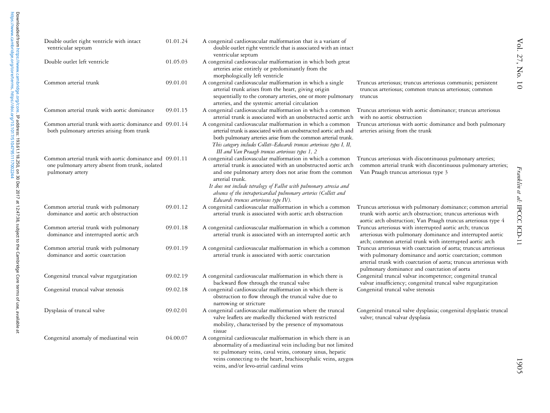[https://www.cambridge.org/core/terms.](https://www.cambridge.org/core/terms) <https://doi.org/10.1017/S1047951117002244>

| Double outlet right ventricle with intact<br>ventricular septum                                                                  | 01.01.24 | A congenital cardiovascular malformation that is a variant of<br>double outlet right ventricle that is associated with an intact                                                                                                                                                                                                                                                           |                                                                                                                                                                                                                                                  |
|----------------------------------------------------------------------------------------------------------------------------------|----------|--------------------------------------------------------------------------------------------------------------------------------------------------------------------------------------------------------------------------------------------------------------------------------------------------------------------------------------------------------------------------------------------|--------------------------------------------------------------------------------------------------------------------------------------------------------------------------------------------------------------------------------------------------|
| Double outlet left ventricle                                                                                                     | 01.05.03 | ventricular septum<br>A congenital cardiovascular malformation in which both great<br>arteries arise entirely or predominantly from the<br>morphologically left ventricle                                                                                                                                                                                                                  |                                                                                                                                                                                                                                                  |
| Common arterial trunk                                                                                                            | 09.01.01 | A congenital cardiovascular malformation in which a single<br>arterial trunk arises from the heart, giving origin<br>sequentially to the coronary arteries, one or more pulmonary<br>arteries, and the systemic arterial circulation                                                                                                                                                       | Truncus arteriosus; truncus arteriosus communis; persistent<br>truncus arteriosus; common truncus arteriosus; common<br>truncus                                                                                                                  |
| Common arterial trunk with aortic dominance                                                                                      | 09.01.15 | A congenital cardiovascular malformation in which a common<br>arterial trunk is associated with an unobstructed aortic arch                                                                                                                                                                                                                                                                | Truncus arteriosus with aortic dominance; truncus arteriosus<br>with no aortic obstruction                                                                                                                                                       |
| Common arterial trunk with aortic dominance and 09.01.14<br>both pulmonary arteries arising from trunk                           |          | A congenital cardiovascular malformation in which a common<br>arterial trunk is associated with an unobstructed aortic arch and<br>both pulmonary arteries arise from the common arterial trunk.<br>This category includes Collett-Edwards truncus arteriosus types I, II,<br>III and Van Praagh truncus arteriosus types 1, 2                                                             | Truncus arteriosus with aortic dominance and both pulmonary<br>arteries arising from the trunk                                                                                                                                                   |
| Common arterial trunk with aortic dominance and 09.01.11<br>one pulmonary artery absent from trunk, isolated<br>pulmonary artery |          | A congenital cardiovascular malformation in which a common<br>arterial trunk is associated with an unobstructed aortic arch<br>and one pulmonary artery does not arise from the common<br>arterial trunk.<br>It does not include tetralogy of Fallot with pulmonary atresia and<br>absence of the intrapericardial pulmonary arteries (Collett and<br>Edwards truncus arteriosus type IV). | Truncus arteriosus with discontinuous pulmonary arteries;<br>common arterial trunk with discontinuous pulmonary arteries;<br>Van Praagh truncus arteriosus type 3                                                                                |
| Common arterial trunk with pulmonary<br>dominance and aortic arch obstruction                                                    | 09.01.12 | A congenital cardiovascular malformation in which a common<br>arterial trunk is associated with aortic arch obstruction                                                                                                                                                                                                                                                                    | Truncus arteriosus with pulmonary dominance; common arterial<br>trunk with aortic arch obstruction; truncus arteriosus with<br>aortic arch obstruction; Van Praagh truncus arteriosus type 4                                                     |
| Common arterial trunk with pulmonary<br>dominance and interrupted aortic arch                                                    | 09.01.18 | A congenital cardiovascular malformation in which a common<br>arterial trunk is associated with an interrupted aortic arch                                                                                                                                                                                                                                                                 | Truncus arteriosus with interrupted aortic arch; truncus<br>arteriosus with pulmonary dominance and interrupted aortic<br>arch; common arterial trunk with interrupted aortic arch                                                               |
| Common arterial trunk with pulmonary<br>dominance and aortic coarctation                                                         | 09.01.19 | A congenital cardiovascular malformation in which a common<br>arterial trunk is associated with aortic coarctation                                                                                                                                                                                                                                                                         | Truncus arteriosus with coarctation of aorta; truncus arteriosus<br>with pulmonary dominance and aortic coarctation; common<br>arterial trunk with coarctation of aorta; truncus arteriosus with<br>pulmonary dominance and coarctation of aorta |
| Congenital truncal valvar regurgitation                                                                                          | 09.02.19 | A congenital cardiovascular malformation in which there is<br>backward flow through the truncal valve                                                                                                                                                                                                                                                                                      | Congenital truncal valvar incompetence; congenital truncal<br>valvar insufficiency; congenital truncal valve regurgitation                                                                                                                       |
| Congenital truncal valvar stenosis                                                                                               | 09.02.18 | A congenital cardiovascular malformation in which there is<br>obstruction to flow through the truncal valve due to<br>narrowing or stricture                                                                                                                                                                                                                                               | Congenital truncal valve stenosis                                                                                                                                                                                                                |
| Dysplasia of truncal valve                                                                                                       | 09.02.01 | A congenital cardiovascular malformation where the truncal<br>valve leaflets are markedly thickened with restricted<br>mobility, characterised by the presence of myxomatous<br>tissue                                                                                                                                                                                                     | Congenital truncal valve dysplasia; congenital dysplastic truncal<br>valve; truncal valvar dysplasia                                                                                                                                             |
| Congenital anomaly of mediastinal vein                                                                                           | 04.00.07 | A congenital cardiovascular malformation in which there is an<br>abnormality of a mediastinal vein including but not limited<br>to: pulmonary veins, caval veins, coronary sinus, hepatic<br>veins connecting to the heart, brachiocephalic veins, azygos                                                                                                                                  |                                                                                                                                                                                                                                                  |

veins, and/or levo-atrial cardinal veins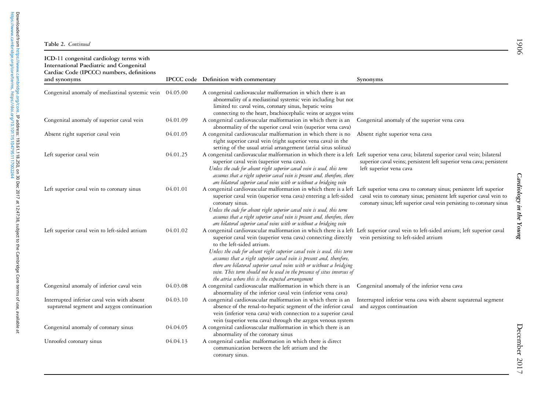| ICD-11 congenital cardiology terms with<br>International Paediatric and Congenital<br>Cardiac Code (IPCCC) numbers, definitions |          |                                                                                                                                                                                                                                                                                                                                                                                                                                                                                                                                                                                           |                                                                                                                                               |
|---------------------------------------------------------------------------------------------------------------------------------|----------|-------------------------------------------------------------------------------------------------------------------------------------------------------------------------------------------------------------------------------------------------------------------------------------------------------------------------------------------------------------------------------------------------------------------------------------------------------------------------------------------------------------------------------------------------------------------------------------------|-----------------------------------------------------------------------------------------------------------------------------------------------|
| and synonyms                                                                                                                    |          | IPCCC code Definition with commentary                                                                                                                                                                                                                                                                                                                                                                                                                                                                                                                                                     | Synonyms                                                                                                                                      |
| Congenital anomaly of mediastinal systemic vein                                                                                 | 04.05.00 | A congenital cardiovascular malformation in which there is an<br>abnormality of a mediastinal systemic vein including but not<br>limited to: caval veins, coronary sinus, hepatic veins<br>connecting to the heart, brachiocephalic veins or azygos veins                                                                                                                                                                                                                                                                                                                                 |                                                                                                                                               |
| Congenital anomaly of superior caval vein                                                                                       | 04.01.09 | A congenital cardiovascular malformation in which there is an<br>abnormality of the superior caval vein (superior vena cava)                                                                                                                                                                                                                                                                                                                                                                                                                                                              | Congenital anomaly of the superior vena cava                                                                                                  |
| Absent right superior caval vein                                                                                                | 04.01.05 | A congenital cardiovascular malformation in which there is no<br>right superior caval vein (right superior vena cava) in the<br>setting of the usual atrial arrangement (atrial situs solitus)                                                                                                                                                                                                                                                                                                                                                                                            | Absent right superior vena cava                                                                                                               |
| Left superior caval vein                                                                                                        | 04.01.25 | A congenital cardiovascular malformation in which there is a left Left superior vena cava; bilateral superior caval vein; bilateral<br>superior caval vein (superior vena cava).<br>Unless the code for absent right superior caval vein is used, this term<br>assumes that a right superior caval vein is present and, therefore, there<br>are bilateral superior caval veins with or without a bridging vein                                                                                                                                                                            | superior caval veins; persistent left superior vena cava; persistent<br>left superior vena cava                                               |
| Left superior caval vein to coronary sinus                                                                                      | 04.01.01 | A congenital cardiovascular malformation in which there is a left Left superior vena cava to coronary sinus; persistent left superior<br>superior caval vein (superior vena cava) entering a left-sided<br>coronary sinus.<br>Unless the code for absent right superior caval vein is used, this term<br>assumes that a right superior caval vein is present and, therefore, there<br>are bilateral superior caval veins with or without a bridging vein                                                                                                                                  | caval vein to coronary sinus; persistent left superior caval vein to<br>coronary sinus; left superior caval vein persisting to coronary sinus |
| Left superior caval vein to left-sided atrium                                                                                   | 04.01.02 | A congenital cardiovascular malformation in which there is a left Left superior caval vein to left-sided atrium; left superior caval<br>superior caval vein (superior vena cava) connecting directly<br>to the left-sided atrium.<br>Unless the code for absent right superior caval vein is used, this term<br>assumes that a right superior caval vein is present and, therefore,<br>there are bilateral superior caval veins with or without a bridging<br>vein. This term should not be used in the presence of situs inversus of<br>the atria where this is the expected arrangement | vein persisting to left-sided atrium                                                                                                          |
| Congenital anomaly of inferior caval vein                                                                                       | 04.03.08 | A congenital cardiovascular malformation in which there is an<br>abnormality of the inferior caval vein (inferior vena cava)                                                                                                                                                                                                                                                                                                                                                                                                                                                              | Congenital anomaly of the inferior vena cava                                                                                                  |
| Interrupted inferior caval vein with absent<br>suprarenal segment and azygos continuation                                       | 04.03.10 | A congenital cardiovascular malformation in which there is an<br>absence of the renal-to-hepatic segment of the inferior caval<br>vein (inferior vena cava) with connection to a superior caval<br>vein (superior vena cava) through the azygos venous system                                                                                                                                                                                                                                                                                                                             | Interrupted inferior vena cava with absent suprarenal segment<br>and azygos continuation                                                      |
| Congenital anomaly of coronary sinus                                                                                            | 04.04.05 | A congenital cardiovascular malformation in which there is an<br>abnormality of the coronary sinus                                                                                                                                                                                                                                                                                                                                                                                                                                                                                        |                                                                                                                                               |
| Unroofed coronary sinus                                                                                                         | 04.04.13 | A congenital cardiac malformation in which there is direct<br>communication between the left atrium and the<br>coronary sinus.                                                                                                                                                                                                                                                                                                                                                                                                                                                            |                                                                                                                                               |

December 2017

December 2017

1906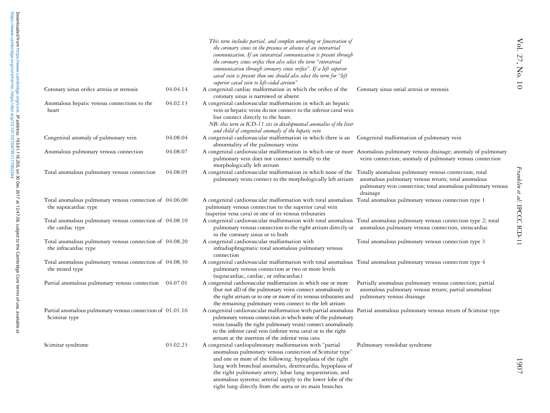|                                                                                  |          | This term includes partial, and complete unroofing or fenestration of<br>the coronary sinus in the presence or absence of an interatrial<br>communication. If an interatrial communication is present through<br>the coronary sinus orifice then also select the term "interatrial<br>communication through coronary sinus orifice". If a left superior<br>caval vein is present then one should also select the term for "left<br>superior caval vein to left-sided atrium" |                                                                                                                                               |
|----------------------------------------------------------------------------------|----------|------------------------------------------------------------------------------------------------------------------------------------------------------------------------------------------------------------------------------------------------------------------------------------------------------------------------------------------------------------------------------------------------------------------------------------------------------------------------------|-----------------------------------------------------------------------------------------------------------------------------------------------|
| Coronary sinus orifice atresia or stenosis                                       | 04.04.14 | A congenital cardiac malformation in which the orifice of the<br>coronary sinus is narrowed or absent                                                                                                                                                                                                                                                                                                                                                                        | Coronary sinus ostial atresia or stenosis                                                                                                     |
| Anomalous hepatic venous connections to the<br>heart                             | 04.02.13 | A congenital cardiovascular malformation in which an hepatic<br>vein or hepatic veins do not connect to the inferior caval vein<br>but connect directly to the heart.<br>NB: this term in ICD-11 sits in developmental anomalies of the liver<br>and child of congenital anomaly of the hepatic vein                                                                                                                                                                         |                                                                                                                                               |
| Congenital anomaly of pulmonary vein                                             | 04.08.04 | A congenital cardiovascular malformation in which there is an Congenital malformation of pulmonary vein<br>abnormality of the pulmonary veins                                                                                                                                                                                                                                                                                                                                |                                                                                                                                               |
| Anomalous pulmonary venous connection                                            | 04.08.07 | A congenital cardiovascular malformation in which one or more Anomalous pulmonary venous drainage; anomaly of pulmonary<br>pulmonary vein does not connect normally to the<br>morphologically left atrium                                                                                                                                                                                                                                                                    | veins connection; anomaly of pulmonary venous connection                                                                                      |
| Total anomalous pulmonary venous connection                                      | 04.08.05 | A congenital cardiovascular malformation in which none of the Totally anomalous pulmonary venous connection; total<br>pulmonary veins connect to the morphologically left atrium                                                                                                                                                                                                                                                                                             | anomalous pulmonary venous return; total anomalous<br>pulmonary vein connection; total anomalous pulmonary venous<br>drainage                 |
| Total anomalous pulmonary venous connection of 04.06.00<br>the supracardiac type |          | A congenital cardiovascular malformation with total anomalous Total anomalous pulmonary venous connection type 1<br>pulmonary venous connection to the superior caval vein<br>(superior vena cava) or one of its venous tributaries                                                                                                                                                                                                                                          |                                                                                                                                               |
| Total anomalous pulmonary venous connection of 04.08.10<br>the cardiac type      |          | A congenital cardiovascular malformation with total anomalous Total anomalous pulmonary venous connection type 2; total<br>pulmonary venous connection to the right atrium directly or anomalous pulmonary venous connection, intracardiac<br>to the coronary sinus or to both                                                                                                                                                                                               |                                                                                                                                               |
| Total anomalous pulmonary venous connection of 04.08.20<br>the infracardiac type |          | A congenital cardiovascular malformation with<br>infradiaphragmatic total anomalous pulmonary venous<br>connection                                                                                                                                                                                                                                                                                                                                                           | Total anomalous pulmonary venous connection type 3                                                                                            |
| Total anomalous pulmonary venous connection of 04.08.30<br>the mixed type        |          | A congenital cardiovascular malformation with total anomalous Total anomalous pulmonary venous connection type 4<br>pulmonary venous connection at two or more levels<br>(supracardiac, cardiac, or infracardiac)                                                                                                                                                                                                                                                            |                                                                                                                                               |
| Partial anomalous pulmonary venous connection 04.07.01                           |          | A congenital cardiovascular malformation in which one or more<br>(but not all) of the pulmonary veins connect anomalously to<br>the right atrium or to one or more of its venous tributaries and<br>the remaining pulmonary veins connect to the left atrium                                                                                                                                                                                                                 | Partially anomalous pulmonary venous connection; partial<br>anomalous pulmonary venous return; partial anomalous<br>pulmonary venous drainage |
| Partial anomalous pulmonary venous connection of 01.01.16<br>Scimitar type       |          | A congenital cardiovascular malformation with partial anomalous Partial anomalous pulmonary venous return of Scimitar type<br>pulmonary venous connection in which some of the pulmonary<br>veins (usually the right pulmonary veins) connect anomalously<br>to the inferior caval vein (inferior vena cava) or to the right<br>atrium at the insertion of the inferior vena cava                                                                                            |                                                                                                                                               |
| Scimitar syndrome                                                                | 03.02.23 | A congenital cardiopulmonary malformation with "partial<br>anomalous pulmonary venous connection of Scimitar type"<br>and one or more of the following: hypoplasia of the right<br>lung with bronchial anomalies, dextrocardia, hypoplasia of<br>the right pulmonary artery, lobar lung sequestration, and<br>anomalous systemic arterial supply to the lower lobe of the                                                                                                    | Pulmonary venolobar syndrome                                                                                                                  |

right lung directly from the aorta or its main branches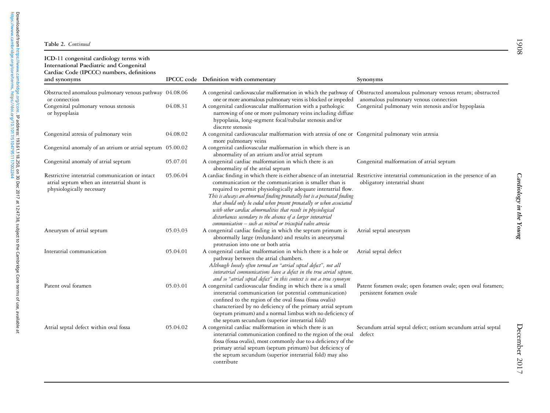| ICD-11 congenital cardiology terms with<br>International Paediatric and Congenital<br>Cardiac Code (IPCCC) numbers, definitions<br>and synonyms |          | IPCCC code Definition with commentary                                                                                                                                                                                                                                                                                                                                                                                                                                                                                                                                                                         | Synonyms                                                                                      |
|-------------------------------------------------------------------------------------------------------------------------------------------------|----------|---------------------------------------------------------------------------------------------------------------------------------------------------------------------------------------------------------------------------------------------------------------------------------------------------------------------------------------------------------------------------------------------------------------------------------------------------------------------------------------------------------------------------------------------------------------------------------------------------------------|-----------------------------------------------------------------------------------------------|
|                                                                                                                                                 |          |                                                                                                                                                                                                                                                                                                                                                                                                                                                                                                                                                                                                               |                                                                                               |
| Obstructed anomalous pulmonary venous pathway 04.08.06<br>or connection<br>Congenital pulmonary venous stenosis<br>or hypoplasia                | 04.08.31 | A congenital cardiovascular malformation in which the pathway of Obstructed anomalous pulmonary venous return; obstructed<br>one or more anomalous pulmonary veins is blocked or impeded<br>A congenital cardiovascular malformation with a pathologic<br>narrowing of one or more pulmonary veins including diffuse<br>hypoplasia, long-segment focal/tubular stenosis and/or<br>discrete stenosis                                                                                                                                                                                                           | anomalous pulmonary venous connection<br>Congenital pulmonary vein stenosis and/or hypoplasia |
| Congenital atresia of pulmonary vein                                                                                                            | 04.08.02 | A congenital cardiovascular malformation with atresia of one or Congenital pulmonary vein atresia<br>more pulmonary veins                                                                                                                                                                                                                                                                                                                                                                                                                                                                                     |                                                                                               |
| Congenital anomaly of an atrium or atrial septum 05.00.02                                                                                       |          | A congenital cardiovascular malformation in which there is an<br>abnormality of an atrium and/or atrial septum                                                                                                                                                                                                                                                                                                                                                                                                                                                                                                |                                                                                               |
| Congenital anomaly of atrial septum                                                                                                             | 05.07.01 | A congenital cardiac malformation in which there is an<br>abnormality of the atrial septum                                                                                                                                                                                                                                                                                                                                                                                                                                                                                                                    | Congenital malformation of atrial septum                                                      |
| Restrictive interatrial communication or intact<br>atrial septum when an interatrial shunt is<br>physiologically necessary                      | 05.06.04 | A cardiac finding in which there is either absence of an interatrial Restrictive interatrial communication in the presence of an<br>communication or the communication is smaller than is<br>required to permit physiologically adequate interatrial flow.<br>This is always an abnormal finding prenatally but is a postnatal finding<br>that should only be coded when present prenatally or when associated<br>with other cardiac abnormalities that result in physiological<br>disturbances secondary to the absence of a larger interatrial<br>communication - such as mitral or tricuspid valve atresia | obligatory interatrial shunt                                                                  |
| Aneurysm of atrial septum                                                                                                                       | 05.03.03 | A congenital cardiac finding in which the septum primum is<br>abnormally large (redundant) and results in aneurysmal<br>protrusion into one or both atria                                                                                                                                                                                                                                                                                                                                                                                                                                                     | Atrial septal aneurysm                                                                        |
| Interatrial communication                                                                                                                       | 05.04.01 | A congenital cardiac malformation in which there is a hole or<br>pathway between the atrial chambers.<br>Although loosely often termed an "atrial septal defect", not all<br>interatrial communications have a defect in the true atrial septum,<br>and so "atrial septal defect" in this context is not a true synonym                                                                                                                                                                                                                                                                                       | Atrial septal defect                                                                          |
| Patent oval foramen                                                                                                                             | 05.03.01 | A congenital cardiovascular finding in which there is a small<br>interatrial communication (or potential communication)<br>confined to the region of the oval fossa (fossa ovalis)<br>characterized by no deficiency of the primary atrial septum<br>(septum primum) and a normal limbus with no deficiency of<br>the septum secundum (superior interatrial fold)                                                                                                                                                                                                                                             | Patent foramen ovale; open foramen ovale; open oval foramen;<br>persistent foramen ovale      |
| Atrial septal defect within oval fossa                                                                                                          | 05.04.02 | A congenital cardiac malformation in which there is an<br>interatrial communication confined to the region of the oval<br>fossa (fossa ovalis), most commonly due to a deficiency of the<br>primary atrial septum (septum primum) but deficiency of<br>the septum secundum (superior interatrial fold) may also<br>contribute                                                                                                                                                                                                                                                                                 | Secundum atrial septal defect; ostium secundum atrial septal<br>defect                        |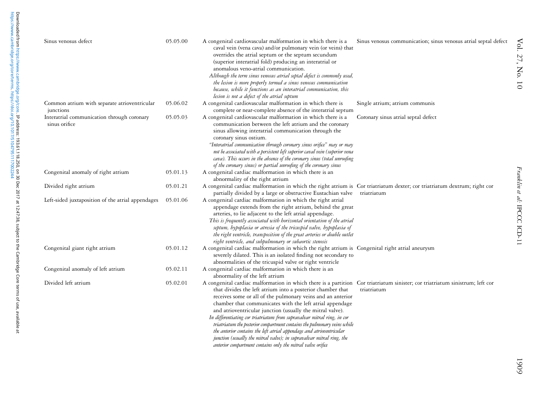| Sinus venosus defect                                        | 05.05.00 | A congenital cardiovascular malformation in which there is a<br>caval vein (vena cava) and/or pulmonary vein (or veins) that<br>overrides the atrial septum or the septum secundum<br>(superior interatrial fold) producing an interatrial or<br>anomalous veno-atrial communication.<br>Although the term sinus venosus atrial septal defect is commonly used,<br>the lesion is more properly termed a sinus venosus communication<br>because, while it functions as an interatrial communication, this<br>lesion is not a defect of the atrial septum                                                                                                                                                                                                   | Sinus venosus communication; sinus venosus atrial septal defect |
|-------------------------------------------------------------|----------|-----------------------------------------------------------------------------------------------------------------------------------------------------------------------------------------------------------------------------------------------------------------------------------------------------------------------------------------------------------------------------------------------------------------------------------------------------------------------------------------------------------------------------------------------------------------------------------------------------------------------------------------------------------------------------------------------------------------------------------------------------------|-----------------------------------------------------------------|
| Common atrium with separate atrioventricular<br>junctions   | 05.06.02 | A congenital cardiovascular malformation in which there is<br>complete or near-complete absence of the interatrial septum                                                                                                                                                                                                                                                                                                                                                                                                                                                                                                                                                                                                                                 | Single atrium; atrium communis                                  |
| Interatrial communication through coronary<br>sinus orifice | 05.05.03 | A congenital cardiovascular malformation in which there is a<br>communication between the left atrium and the coronary<br>sinus allowing interatrial communication through the<br>coronary sinus ostium.<br>"Interatrial communication through coronary sinus orifice" may or may<br>not be associated with a persistent left superior caval vein (superior vena<br>cava). This occurs in the absence of the coronary sinus (total unroofing<br>of the coronary sinus) or partial unroofing of the coronary sinus                                                                                                                                                                                                                                         | Coronary sinus atrial septal defect                             |
| Congenital anomaly of right atrium                          | 05.01.13 | A congenital cardiac malformation in which there is an<br>abnormality of the right atrium                                                                                                                                                                                                                                                                                                                                                                                                                                                                                                                                                                                                                                                                 |                                                                 |
| Divided right atrium                                        | 05.01.21 | A congenital cardiac malformation in which the right atrium is Cor triatriatum dexter; cor triatriatum dextrum; right cor<br>partially divided by a large or obstructive Eustachian valve                                                                                                                                                                                                                                                                                                                                                                                                                                                                                                                                                                 | triatriatum                                                     |
| Left-sided juxtaposition of the atrial appendages           | 05.01.06 | A congenital cardiac malformation in which the right atrial<br>appendage extends from the right atrium, behind the great<br>arteries, to lie adjacent to the left atrial appendage.<br>This is frequently associated with horizontal orientation of the atrial<br>septum, hypoplasia or atresia of the tricuspid valve, hypoplasia of<br>the right ventricle, transposition of the great arteries or double outlet<br>right ventricle, and subpulmonary or subaortic stenosis                                                                                                                                                                                                                                                                             |                                                                 |
| Congenital giant right atrium                               | 05.01.12 | A congenital cardiac malformation in which the right atrium is Congenital right atrial aneurysm<br>severely dilated. This is an isolated finding not secondary to<br>abnormalities of the tricuspid valve or right ventricle                                                                                                                                                                                                                                                                                                                                                                                                                                                                                                                              |                                                                 |
| Congenital anomaly of left atrium                           | 05.02.11 | A congenital cardiac malformation in which there is an<br>abnormality of the left atrium                                                                                                                                                                                                                                                                                                                                                                                                                                                                                                                                                                                                                                                                  |                                                                 |
| Divided left atrium                                         | 05.02.01 | A congenital cardiac malformation in which there is a partition Cor triatriatum sinister; cor triatriatum sinistrum; left cor<br>that divides the left atrium into a posterior chamber that<br>receives some or all of the pulmonary veins and an anterior<br>chamber that communicates with the left atrial appendage<br>and atrioventricular junction (usually the mitral valve).<br>In differentiating cor triatriatum from supravalvar mitral ring, in cor<br>triatriatum the posterior compartment contains the pulmonary veins while<br>the anterior contains the left atrial appendage and atrioventricular<br>junction (usually the mitral valve); in supravalvar mitral ring, the<br>anterior compartment contains only the mitral valve orifice | triatriatum                                                     |

1909

Vol. 27, No. 10

Vol. 27, No. 10

Franklin et al:

IPCCC ICD-11

Franklin et al: IPCCC ICD-11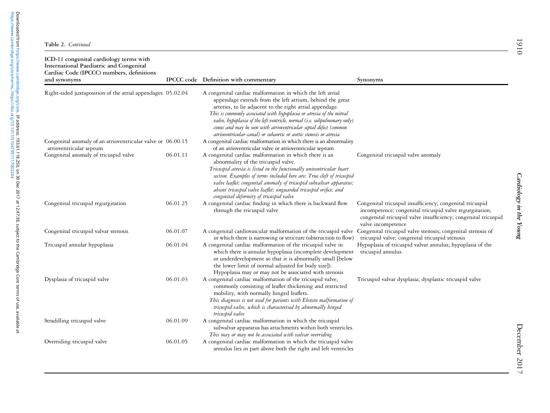| ICD-11 congenital cardiology terms with<br>International Paediatric and Congenital<br>Cardiac Code (IPCCC) numbers, definitions<br>and synonyms |          | IPCCC code Definition with commentary                                                                                                                                                                                                                                                                                                                                                                                                                                             | Synonyms                                                                                                                                                                                                    |
|-------------------------------------------------------------------------------------------------------------------------------------------------|----------|-----------------------------------------------------------------------------------------------------------------------------------------------------------------------------------------------------------------------------------------------------------------------------------------------------------------------------------------------------------------------------------------------------------------------------------------------------------------------------------|-------------------------------------------------------------------------------------------------------------------------------------------------------------------------------------------------------------|
| Right-sided juxtaposition of the atrial appendages 05.02.04                                                                                     |          | A congenital cardiac malformation in which the left atrial<br>appendage extends from the left atrium, behind the great<br>arteries, to lie adjacent to the right atrial appendage.<br>This is commonly associated with hypoplasia or atresia of the mitral<br>valve, hypoplasia of the left ventricle, normal (i.e. subpulmonary only)<br>conus and may be seen with atrioventricular septal defect (common<br>atrioventricular canal) or subaortic or aortic stenosis or atresia |                                                                                                                                                                                                             |
| Congenital anomaly of an atrioventricular valve or 06.00.15<br>atrioventricular septum                                                          |          | A congenital cardiac malformation in which there is an abnormality<br>of an atrioventricular valve or atrioventricular septum                                                                                                                                                                                                                                                                                                                                                     |                                                                                                                                                                                                             |
| Congenital anomaly of tricuspid valve                                                                                                           | 06.01.11 | A congenital cardiac malformation in which there is an<br>abnormality of the tricuspid valve.<br>Tricuspid atresia is listed in the functionally univentricular heart<br>section. Examples of terms included here are: True cleft of tricuspid<br>valve leaflet; congenital anomaly of tricuspid subvalvar apparatus;<br>absent tricuspid valve leaflet; unguarded tricuspid orifice; and<br>congenital deformity of tricuspid valve                                              | Congenital tricuspid valve anomaly                                                                                                                                                                          |
| Congenital tricuspid regurgitation                                                                                                              | 06.01.25 | A congenital cardiac finding in which there is backward flow<br>through the tricuspid valve                                                                                                                                                                                                                                                                                                                                                                                       | Congenital tricuspid insufficiency; congenital tricuspid<br>incompetence; congenital tricuspid valve regurgitation;<br>congenital tricuspid valve insufficiency; congenital tricuspid<br>valve incompetence |
| Congenital tricuspid valvar stenosis                                                                                                            | 06.01.07 | A congenital cardiovascular malformation of the tricuspid valve<br>in which there is narrowing or stricture (obstruction to flow)                                                                                                                                                                                                                                                                                                                                                 | Congenital tricuspid valve stenosis; congenital stenosis of<br>tricuspid valve; congenital tricuspid stenosis                                                                                               |
| Tricuspid annular hypoplasia                                                                                                                    | 06.01.04 | A congenital cardiac malformation of the tricuspid valve in<br>which there is annular hypoplasia (incomplete development<br>or underdevelopment so that it is abnormally small [below<br>the lower limit of normal adjusted for body size]).<br>Hypoplasia may or may not be associated with stenosis                                                                                                                                                                             | Hypoplasia of tricuspid valvar annulus; hypoplasia of the<br>tricuspid annulus                                                                                                                              |
| Dysplasia of tricuspid valve                                                                                                                    | 06.01.03 | A congenital cardiac malformation of the tricuspid valve,<br>commonly consisting of leaflet thickening and restricted<br>mobility, with normally hinged leaflets.<br>This diagnosis is not used for patients with Ebstein malformation of<br>tricuspid valve, which is characterised by abnormally hinged<br>tricuspid valve                                                                                                                                                      | Tricuspid valvar dysplasia; dysplastic tricuspid valve                                                                                                                                                      |
| Straddling tricuspid valve                                                                                                                      | 06.01.09 | A congenital cardiac malformation in which the tricuspid<br>subvalvar apparatus has attachments within both ventricles.<br>This may or may not be associated with valvar overriding                                                                                                                                                                                                                                                                                               |                                                                                                                                                                                                             |
| Overriding tricuspid valve                                                                                                                      | 06.01.05 | A congenital cardiac malformation in which the tricuspid valve<br>annulus lies in part above both the right and left ventricles                                                                                                                                                                                                                                                                                                                                                   |                                                                                                                                                                                                             |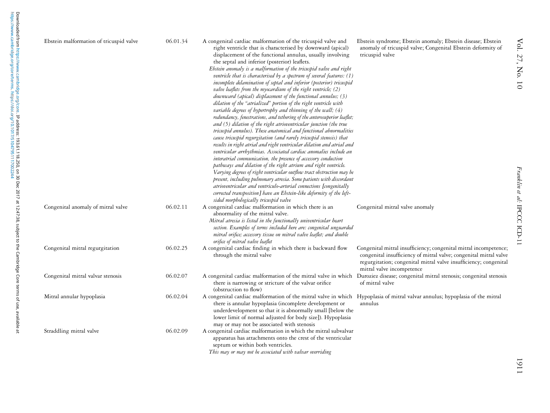| Ebstein malformation of tricuspid valve | 06.01.34 | A congenital cardiac malformation of the tricuspid valve and<br>right ventricle that is characterised by downward (apical)<br>displacement of the functional annulus, usually involving<br>the septal and inferior (posterior) leaflets.<br>Ebstein anomaly is a malformation of the tricuspid valve and right<br>ventricle that is characterised by a spectrum of several features: (1)<br>incomplete delamination of septal and inferior (posterior) tricuspid<br>valve leaflets from the myocardium of the right ventricle; (2)<br>downward (apical) displacement of the functional annulus; (3)<br>dilation of the "atrialized" portion of the right ventricle with<br>variable degrees of hypertrophy and thinning of the wall; (4)<br>redundancy, fenestrations, and tethering of the anterosuperior leaflet;<br>and (5) dilation of the right atrioventricular junction (the true<br>tricuspid annulus). These anatomical and functional abnormalities<br>cause tricuspid regurgitation (and rarely tricuspid stenosis) that<br>results in right atrial and right ventricular dilation and atrial and<br>ventricular arrhythmias. Associated cardiac anomalies include an<br>interatrial communication, the presence of accessory conduction<br>pathways and dilation of the right atrium and right ventricle.<br>Varying degrees of right ventricular outflow tract obstruction may be<br>present, including pulmonary atresia. Some patients with discordant<br>atrioventricular and ventriculo-arterial connections [congenitally<br>corrected transposition] have an Ebstein-like deformity of the left-<br>sided morphologically tricuspid valve | Ebstein syndrome; Ebstein anomaly; Ebstein disease; Ebstein<br>anomaly of tricuspid valve; Congenital Ebstein deformity of<br>tricuspid valve                                                                                          |
|-----------------------------------------|----------|--------------------------------------------------------------------------------------------------------------------------------------------------------------------------------------------------------------------------------------------------------------------------------------------------------------------------------------------------------------------------------------------------------------------------------------------------------------------------------------------------------------------------------------------------------------------------------------------------------------------------------------------------------------------------------------------------------------------------------------------------------------------------------------------------------------------------------------------------------------------------------------------------------------------------------------------------------------------------------------------------------------------------------------------------------------------------------------------------------------------------------------------------------------------------------------------------------------------------------------------------------------------------------------------------------------------------------------------------------------------------------------------------------------------------------------------------------------------------------------------------------------------------------------------------------------------------------------------------------------------------------------------------------------|----------------------------------------------------------------------------------------------------------------------------------------------------------------------------------------------------------------------------------------|
| Congenital anomaly of mitral valve      | 06.02.11 | A congenital cardiac malformation in which there is an<br>abnormality of the mitral valve.<br>Mitral atresia is listed in the functionally univentricular heart<br>section. Examples of terms included here are: congenital unguarded<br>mitral orifice; accessory tissue on mitral valve leaflet; and double<br>orifice of mitral valve leaflet                                                                                                                                                                                                                                                                                                                                                                                                                                                                                                                                                                                                                                                                                                                                                                                                                                                                                                                                                                                                                                                                                                                                                                                                                                                                                                             | Congenital mitral valve anomaly                                                                                                                                                                                                        |
| Congenital mitral regurgitation         | 06.02.25 | A congenital cardiac finding in which there is backward flow<br>through the mitral valve                                                                                                                                                                                                                                                                                                                                                                                                                                                                                                                                                                                                                                                                                                                                                                                                                                                                                                                                                                                                                                                                                                                                                                                                                                                                                                                                                                                                                                                                                                                                                                     | Congenital mitral insufficiency; congenital mitral incompetence;<br>congenital insufficiency of mitral valve; congenital mitral valve<br>regurgitation; congenital mitral valve insufficiency; congenital<br>mitral valve incompetence |
| Congenital mitral valvar stenosis       | 06.02.07 | A congenital cardiac malformation of the mitral valve in which<br>there is narrowing or stricture of the valvar orifice<br>(obstruction to flow)                                                                                                                                                                                                                                                                                                                                                                                                                                                                                                                                                                                                                                                                                                                                                                                                                                                                                                                                                                                                                                                                                                                                                                                                                                                                                                                                                                                                                                                                                                             | Duroziez disease; congenital mitral stenosis; congenital stenosis<br>of mitral valve                                                                                                                                                   |
| Mitral annular hypoplasia               | 06.02.04 | A congenital cardiac malformation of the mitral valve in which Hypoplasia of mitral valvar annulus; hypoplasia of the mitral<br>there is annular hypoplasia (incomplete development or<br>underdevelopment so that it is abnormally small [below the<br>lower limit of normal adjusted for body size]). Hypoplasia<br>may or may not be associated with stenosis                                                                                                                                                                                                                                                                                                                                                                                                                                                                                                                                                                                                                                                                                                                                                                                                                                                                                                                                                                                                                                                                                                                                                                                                                                                                                             | annulus                                                                                                                                                                                                                                |
| Straddling mitral valve                 | 06.02.09 | A congenital cardiac malformation in which the mitral subvalvar<br>apparatus has attachments onto the crest of the ventricular<br>septum or within both ventricles.<br>This may or may not be associated with valvar overriding                                                                                                                                                                                                                                                                                                                                                                                                                                                                                                                                                                                                                                                                                                                                                                                                                                                                                                                                                                                                                                                                                                                                                                                                                                                                                                                                                                                                                              |                                                                                                                                                                                                                                        |

[https://www.cambridge.org/core/terms.](https://www.cambridge.org/core/terms) <https://doi.org/10.1017/S1047951117002244>

1911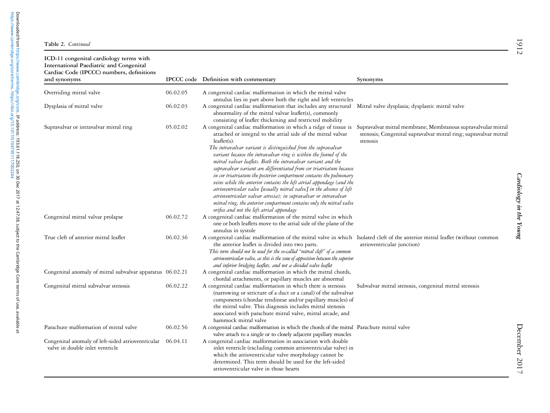| ICD-11 congenital cardiology terms with<br>International Paediatric and Congenital<br>Cardiac Code (IPCCC) numbers, definitions<br>and synonyms |                      | IPCCC code Definition with commentary                                                                                                                                                                                                                                                                                                                                                                                                                                                                                                                                                                                                                                                                                                                                                                                                            | Synonyms                                                                                                                                     |
|-------------------------------------------------------------------------------------------------------------------------------------------------|----------------------|--------------------------------------------------------------------------------------------------------------------------------------------------------------------------------------------------------------------------------------------------------------------------------------------------------------------------------------------------------------------------------------------------------------------------------------------------------------------------------------------------------------------------------------------------------------------------------------------------------------------------------------------------------------------------------------------------------------------------------------------------------------------------------------------------------------------------------------------------|----------------------------------------------------------------------------------------------------------------------------------------------|
|                                                                                                                                                 |                      |                                                                                                                                                                                                                                                                                                                                                                                                                                                                                                                                                                                                                                                                                                                                                                                                                                                  |                                                                                                                                              |
| Overriding mitral valve                                                                                                                         | 06.02.05             | A congenital cardiac malformation in which the mitral valve<br>annulus lies in part above both the right and left ventricles                                                                                                                                                                                                                                                                                                                                                                                                                                                                                                                                                                                                                                                                                                                     |                                                                                                                                              |
| Dysplasia of mitral valve                                                                                                                       | 06.02.03             | A congenital cardiac malformation that includes any structural<br>abnormality of the mitral valvar leaflet(s), commonly<br>consisting of leaflet thickening and restricted mobility                                                                                                                                                                                                                                                                                                                                                                                                                                                                                                                                                                                                                                                              | Mitral valve dysplasia; dysplastic mitral valve                                                                                              |
| Supravalvar or intravalvar mitral ring                                                                                                          | 05.02.02<br>06.02.72 | A congenital cardiac malformation in which a ridge of tissue is<br>attached or integral to the atrial side of the mitral valvar<br>$lea$ flet $(s)$ .<br>The intravalvar variant is distinguished from the supravalvar<br>variant because the intravalvar ring is within the funnel of the<br>mitral valvar leaflets. Both the intravalvar variant and the<br>supravalvar variant are differentiated from cor triatriatum because<br>in cor triatriatum the posterior compartment contains the pulmonary<br>veins while the anterior contains the left atrial appendage (and the<br>atrioventricular valve [usually mitral valve] in the absence of left<br>atrioventricular valvar atresia); in supravalvar or intravalvar<br>mitral ring, the anterior compartment contains only the mitral valve<br>orifice and not the left atrial appendage | Supravalvar mitral membrane; Membranous supravalvular mitral<br>stenosis; Congenital supravalvar mitral ring; supravalvar mitral<br>stenosis |
| Congenital mitral valvar prolapse                                                                                                               |                      | A congenital cardiac malformation of the mitral valve in which<br>one or both leaflets move to the atrial side of the plane of the<br>annulus in systole                                                                                                                                                                                                                                                                                                                                                                                                                                                                                                                                                                                                                                                                                         |                                                                                                                                              |
| True cleft of anterior mitral leaflet                                                                                                           | 06.02.36             | A congenital cardiac malformation of the mitral valve in which Isolated cleft of the anterior mitral leaflet (without common<br>the anterior leaflet is divided into two parts.<br>This term should not be used for the so-called "mitral cleft" of a common<br>atrioventricular valve, as this is the zone of apposition between the superior<br>and inferior bridging leaflets, and not a divided valve leaflet                                                                                                                                                                                                                                                                                                                                                                                                                                | atrioventricular junction)                                                                                                                   |
| Congenital anomaly of mitral subvalvar apparatus 06.02.21                                                                                       |                      | A congenital cardiac malformation in which the mitral chords,<br>chordal attachments, or papillary muscles are abnormal                                                                                                                                                                                                                                                                                                                                                                                                                                                                                                                                                                                                                                                                                                                          |                                                                                                                                              |
| Congenital mitral subvalvar stenosis                                                                                                            | 06.02.22             | A congenital cardiac malformation in which there is stenosis<br>(narrowing or stricture of a duct or a canal) of the subvalvar<br>components (chordae tendineae and/or papillary muscles) of<br>the mitral valve. This diagnosis includes mitral stenosis<br>associated with parachute mitral valve, mitral arcade, and<br>hammock mitral valve                                                                                                                                                                                                                                                                                                                                                                                                                                                                                                  | Subvalvar mitral stenosis, congenital mitral stenosis                                                                                        |
| Parachute malformation of mitral valve                                                                                                          | 06.02.56             | A congenital cardiac malformation in which the chords of the mitral Parachute mitral valve<br>valve attach to a single or to closely adjacent papillary muscles                                                                                                                                                                                                                                                                                                                                                                                                                                                                                                                                                                                                                                                                                  |                                                                                                                                              |
| Congenital anomaly of left-sided atrioventricular 06.04.11<br>valve in double inlet ventricle                                                   |                      | A congenital cardiac malformation in association with double<br>inlet ventricle (excluding common atrioventricular valve) in<br>which the atrioventricular valve morphology cannot be<br>determined. This term should be used for the left-sided<br>atrioventricular valve in those hearts                                                                                                                                                                                                                                                                                                                                                                                                                                                                                                                                                       |                                                                                                                                              |

Cardiology in the Young Cardiology in the Young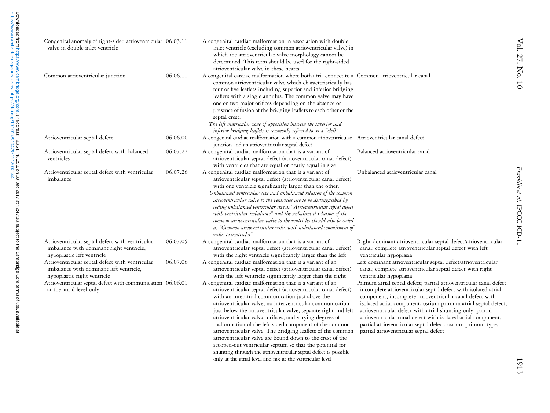| Congenital anomaly of right-sided atrioventricular 06.03.11<br>valve in double inlet ventricle                            |          | A congenital cardiac malformation in association with double<br>inlet ventricle (excluding common atrioventricular valve) in<br>which the atrioventricular valve morphology cannot be<br>determined. This term should be used for the right-sided<br>atrioventricular valve in those hearts                                                                                                                                                                                                                                                                                                                                                                                                     |                                                                                                                                                                                                                                                                                                                                                                                                                                                                                                             |
|---------------------------------------------------------------------------------------------------------------------------|----------|-------------------------------------------------------------------------------------------------------------------------------------------------------------------------------------------------------------------------------------------------------------------------------------------------------------------------------------------------------------------------------------------------------------------------------------------------------------------------------------------------------------------------------------------------------------------------------------------------------------------------------------------------------------------------------------------------|-------------------------------------------------------------------------------------------------------------------------------------------------------------------------------------------------------------------------------------------------------------------------------------------------------------------------------------------------------------------------------------------------------------------------------------------------------------------------------------------------------------|
| Common atrioventricular junction                                                                                          | 06.06.11 | A congenital cardiac malformation where both atria connect to a Common atrioventricular canal<br>common atrioventricular valve which characteristically has<br>four or five leaflets including superior and inferior bridging<br>leaflets with a single annulus. The common valve may have<br>one or two major orifices depending on the absence or<br>presence of fusion of the bridging leaflets to each other or the<br>septal crest.<br>The left ventricular zone of apposition between the superior and<br>inferior bridging leaflets is commonly referred to as a "cleft"                                                                                                                 |                                                                                                                                                                                                                                                                                                                                                                                                                                                                                                             |
| Atrioventricular septal defect                                                                                            | 06.06.00 | A congenital cardiac malformation with a common atrioventricular Atrioventricular canal defect<br>junction and an atrioventricular septal defect                                                                                                                                                                                                                                                                                                                                                                                                                                                                                                                                                |                                                                                                                                                                                                                                                                                                                                                                                                                                                                                                             |
| Atrioventricular septal defect with balanced<br>ventricles                                                                | 06.07.27 | A congenital cardiac malformation that is a variant of<br>atrioventricular septal defect (atrioventricular canal defect)<br>with ventricles that are equal or nearly equal in size                                                                                                                                                                                                                                                                                                                                                                                                                                                                                                              | Balanced atrioventricular canal                                                                                                                                                                                                                                                                                                                                                                                                                                                                             |
| Atrioventricular septal defect with ventricular<br>imbalance                                                              | 06.07.26 | A congenital cardiac malformation that is a variant of<br>atrioventricular septal defect (atrioventricular canal defect)<br>with one ventricle significantly larger than the other.<br>Unbalanced ventricular size and unbalanced relation of the common<br>atrioventricular valve to the ventricles are to be distinguished by<br>coding unbalanced ventricular size as "Atrioventricular septal defect<br>with ventricular imbalance" and the unbalanced relation of the<br>common atrioventricular valve to the ventricles should also be coded<br>as "Common atrioventricular valve with unbalanced commitment of<br>valve to ventricles"                                                   | Unbalanced atrioventricular canal                                                                                                                                                                                                                                                                                                                                                                                                                                                                           |
| Atrioventricular septal defect with ventricular<br>imbalance with dominant right ventricle,<br>hypoplastic left ventricle | 06.07.05 | A congenital cardiac malformation that is a variant of<br>atrioventricular septal defect (atrioventricular canal defect)<br>with the right ventricle significantly larger than the left                                                                                                                                                                                                                                                                                                                                                                                                                                                                                                         | Right dominant atrioventricular septal defect/atrioventricular<br>canal; complete atrioventricular septal defect with left<br>ventricular hypoplasia                                                                                                                                                                                                                                                                                                                                                        |
| Atrioventricular septal defect with ventricular<br>imbalance with dominant left ventricle,<br>hypoplastic right ventricle | 06.07.06 | A congenital cardiac malformation that is a variant of an<br>atrioventricular septal defect (atrioventricular canal defect)<br>with the left ventricle significantly larger than the right                                                                                                                                                                                                                                                                                                                                                                                                                                                                                                      | Left dominant atrioventricular septal defect/atrioventricular<br>canal; complete atrioventricular septal defect with right<br>ventricular hypoplasia                                                                                                                                                                                                                                                                                                                                                        |
| Atrioventricular septal defect with communication 06.06.01<br>at the atrial level only                                    |          | A congenital cardiac malformation that is a variant of an<br>atrioventricular septal defect (atrioventricular canal defect)<br>with an interatrial communication just above the<br>atrioventricular valve, no interventricular communication<br>just below the atrioventricular valve, separate right and left<br>atrioventricular valvar orifices, and varying degrees of<br>malformation of the left-sided component of the common<br>atrioventricular valve. The bridging leaflets of the common<br>atrioventricular valve are bound down to the crest of the<br>scooped-out ventricular septum so that the potential for<br>shunting through the atrioventricular septal defect is possible | Primum atrial septal defect; partial atrioventricular canal defect;<br>incomplete atrioventricular septal defect with isolated atrial<br>component; incomplete atrioventricular canal defect with<br>isolated atrial component; ostium primum atrial septal defect;<br>atrioventricular defect with atrial shunting only; partial<br>atrioventricular canal defect with isolated atrial component;<br>partial atrioventricular septal defect: ostium primum type;<br>partial atrioventricular septal defect |

[https://www.cambridge.org/core/terms.](https://www.cambridge.org/core/terms) <https://doi.org/10.1017/S1047951117002244>

Downloaded from https://www.cambridge.org/core. **IP address: 193.61.118.250, on 30 Dec 2017 at 12.47.38, subject to the Cambridge Core terms of use, available at<br>https://www.cambridge.org/core/terms. https://doi.org/10.101** Downloaded from [https://www.cambridge.org/core.](https://www.cambridge.org/core) IP address: 193.61.118.250, on 30 Dec 2017 at 12:47:38, subject to the Cambridge Core terms of use, available at

only at the atrial level and not at the ventricular level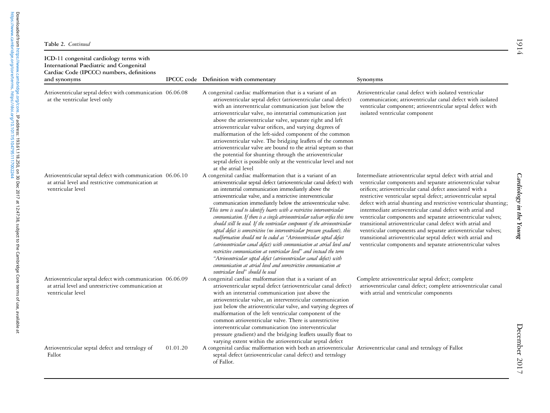[https://www.cambridge.org/core/terms.](https://www.cambridge.org/core/terms) <https://doi.org/10.1017/S1047951117002244>

Downloaded from https://www.cambridge.org/core.**IP address: 193.61.118.250, on 30 Dec 2017 at 12:47:38, subject to the Cambridge Core terms of use, available at<br>https://www.cambridge.org/core/terms. https://doi.org/10.1017** Downloaded from [https://www.cambridge.org/core.](https://www.cambridge.org/core) IP address: 193.61.118.250, on 30 Dec 2017 at 12:47:38, subject to the Cambridge Core terms of use, available at

| ICD-11 congenital cardiology terms with<br>International Paediatric and Congenital<br>Cardiac Code (IPCCC) numbers, definitions<br>and synonyms |          | IPCCC code Definition with commentary                                                                                                                                                                                                                                                                                                                                                                                                                                                                                                                                                                                                                                                                                                                                                                                                                                                                                                                                                                                                                    | Synonyms                                                                                                                                                                                                                                                                                                                                                                                                                                                                                                                                                                                                                                                                                                                 |
|-------------------------------------------------------------------------------------------------------------------------------------------------|----------|----------------------------------------------------------------------------------------------------------------------------------------------------------------------------------------------------------------------------------------------------------------------------------------------------------------------------------------------------------------------------------------------------------------------------------------------------------------------------------------------------------------------------------------------------------------------------------------------------------------------------------------------------------------------------------------------------------------------------------------------------------------------------------------------------------------------------------------------------------------------------------------------------------------------------------------------------------------------------------------------------------------------------------------------------------|--------------------------------------------------------------------------------------------------------------------------------------------------------------------------------------------------------------------------------------------------------------------------------------------------------------------------------------------------------------------------------------------------------------------------------------------------------------------------------------------------------------------------------------------------------------------------------------------------------------------------------------------------------------------------------------------------------------------------|
| Atrioventricular septal defect with communication 06.06.08<br>at the ventricular level only                                                     |          | A congenital cardiac malformation that is a variant of an<br>atrioventricular septal defect (atrioventricular canal defect)<br>with an interventricular communication just below the<br>atrioventricular valve, no interatrial communication just<br>above the atrioventricular valve, separate right and left<br>atrioventricular valvar orifices, and varying degrees of<br>malformation of the left-sided component of the common<br>atrioventricular valve. The bridging leaflets of the common<br>atrioventricular valve are bound to the atrial septum so that<br>the potential for shunting through the atrioventricular<br>septal defect is possible only at the ventricular level and not<br>at the atrial level                                                                                                                                                                                                                                                                                                                                | Atrioventricular canal defect with isolated ventricular<br>communication; atrioventricular canal defect with isolated<br>ventricular component; atrioventricular septal defect with<br>isolated ventricular component                                                                                                                                                                                                                                                                                                                                                                                                                                                                                                    |
| Atrioventricular septal defect with communication 06.06.10<br>at atrial level and restrictive communication at<br>ventricular level             |          | A congenital cardiac malformation that is a variant of an<br>atrioventricular septal defect (atrioventricular canal defect) with<br>an interatrial communication immediately above the<br>atrioventricular valve, and a restrictive interventricular<br>communication immediately below the atrioventricular valve.<br>This term is used to identify hearts with a restrictive interventricular<br>communication. If there is a single atrioventricular valvar orifice this term<br>should still be used. If the ventricular component of the atrioventricular<br>septal defect is unrestrictive (no interventricular pressure gradient), this<br>malformation should not be coded as "Atrioventricular septal defect<br>(atrioventricular canal defect) with communication at atrial level and<br>restrictive communication at ventricular level" and instead the term<br>"Atrioventricular septal defect (atrioventricular canal defect) with<br>communication at atrial level and unrestrictive communication at<br>ventricular level" should be used | Intermediate atrioventricular septal defect with atrial and<br>ventricular components and separate atrioventricular valvar<br>orifices; atrioventricular canal defect associated with a<br>restrictive ventricular septal defect; atrioventricular septal<br>defect with atrial shunting and restrictive ventricular shunting;<br>intermediate atrioventricular canal defect with atrial and<br>ventricular components and separate atrioventricular valves;<br>transitional atrioventricular canal defect with atrial and<br>ventricular components and separate atrioventricular valves;<br>transitional atrioventricular septal defect with atrial and<br>ventricular components and separate atrioventricular valves |
| Atrioventricular septal defect with communication 06.06.09<br>at atrial level and unrestrictive communication at<br>ventricular level           |          | A congenital cardiac malformation that is a variant of an<br>atrioventricular septal defect (atrioventricular canal defect)<br>with an interatrial communication just above the<br>atrioventricular valve, an interventricular communication<br>just below the atrioventricular valve, and varying degrees of<br>malformation of the left ventricular component of the<br>common atrioventricular valve. There is unrestrictive<br>interventricular communication (no interventricular<br>pressure gradient) and the bridging leaflets usually float to<br>varying extent within the atrioventricular septal defect                                                                                                                                                                                                                                                                                                                                                                                                                                      | Complete atrioventricular septal defect; complete<br>atrioventricular canal defect; complete atrioventricular canal<br>with atrial and ventricular components                                                                                                                                                                                                                                                                                                                                                                                                                                                                                                                                                            |
| Atrioventricular septal defect and tetralogy of<br>Fallot                                                                                       | 01.01.20 | A congenital cardiac malformation with both an atrioventricular Atrioventricular canal and tetralogy of Fallot<br>septal defect (atrioventricular canal defect) and tetralogy<br>of Fallot.                                                                                                                                                                                                                                                                                                                                                                                                                                                                                                                                                                                                                                                                                                                                                                                                                                                              |                                                                                                                                                                                                                                                                                                                                                                                                                                                                                                                                                                                                                                                                                                                          |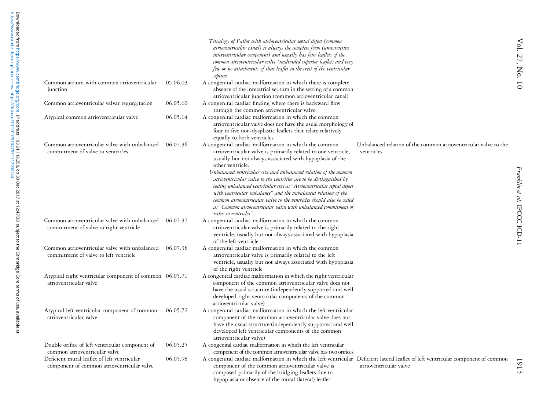|                                                                                           |          | Tetralogy of Fallot with atrioventricular septal defect (common<br>atrioventricular canal) is always the complete form (unrestrictive<br>interventricular component) and usually has four leaflets of the<br>common atrioventricular valve (undivided superior leaflet) and very<br>few or no attachments of that leaflet to the crest of the ventricular<br>septum                                                                                                                                                                                                                                                                                              |                                                                               |
|-------------------------------------------------------------------------------------------|----------|------------------------------------------------------------------------------------------------------------------------------------------------------------------------------------------------------------------------------------------------------------------------------------------------------------------------------------------------------------------------------------------------------------------------------------------------------------------------------------------------------------------------------------------------------------------------------------------------------------------------------------------------------------------|-------------------------------------------------------------------------------|
| Common atrium with common atrioventricular<br>junction                                    | 05.06.03 | A congenital cardiac malformation in which there is complete<br>absence of the interatrial septum in the setting of a common<br>atrioventricular junction (common atrioventricular canal)                                                                                                                                                                                                                                                                                                                                                                                                                                                                        |                                                                               |
| Common atrioventricular valvar regurgitation                                              | 06.05.60 | A congenital cardiac finding where there is backward flow<br>through the common atrioventricular valve                                                                                                                                                                                                                                                                                                                                                                                                                                                                                                                                                           |                                                                               |
| Atypical common atrioventricular valve                                                    | 06.05.14 | A congenital cardiac malformation in which the common<br>atrioventricular valve does not have the usual morphology of<br>four to five non-dysplastic leaflets that relate relatively<br>equally to both ventricles                                                                                                                                                                                                                                                                                                                                                                                                                                               |                                                                               |
| Common atrioventricular valve with unbalanced<br>commitment of valve to ventricles        | 06.07.36 | A congenital cardiac malformation in which the common<br>atrioventricular valve is primarily related to one ventricle,<br>usually but not always associated with hypoplasia of the<br>other ventricle.<br>Unbalanced ventricular size and unbalanced relation of the common<br>atrioventricular valve to the ventricles are to be distinguished by<br>coding unbalanced ventricular size as "Atrioventricular septal defect<br>with ventricular imbalance" and the unbalanced relation of the<br>common atrioventricular valve to the ventricles should also be coded<br>as "Common atrioventricular valve with unbalanced commitment of<br>valve to ventricles" | Unbalanced relation of the common atrioventricular valve to the<br>ventricles |
| Common atrioventricular valve with unbalanced<br>commitment of valve to right ventricle   | 06.07.37 | A congenital cardiac malformation in which the common<br>atrioventricular valve is primarily related to the right<br>ventricle, usually but not always associated with hypoplasia<br>of the left ventricle                                                                                                                                                                                                                                                                                                                                                                                                                                                       |                                                                               |
| Common atrioventricular valve with unbalanced<br>commitment of valve to left ventricle    | 06.07.38 | A congenital cardiac malformation in which the common<br>atrioventricular valve is primarily related to the left<br>ventricle, usually but not always associated with hypoplasia<br>of the right ventricle                                                                                                                                                                                                                                                                                                                                                                                                                                                       |                                                                               |
| Atypical right ventricular component of common 06.05.71<br>atrioventricular valve         |          | A congenital cardiac malformation in which the right ventricular<br>component of the common atrioventricular valve does not<br>have the usual structure (independently supported and well<br>developed right ventricular components of the common<br>atrioventricular valve)                                                                                                                                                                                                                                                                                                                                                                                     |                                                                               |
| Atypical left ventricular component of common<br>atrioventricular valve                   | 06.05.72 | A congenital cardiac malformation in which the left ventricular<br>component of the common atrioventricular valve does not<br>have the usual structure (independently supported and well<br>developed left ventricular components of the common<br>atrioventricular valve)                                                                                                                                                                                                                                                                                                                                                                                       |                                                                               |
| Double orifice of left ventricular component of<br>common atrioventricular valve          | 06.05.25 | A congenital cardiac malformation in which the left ventricular<br>component of the common atrioventricular valve has two orifices                                                                                                                                                                                                                                                                                                                                                                                                                                                                                                                               |                                                                               |
| Deficient mural leaflet of left ventricular<br>component of common atrioventricular valve | 06.05.98 | A congenital cardiac malformation in which the left ventricular Deficient lateral leaflet of left ventricular component of common<br>component of the common atrioventricular valve is<br>composed primarily of the bridging leaflets due to<br>hypoplasia or absence of the mural (lateral) leaflet                                                                                                                                                                                                                                                                                                                                                             | atrioventricular valve                                                        |

1915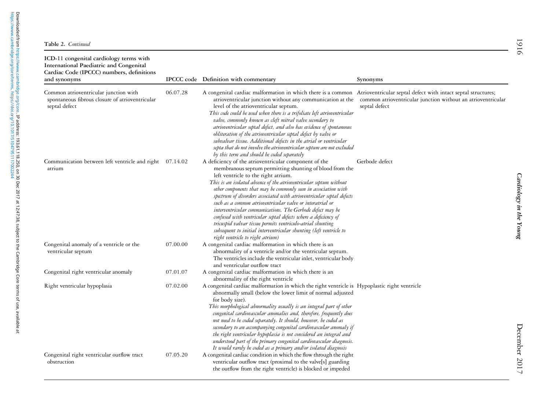| ICD-11 congenital cardiology terms with<br>International Paediatric and Congenital<br>Cardiac Code (IPCCC) numbers, definitions<br>and synonyms |          | IPCCC code Definition with commentary                                                                                                                                                                                                                                                                                                                                                                                                                                                                                                                                                                                                                                                                                                         | Synonyms                                                                      |
|-------------------------------------------------------------------------------------------------------------------------------------------------|----------|-----------------------------------------------------------------------------------------------------------------------------------------------------------------------------------------------------------------------------------------------------------------------------------------------------------------------------------------------------------------------------------------------------------------------------------------------------------------------------------------------------------------------------------------------------------------------------------------------------------------------------------------------------------------------------------------------------------------------------------------------|-------------------------------------------------------------------------------|
| Common atrioventricular junction with<br>spontaneous fibrous closure of atrioventricular<br>septal defect                                       | 06.07.28 | A congenital cardiac malformation in which there is a common Atrioventricular septal defect with intact septal structures;<br>atrioventricular junction without any communication at the<br>level of the atrioventricular septum.<br>This code could be used when there is a trifoliate left atrioventricular<br>valve, commonly known as cleft mitral valve secondary to<br>atrioventricular septal defect, and also has evidence of spontaneous<br>obliteration of the atrioventricular septal defect by valve or<br>subvalvar tissue. Additional defects in the atrial or ventricular<br>septa that do not involve the atrioventricular septum are not excluded<br>by this term and should be coded separately                             | common atrioventricular junction without an atrioventricular<br>septal defect |
| Communication between left ventricle and right 07.14.02<br>atrium                                                                               |          | A deficiency of the atrioventricular component of the<br>membranous septum permitting shunting of blood from the<br>left ventricle to the right atrium.<br>This is an isolated absence of the atrioventricular septum without<br>other components that may be commonly seen in association with<br>spectrum of disorders associated with atrioventricular septal defects<br>such as a common atrioventricular valve or interatrial or<br>interventricular communications. The Gerbode defect may be<br>confused with ventricular septal defects where a deficiency of<br>tricuspid valvar tissue permits ventriculo-atrial shunting<br>subsequent to initial interventricular shunting (left ventricle to<br>right ventricle to right atrium) | Gerbode defect                                                                |
| Congenital anomaly of a ventricle or the<br>ventricular septum                                                                                  | 07.00.00 | A congenital cardiac malformation in which there is an<br>abnormality of a ventricle and/or the ventricular septum.<br>The ventricles include the ventricular inlet, ventricular body<br>and ventricular outflow tract                                                                                                                                                                                                                                                                                                                                                                                                                                                                                                                        |                                                                               |
| Congenital right ventricular anomaly                                                                                                            | 07.01.07 | A congenital cardiac malformation in which there is an<br>abnormality of the right ventricle                                                                                                                                                                                                                                                                                                                                                                                                                                                                                                                                                                                                                                                  |                                                                               |
| Right ventricular hypoplasia                                                                                                                    | 07.02.00 | A congenital cardiac malformation in which the right ventricle is Hypoplastic right ventricle<br>abnormally small (below the lower limit of normal adjusted<br>for body size).<br>This morphological abnormality usually is an integral part of other<br>congenital cardiovascular anomalies and, therefore, frequently does<br>not need to be coded separately. It should, however, be coded as<br>secondary to an accompanying congenital cardiovascular anomaly if<br>the right ventricular hypoplasia is not considered an integral and<br>understood part of the primary congenital cardiovascular diagnosis.<br>It would rarely be coded as a primary and/or isolated diagnosis                                                         |                                                                               |
| Congenital right ventricular outflow tract<br>obstruction                                                                                       | 07.05.20 | A congenital cardiac condition in which the flow through the right<br>ventricular outflow tract (proximal to the valve[s] guarding<br>the outflow from the right ventricle) is blocked or impeded                                                                                                                                                                                                                                                                                                                                                                                                                                                                                                                                             |                                                                               |

Cardiology in the Young

Cardiology in the Young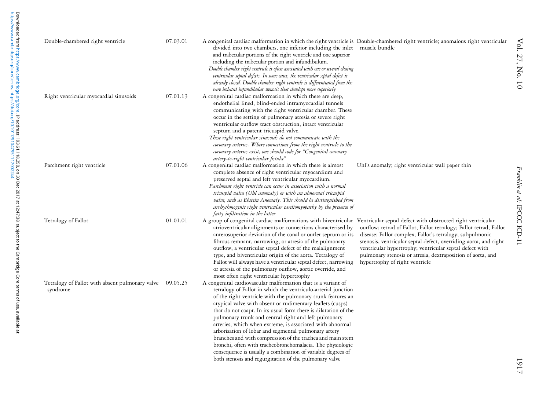| Double-chambered right ventricle                                     | 07.03.01 | A congenital cardiac malformation in which the right ventricle is Double-chambered right ventricle; anomalous right ventricular<br>divided into two chambers, one inferior including the inlet<br>and trabecular portions of the right ventricle and one superior<br>including the trabecular portion and infundibulum.<br>Double chamber right ventricle is often associated with one or several closing<br>ventricular septal defects. In some cases, the ventricular septal defect is<br>already closed. Double chamber right ventricle is differentiated from the<br>rare isolated infundibular stenosis that develops more superiorly                                                                                                                       | muscle bundle                                                                                                                                                                                                                                                                                                                                                  |
|----------------------------------------------------------------------|----------|------------------------------------------------------------------------------------------------------------------------------------------------------------------------------------------------------------------------------------------------------------------------------------------------------------------------------------------------------------------------------------------------------------------------------------------------------------------------------------------------------------------------------------------------------------------------------------------------------------------------------------------------------------------------------------------------------------------------------------------------------------------|----------------------------------------------------------------------------------------------------------------------------------------------------------------------------------------------------------------------------------------------------------------------------------------------------------------------------------------------------------------|
| Right ventricular myocardial sinusoids                               | 07.01.13 | A congenital cardiac malformation in which there are deep,<br>endothelial lined, blind-ended intramyocardial tunnels<br>communicating with the right ventricular chamber. These<br>occur in the setting of pulmonary atresia or severe right<br>ventricular outflow tract obstruction, intact ventricular<br>septum and a patent tricuspid valve.<br>These right ventricular sinusoids do not communicate with the<br>coronary arteries. Where connections from the right ventricle to the<br>coronary arteries exist, one should code for "Congenital coronary<br>artery-to-right ventricular fistula"                                                                                                                                                          |                                                                                                                                                                                                                                                                                                                                                                |
| Parchment right ventricle                                            | 07.01.06 | A congenital cardiac malformation in which there is almost<br>complete absence of right ventricular myocardium and<br>preserved septal and left ventricular myocardium.<br>Parchment right ventricle can occur in association with a normal<br>tricuspid valve (Uhl anomaly) or with an abnormal tricuspid<br>valve, such as Ebstein Anomaly. This should be distinguished from<br>arrhythmogenic right ventricular cardiomyopathy by the presence of<br>fatty infiltration in the latter                                                                                                                                                                                                                                                                        | Uhl's anomaly; right ventricular wall paper thin                                                                                                                                                                                                                                                                                                               |
| Tetralogy of Fallot                                                  | 01.01.01 | A group of congenital cardiac malformations with biventricular Ventricular septal defect with obstructed right ventricular<br>atrioventricular alignments or connections characterised by<br>anterosuperior deviation of the conal or outlet septum or its<br>fibrous remnant, narrowing, or atresia of the pulmonary<br>outflow, a ventricular septal defect of the malalignment<br>type, and biventricular origin of the aorta. Tetralogy of<br>Fallot will always have a ventricular septal defect, narrowing<br>or atresia of the pulmonary outflow, aortic override, and<br>most often right ventricular hypertrophy                                                                                                                                        | outflow; tetrad of Fallot; Fallot tetralogy; Fallot tetrad; Fallot<br>disease; Fallot complex; Fallot's tetralogy; subpulmonic<br>stenosis, ventricular septal defect, overriding aorta, and right<br>ventricular hypertrophy; ventricular septal defect with<br>pulmonary stenosis or atresia, dextraposition of aorta, and<br>hypertrophy of right ventricle |
| Tetralogy of Fallot with absent pulmonary valve 09.05.25<br>syndrome |          | A congenital cardiovascular malformation that is a variant of<br>tetralogy of Fallot in which the ventriculo-arterial junction<br>of the right ventricle with the pulmonary trunk features an<br>atypical valve with absent or rudimentary leaflets (cusps)<br>that do not coapt. In its usual form there is dilatation of the<br>pulmonary trunk and central right and left pulmonary<br>arteries, which when extreme, is associated with abnormal<br>arborisation of lobar and segmental pulmonary artery<br>branches and with compression of the trachea and main stem<br>bronchi, often with tracheobronchomalacia. The physiologic<br>consequence is usually a combination of variable degrees of<br>both stenosis and regurgitation of the pulmonary valve |                                                                                                                                                                                                                                                                                                                                                                |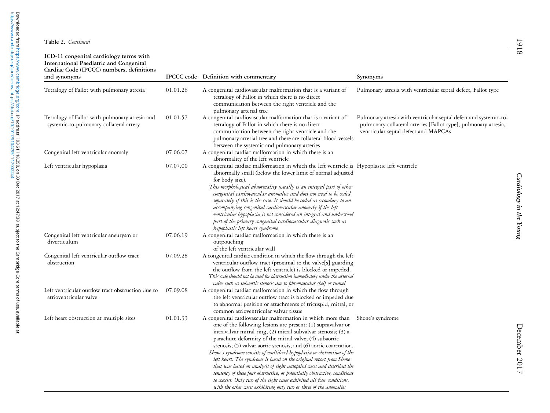| ICD-11 congenital cardiology terms with<br>International Paediatric and Congenital<br>Cardiac Code (IPCCC) numbers, definitions<br>and synonyms |          | <b>IPCCC</b> code Definition with commentary                                                                                                                                                                                                                                                                                                                                                                                                                                                                                                                                                                                                                                                                                                                                          | Synonyms                                                                                                                                                                     |
|-------------------------------------------------------------------------------------------------------------------------------------------------|----------|---------------------------------------------------------------------------------------------------------------------------------------------------------------------------------------------------------------------------------------------------------------------------------------------------------------------------------------------------------------------------------------------------------------------------------------------------------------------------------------------------------------------------------------------------------------------------------------------------------------------------------------------------------------------------------------------------------------------------------------------------------------------------------------|------------------------------------------------------------------------------------------------------------------------------------------------------------------------------|
| Tetralogy of Fallot with pulmonary atresia                                                                                                      | 01.01.26 | A congenital cardiovascular malformation that is a variant of<br>tetralogy of Fallot in which there is no direct<br>communication between the right ventricle and the<br>pulmonary arterial tree                                                                                                                                                                                                                                                                                                                                                                                                                                                                                                                                                                                      | Pulmonary atresia with ventricular septal defect, Fallot type                                                                                                                |
| Tetralogy of Fallot with pulmonary atresia and<br>systemic-to-pulmonary collateral artery                                                       | 01.01.57 | A congenital cardiovascular malformation that is a variant of<br>tetralogy of Fallot in which there is no direct<br>communication between the right ventricle and the<br>pulmonary arterial tree and there are collateral blood vessels<br>between the systemic and pulmonary arteries                                                                                                                                                                                                                                                                                                                                                                                                                                                                                                | Pulmonary atresia with ventricular septal defect and systemic-to-<br>pulmonary collateral arteries [Fallot type]; pulmonary atresia,<br>ventricular septal defect and MAPCAs |
| Congenital left ventricular anomaly                                                                                                             | 07.06.07 | A congenital cardiac malformation in which there is an<br>abnormality of the left ventricle                                                                                                                                                                                                                                                                                                                                                                                                                                                                                                                                                                                                                                                                                           |                                                                                                                                                                              |
| Left ventricular hypoplasia                                                                                                                     | 07.07.00 | A congenital cardiac malformation in which the left ventricle is Hypoplastic left ventricle<br>abnormally small (below the lower limit of normal adjusted<br>for body size).<br>This morphological abnormality usually is an integral part of other<br>congenital cardiovascular anomalies and does not need to be coded<br>separately if this is the case. It should be coded as secondary to an<br>accompanying congenital cardiovascular anomaly if the left<br>ventricular hypoplasia is not considered an integral and understood<br>part of the primary congenital cardiovascular diagnosis such as<br>hypoplastic left heart syndrome                                                                                                                                          |                                                                                                                                                                              |
| Congenital left ventricular aneurysm or<br>diverticulum                                                                                         | 07.06.19 | A congenital cardiac malformation in which there is an<br>outpouching<br>of the left ventricular wall                                                                                                                                                                                                                                                                                                                                                                                                                                                                                                                                                                                                                                                                                 |                                                                                                                                                                              |
| Congenital left ventricular outflow tract<br>obstruction                                                                                        | 07.09.28 | A congenital cardiac condition in which the flow through the left<br>ventricular outflow tract (proximal to the valve[s] guarding<br>the outflow from the left ventricle) is blocked or impeded.<br>This code should not be used for obstruction immediately under the arterial<br>valve such as subaortic stenosis due to fibromuscular shelf or tunnel                                                                                                                                                                                                                                                                                                                                                                                                                              |                                                                                                                                                                              |
| Left ventricular outflow tract obstruction due to<br>atrioventricular valve                                                                     | 07.09.08 | A congenital cardiac malformation in which the flow through<br>the left ventricular outflow tract is blocked or impeded due<br>to abnormal position or attachments of tricuspid, mitral, or<br>common atrioventricular valvar tissue                                                                                                                                                                                                                                                                                                                                                                                                                                                                                                                                                  |                                                                                                                                                                              |
| Left heart obstruction at multiple sites                                                                                                        | 01.01.33 | A congenital cardiovascular malformation in which more than<br>one of the following lesions are present: (1) supravalvar or<br>intravalvar mitral ring; (2) mitral subvalvar stenosis; (3) a<br>parachute deformity of the mitral valve; (4) subaortic<br>stenosis; (5) valvar aortic stenosis; and (6) aortic coarctation.<br>Shone's syndrome consists of multilevel hypoplasia or obstruction of the<br>left heart. The syndrome is based on the original report from Shone<br>that was based on analysis of eight autopsied cases and described the<br>tendency of these four obstructive, or potentially obstructive, conditions<br>to coexist. Only two of the eight cases exhibited all four conditions,<br>with the other cases exhibiting only two or three of the anomalies | Shone's syndrome                                                                                                                                                             |

Cardiology in the Young

Cardiology in the Young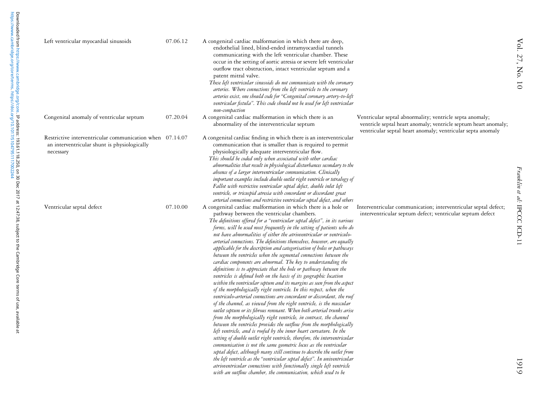| Left ventricular myocardial sinusoids                                                                                 | 07.06.12 | A congenital cardiac malformation in which there are deep,<br>endothelial lined, blind-ended intramyocardial tunnels<br>communicating with the left ventricular chamber. These<br>occur in the setting of aortic atresia or severe left ventricular<br>outflow tract obstruction, intact ventricular septum and a<br>patent mitral valve.<br>These left ventricular sinusoids do not communicate with the coronary<br>arteries. Where connections from the left ventricle to the coronary<br>arteries exist, one should code for "Congenital coronary artery-to-left<br>ventricular fistula". This code should not be used for left ventricular<br>non-compaction                                                                                                                                                                                                                                                                                                                                                                                                                                                                                                                                                                                                                                                                                                                                                                                                                                                                                                                                                                                                                                                                                                                                                         |                                                                                                                                                                                            |
|-----------------------------------------------------------------------------------------------------------------------|----------|---------------------------------------------------------------------------------------------------------------------------------------------------------------------------------------------------------------------------------------------------------------------------------------------------------------------------------------------------------------------------------------------------------------------------------------------------------------------------------------------------------------------------------------------------------------------------------------------------------------------------------------------------------------------------------------------------------------------------------------------------------------------------------------------------------------------------------------------------------------------------------------------------------------------------------------------------------------------------------------------------------------------------------------------------------------------------------------------------------------------------------------------------------------------------------------------------------------------------------------------------------------------------------------------------------------------------------------------------------------------------------------------------------------------------------------------------------------------------------------------------------------------------------------------------------------------------------------------------------------------------------------------------------------------------------------------------------------------------------------------------------------------------------------------------------------------------|--------------------------------------------------------------------------------------------------------------------------------------------------------------------------------------------|
| Congenital anomaly of ventricular septum                                                                              | 07.20.04 | A congenital cardiac malformation in which there is an<br>abnormality of the interventricular septum                                                                                                                                                                                                                                                                                                                                                                                                                                                                                                                                                                                                                                                                                                                                                                                                                                                                                                                                                                                                                                                                                                                                                                                                                                                                                                                                                                                                                                                                                                                                                                                                                                                                                                                      | Ventricular septal abnormality; ventricle septa anomaly;<br>ventricle septal heart anomaly; ventricle septum heart anomaly;<br>ventricular septal heart anomaly; ventricular septa anomaly |
| Restrictive interventricular communication when 07.14.07<br>an interventricular shunt is physiologically<br>necessary |          | A congenital cardiac finding in which there is an interventricular<br>communication that is smaller than is required to permit<br>physiologically adequate interventricular flow.<br>This should be coded only when associated with other cardiac<br>abnormalities that result in physiological disturbances secondary to the<br>absence of a larger interventricular communication. Clinically<br>important examples include double outlet right ventricle or tetralogy of<br>Fallot with restrictive ventricular septal defect, double inlet left<br>ventricle, or tricuspid atresia with concordant or discordant great<br>arterial connections and restrictive ventricular septal defect, and others                                                                                                                                                                                                                                                                                                                                                                                                                                                                                                                                                                                                                                                                                                                                                                                                                                                                                                                                                                                                                                                                                                                  |                                                                                                                                                                                            |
| Ventricular septal defect                                                                                             | 07.10.00 | A congenital cardiac malformation in which there is a hole or<br>pathway between the ventricular chambers.<br>The definitions offered for a "ventricular septal defect", in its various<br>forms, will be used most frequently in the setting of patients who do<br>not have abnormalities of either the atrioventricular or ventriculo-<br>arterial connections. The definitions themselves, however, are equally<br>applicable for the description and categorisation of holes or pathways<br>between the ventricles when the segmental connections between the<br>cardiac components are abnormal. The key to understanding the<br>definitions is to appreciate that the hole or pathway between the<br>ventricles is defined both on the basis of its geographic location<br>within the ventricular septum and its margins as seen from the aspect<br>of the morphologically right ventricle. In this respect, when the<br>ventriculo-arterial connections are concordant or discordant, the roof<br>of the channel, as viewed from the right ventricle, is the muscular<br>outlet septum or its fibrous remnant. When both arterial trunks arise<br>from the morphologically right ventricle, in contrast, the channel<br>between the ventricles provides the outflow from the morphologically<br>left ventricle, and is roofed by the inner heart curvature. In the<br>setting of double outlet right ventricle, therefore, the interventricular<br>communication is not the same geometric locus as the ventricular<br>septal defect, although many still continue to describe the outlet from<br>the left ventricle as the "ventricular septal defect". In univentricular<br>atrioventricular connections with functionally single left ventricle<br>with an outflow chamber, the communication, which used to be | Interventricular communication; interventricular septal defect;<br>interventricular septum defect; ventricular septum defect                                                               |

Vol. 27, No. 10

Vol. 27, No. 10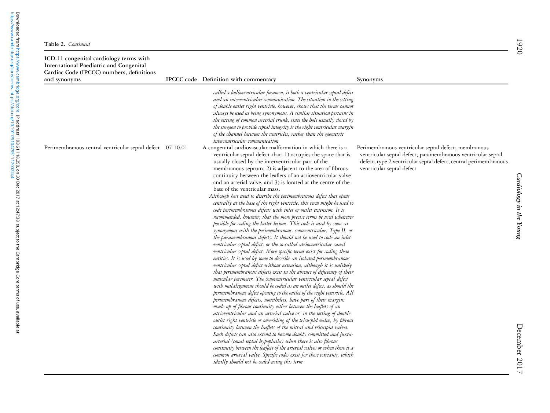| ICD-11 congenital cardiology terms with<br>International Paediatric and Congenital<br>Cardiac Code (IPCCC) numbers, definitions<br>and synonyms | IPCCC code Definition with commentary                                                                                                                                                                                                                                                                                                                                                                                                                                                                                                                                                                                                                                                                                                                                                                                                                                                                                                                                                                                                                                                                                                                                                                                                                                                                                                                                                                                                                                                                                                                                                                                                                                                                                                                                                                                                                                                                                                                                                                                                                  |                                                                                                                                                                                                      |
|-------------------------------------------------------------------------------------------------------------------------------------------------|--------------------------------------------------------------------------------------------------------------------------------------------------------------------------------------------------------------------------------------------------------------------------------------------------------------------------------------------------------------------------------------------------------------------------------------------------------------------------------------------------------------------------------------------------------------------------------------------------------------------------------------------------------------------------------------------------------------------------------------------------------------------------------------------------------------------------------------------------------------------------------------------------------------------------------------------------------------------------------------------------------------------------------------------------------------------------------------------------------------------------------------------------------------------------------------------------------------------------------------------------------------------------------------------------------------------------------------------------------------------------------------------------------------------------------------------------------------------------------------------------------------------------------------------------------------------------------------------------------------------------------------------------------------------------------------------------------------------------------------------------------------------------------------------------------------------------------------------------------------------------------------------------------------------------------------------------------------------------------------------------------------------------------------------------------|------------------------------------------------------------------------------------------------------------------------------------------------------------------------------------------------------|
| Perimembranous central ventricular septal defect 07.10.01                                                                                       | called a bulboventricular foramen, is both a ventricular septal defect<br>and an interventricular communication. The situation in the setting<br>of double outlet right ventricle, however, shows that the terms cannot<br>always be used as being synonymous. A similar situation pertains in<br>the setting of common arterial trunk, since the hole usually closed by<br>the surgeon to provide septal integrity is the right ventricular margin<br>of the channel between the ventricles, rather than the geometric<br>interventricular communication<br>A congenital cardiovascular malformation in which there is a<br>ventricular septal defect that: 1) occupies the space that is<br>usually closed by the interventricular part of the                                                                                                                                                                                                                                                                                                                                                                                                                                                                                                                                                                                                                                                                                                                                                                                                                                                                                                                                                                                                                                                                                                                                                                                                                                                                                                       | Synonyms<br>Perimembranous ventricular septal defect; membranous<br>ventricular septal defect; paramembranous ventricular septal<br>defect; type 2 ventricular septal defect; central perimembranous |
|                                                                                                                                                 | membranous septum, 2) is adjacent to the area of fibrous<br>continuity between the leaflets of an atrioventricular valve<br>and an arterial valve, and 3) is located at the centre of the<br>base of the ventricular mass.<br>Although best used to describe the perimembranous defect that opens<br>centrally at the base of the right ventricle, this term might be used to<br>code perimembranous defects with inlet or outlet extension. It is<br>recommended, however, that the more precise terms be used whenever<br>possible for coding the latter lesions. This code is used by some as<br>synonymous with the perimembranous, conoventricular, Type II, or<br>the paramembranous defects. It should not be used to code an inlet<br>ventricular septal defect, or the so-called atrioventricular canal<br>ventricular septal defect. More specific terms exist for coding these<br>entities. It is used by some to describe an isolated perimembranous<br>ventricular septal defect without extension, although it is unlikely<br>that perimembranous defects exist in the absence of deficiency of their<br>muscular perimeter. The conoventricular ventricular septal defect<br>with malalignment should be coded as an outlet defect, as should the<br>perimembranous defect opening to the outlet of the right ventricle. All<br>perimembranous defects, nonetheless, have part of their margins<br>made up of fibrous continuity either between the leaflets of an<br>atrioventricular and an arterial valve or, in the setting of double<br>outlet right ventricle or overriding of the tricuspid valve, by fibrous<br>continuity between the leaflets of the mitral and tricuspid valves.<br>Such defects can also extend to become doubly committed and juxta-<br>arterial (conal septal hypoplasia) when there is also fibrous<br>continuity between the leaflets of the arterial valves or when there is a<br>common arterial valve. Specific codes exist for these variants, which<br>ideally should not be coded using this term | ventricular septal defect                                                                                                                                                                            |

[https://www.cambridge.org/core/terms.](https://www.cambridge.org/core/terms) <https://doi.org/10.1017/S1047951117002244>

Downloaded from https://www.cambridge.org/core. IP address: 193.61.118.250, on 30 Dec 2017 at 12:47:38, subject to the Cambridge Core terms of use, available at<br>https://www.cambridge.org/core/terms. https://doi.org/10.1017 Downloaded from [https://www.cambridge.org/core.](https://www.cambridge.org/core) IP address: 193.61.118.250, on 30 Dec 2017 at 12:47:38, subject to the Cambridge Core terms of use, available at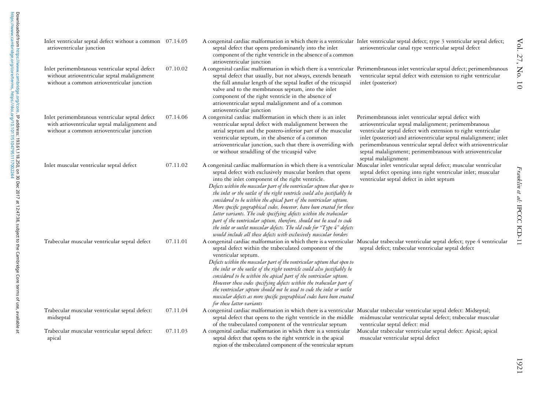| Inlet ventricular septal defect without a common 07.14.05<br>atrioventricular junction                                                        |          | A congenital cardiac malformation in which there is a ventricular Inlet ventricular septal defect; type 3 ventricular septal defect;<br>septal defect that opens predominantly into the inlet<br>component of the right ventricle in the absence of a common<br>atrioventricular junction                                                                                                                                                                                                                                                                                                                                                                                                                                                                                                 | atrioventricular canal type ventricular septal defect                                                                                                                                                                                                                                                                                                                                                   |
|-----------------------------------------------------------------------------------------------------------------------------------------------|----------|-------------------------------------------------------------------------------------------------------------------------------------------------------------------------------------------------------------------------------------------------------------------------------------------------------------------------------------------------------------------------------------------------------------------------------------------------------------------------------------------------------------------------------------------------------------------------------------------------------------------------------------------------------------------------------------------------------------------------------------------------------------------------------------------|---------------------------------------------------------------------------------------------------------------------------------------------------------------------------------------------------------------------------------------------------------------------------------------------------------------------------------------------------------------------------------------------------------|
| Inlet perimembranous ventricular septal defect<br>without atrioventricular septal malalignment<br>without a common atrioventricular junction  | 07.10.02 | A congenital cardiac malformation in which there is a ventricular Perimembranous inlet ventricular septal defect; perimembranous<br>septal defect that usually, but not always, extends beneath<br>the full annular length of the septal leaflet of the tricuspid<br>valve and to the membranous septum, into the inlet<br>component of the right ventricle in the absence of<br>atrioventricular septal malalignment and of a common<br>atrioventricular junction                                                                                                                                                                                                                                                                                                                        | ventricular septal defect with extension to right ventricular<br>inlet (posterior)                                                                                                                                                                                                                                                                                                                      |
| Inlet perimembranous ventricular septal defect<br>with atrioventricular septal malalignment and<br>without a common atrioventricular junction | 07.14.06 | A congenital cardiac malformation in which there is an inlet<br>ventricular septal defect with malalignment between the<br>atrial septum and the postero-inferior part of the muscular<br>ventricular septum, in the absence of a common<br>atrioventricular junction, such that there is overriding with<br>or without straddling of the tricuspid valve                                                                                                                                                                                                                                                                                                                                                                                                                                 | Perimembranous inlet ventricular septal defect with<br>atrioventricular septal malalignment; perimembranous<br>ventricular septal defect with extension to right ventricular<br>inlet (posterior) and atrioventricular septal malalignment; inlet<br>perimembranous ventricular septal defect with atrioventricular<br>septal malalignment; perimembranous with atrioventricular<br>septal malalignment |
| Inlet muscular ventricular septal defect                                                                                                      | 07.11.02 | A congenital cardiac malformation in which there is a ventricular<br>septal defect with exclusively muscular borders that opens<br>into the inlet component of the right ventricle.<br>Defects within the muscular part of the ventricular septum that open to<br>the inlet or the outlet of the right ventricle could also justifiably be<br>considered to be within the apical part of the ventricular septum.<br>More specific geographical codes, however, have been created for these<br>latter variants. The code specifying defects within the trabecular<br>part of the ventricular septum, therefore, should not be used to code<br>the inlet or outlet muscular defects. The old code for "Type 4" defects<br>would include all these defects with exclusively muscular borders | Muscular inlet ventricular septal defect; muscular ventricular<br>septal defect opening into right ventricular inlet; muscular<br>ventricular septal defect in inlet septum                                                                                                                                                                                                                             |
| Trabecular muscular ventricular septal defect                                                                                                 | 07.11.01 | A congenital cardiac malformation in which there is a ventricular Muscular trabecular ventricular septal defect; type 4 ventricular<br>septal defect within the trabeculated component of the<br>ventricular septum.<br>Defects within the muscular part of the ventricular septum that open to<br>the inlet or the outlet of the right ventricle could also justifiably be<br>considered to be within the apical part of the ventricular septum.<br>However these codes specifying defects within the trabecular part of<br>the ventricular septum should not be used to code the inlet or outlet<br>muscular defects as more specific geographical codes have been created<br>for these latter variants                                                                                 | septal defect; trabecular ventricular septal defect                                                                                                                                                                                                                                                                                                                                                     |
| Trabecular muscular ventricular septal defect:<br>midseptal                                                                                   | 07.11.04 | A congenital cardiac malformation in which there is a ventricular<br>septal defect that opens to the right ventricle in the middle<br>of the trabeculated component of the ventricular septum                                                                                                                                                                                                                                                                                                                                                                                                                                                                                                                                                                                             | Muscular trabecular ventricular septal defect: Midseptal;<br>midmuscular ventricular septal defect; trabecular muscular<br>ventricular septal defect: mid                                                                                                                                                                                                                                               |
| Trabecular muscular ventricular septal defect:<br>apical                                                                                      | 07.11.03 | A congenital cardiac malformation in which there is a ventricular<br>septal defect that opens to the right ventricle in the apical<br>region of the trabeculated component of the ventricular septum                                                                                                                                                                                                                                                                                                                                                                                                                                                                                                                                                                                      | Muscular trabecular ventricular septal defect: Apical; apical<br>muscular ventricular septal defect                                                                                                                                                                                                                                                                                                     |

Vol. 27, No. 10

Vol. 27, No. 10

Franklin et al:

IPCCC ICD-11

Franklin et al: IPCCC ICD-11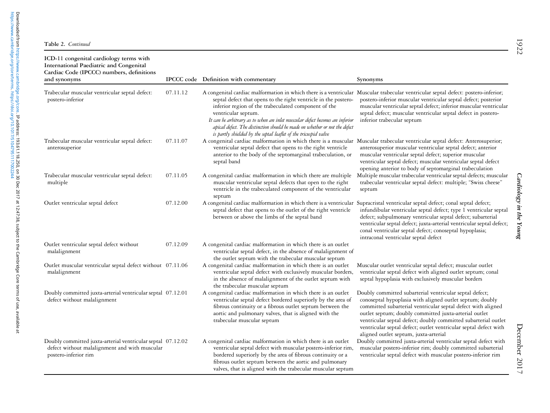| ICD-11 congenital cardiology terms with<br>International Paediatric and Congenital<br>Cardiac Code (IPCCC) numbers, definitions<br>and synonyms |          | IPCCC code Definition with commentary                                                                                                                                                                                                                                                                                                                                                                                                                                                                                | Synonyms                                                                                                                                                                                                                                                                                                                                                                                                                    |
|-------------------------------------------------------------------------------------------------------------------------------------------------|----------|----------------------------------------------------------------------------------------------------------------------------------------------------------------------------------------------------------------------------------------------------------------------------------------------------------------------------------------------------------------------------------------------------------------------------------------------------------------------------------------------------------------------|-----------------------------------------------------------------------------------------------------------------------------------------------------------------------------------------------------------------------------------------------------------------------------------------------------------------------------------------------------------------------------------------------------------------------------|
| Trabecular muscular ventricular septal defect:<br>postero-inferior                                                                              | 07.11.12 | A congenital cardiac malformation in which there is a ventricular Muscular trabecular ventricular septal defect: postero-inferior;<br>septal defect that opens to the right ventricle in the postero-<br>inferior region of the trabeculated component of the<br>ventricular septum.<br>It can be arbitrary as to when an inlet muscular defect becomes an inferior<br>apical defect. The distinction should be made on whether or not the defect<br>is partly shielded by the septal leaflet of the tricuspid valve | postero-inferior muscular ventricular septal defect; posterior<br>muscular ventricular septal defect; inferior muscular ventricular<br>septal defect; muscular ventricular septal defect in postero-<br>inferior trabecular septum                                                                                                                                                                                          |
| Trabecular muscular ventricular septal defect:<br>anterosuperior                                                                                | 07.11.07 | A congenital cardiac malformation in which there is a muscular Muscular trabecular ventricular septal defect: Anterosuperior;<br>ventricular septal defect that opens to the right ventricle<br>anterior to the body of the septomarginal trabeculation, or<br>septal band                                                                                                                                                                                                                                           | anterosuperior muscular ventricular septal defect; anterior<br>muscular ventricular septal defect; superior muscular<br>ventricular septal defect; muscular ventricular septal defect<br>opening anterior to body of septomarginal trabeculation                                                                                                                                                                            |
| Trabecular muscular ventricular septal defect:<br>multiple                                                                                      | 07.11.05 | A congenital cardiac malformation in which there are multiple<br>muscular ventricular septal defects that open to the right<br>ventricle in the trabeculated component of the ventricular<br>septum                                                                                                                                                                                                                                                                                                                  | Multiple muscular trabecular ventricular septal defects; muscular<br>trabecular ventricular septal defect: multiple; "Swiss cheese"<br>septum                                                                                                                                                                                                                                                                               |
| Outlet ventricular septal defect                                                                                                                | 07.12.00 | A congenital cardiac malformation in which there is a ventricular Supracristal ventricular septal defect; conal septal defect;<br>septal defect that opens to the outlet of the right ventricle<br>between or above the limbs of the septal band                                                                                                                                                                                                                                                                     | infundibular ventricular septal defect; type 1 ventricular septal<br>defect; subpulmonary ventricular septal defect; subarterial<br>ventricular septal defect; juxta-arterial ventricular septal defect;<br>conal ventricular septal defect; conoseptal hypoplasia;<br>intraconal ventricular septal defect                                                                                                                 |
| Outlet ventricular septal defect without<br>malalignment                                                                                        | 07.12.09 | A congenital cardiac malformation in which there is an outlet<br>ventricular septal defect, in the absence of malalignment of<br>the outlet septum with the trabecular muscular septum                                                                                                                                                                                                                                                                                                                               |                                                                                                                                                                                                                                                                                                                                                                                                                             |
| Outlet muscular ventricular septal defect without 07.11.06<br>malalignment                                                                      |          | A congenital cardiac malformation in which there is an outlet<br>ventricular septal defect with exclusively muscular borders,<br>in the absence of malalignment of the outlet septum with<br>the trabecular muscular septum                                                                                                                                                                                                                                                                                          | Muscular outlet ventricular septal defect; muscular outlet<br>ventricular septal defect with aligned outlet septum; conal<br>septal hypoplasia with exclusively muscular borders                                                                                                                                                                                                                                            |
| Doubly committed juxta-arterial ventricular septal 07.12.01<br>defect without malalignment                                                      |          | A congenital cardiac malformation in which there is an outlet<br>ventricular septal defect bordered superiorly by the area of<br>fibrous continuity or a fibrous outlet septum between the<br>aortic and pulmonary valves, that is aligned with the<br>trabecular muscular septum                                                                                                                                                                                                                                    | Doubly committed subarterial ventricular septal defect;<br>conoseptal hypoplasia with aligned outlet septum; doubly<br>committed subarterial ventricular septal defect with aligned<br>outlet septum; doubly committed juxta-arterial outlet<br>ventricular septal defect; doubly committed subarterial outlet<br>ventricular septal defect; outlet ventricular septal defect with<br>aligned outlet septum, juxta-arterial |
| Doubly committed juxta-arterial ventricular septal 07.12.02<br>defect without malalignment and with muscular<br>postero-inferior rim            |          | A congenital cardiac malformation in which there is an outlet<br>ventricular septal defect with muscular postero-inferior rim,<br>bordered superiorly by the area of fibrous continuity or a<br>fibrous outlet septum between the aortic and pulmonary<br>valves, that is aligned with the trabecular muscular septum                                                                                                                                                                                                | Doubly committed juxta-arterial ventricular septal defect with<br>muscular postero-inferior rim; doubly committed subarterial<br>ventricular septal defect with muscular postero-inferior rim                                                                                                                                                                                                                               |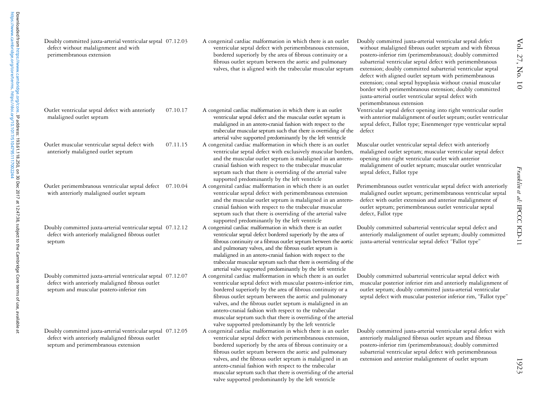| Doubly committed juxta-arterial ventricular septal 07.12.03                                                                                                 |          | A congenital cardiac malformation in which there is an outlet                                                                                                                                                                                                                                                                                                                                                                                                                                        | Doubly committed juxta-arterial ventricular septal defect                                                                                                                                                                                                                                                                                                                                                                                                                                                             |
|-------------------------------------------------------------------------------------------------------------------------------------------------------------|----------|------------------------------------------------------------------------------------------------------------------------------------------------------------------------------------------------------------------------------------------------------------------------------------------------------------------------------------------------------------------------------------------------------------------------------------------------------------------------------------------------------|-----------------------------------------------------------------------------------------------------------------------------------------------------------------------------------------------------------------------------------------------------------------------------------------------------------------------------------------------------------------------------------------------------------------------------------------------------------------------------------------------------------------------|
| defect without malalignment and with<br>perimembranous extension                                                                                            |          | ventricular septal defect with perimembranous extension,<br>bordered superiorly by the area of fibrous continuity or a<br>fibrous outlet septum between the aortic and pulmonary<br>valves, that is aligned with the trabecular muscular septum                                                                                                                                                                                                                                                      | without malaligned fibrous outlet septum and with fibrous<br>postero-inferior rim (perimembranous); doubly committed<br>subarterial ventricular septal defect with perimembranous<br>extension; doubly committed subarterial ventricular septal<br>defect with aligned outlet septum with perimembranous<br>extension; conal septal hypoplasia without cranial muscular<br>border with perimembranous extension; doubly committed<br>juxta-arterial outlet ventricular septal defect with<br>perimembranous extension |
| Outlet ventricular septal defect with anteriorly<br>malaligned outlet septum                                                                                | 07.10.17 | A congenital cardiac malformation in which there is an outlet<br>ventricular septal defect and the muscular outlet septum is<br>malaligned in an antero-cranial fashion with respect to the<br>trabecular muscular septum such that there is overriding of the<br>arterial valve supported predominantly by the left ventricle                                                                                                                                                                       | Ventricular septal defect opening into right ventricular outlet<br>with anterior malalignment of outlet septum; outlet ventricular<br>septal defect, Fallot type; Eisenmenger type ventricular septal<br>defect                                                                                                                                                                                                                                                                                                       |
| Outlet muscular ventricular septal defect with<br>anteriorly malaligned outlet septum                                                                       | 07.11.15 | A congenital cardiac malformation in which there is an outlet<br>ventricular septal defect with exclusively muscular borders,<br>and the muscular outlet septum is malaligned in an antero-<br>cranial fashion with respect to the trabecular muscular<br>septum such that there is overriding of the arterial valve<br>supported predominantly by the left ventricle                                                                                                                                | Muscular outlet ventricular septal defect with anteriorly<br>malaligned outlet septum; muscular ventricular septal defect<br>opening into right ventricular outlet with anterior<br>malalignment of outlet septum; muscular outlet ventricular<br>septal defect, Fallot type                                                                                                                                                                                                                                          |
| Outlet perimembranous ventricular septal defect 07.10.04<br>with anteriorly malaligned outlet septum                                                        |          | A congenital cardiac malformation in which there is an outlet<br>ventricular septal defect with perimembranous extension<br>and the muscular outlet septum is malaligned in an antero-<br>cranial fashion with respect to the trabecular muscular<br>septum such that there is overriding of the arterial valve<br>supported predominantly by the left ventricle                                                                                                                                     | Perimembranous outlet ventricular septal defect with anteriorly<br>malaligned outlet septum; perimembranous ventricular septal<br>defect with outlet extension and anterior malalignment of<br>outlet septum; perimembranous outlet ventricular septal<br>defect, Fallot type                                                                                                                                                                                                                                         |
| Doubly committed juxta-arterial ventricular septal 07.12.12<br>defect with anteriorly malaligned fibrous outlet<br>septum                                   |          | A congenital cardiac malformation in which there is an outlet<br>ventricular septal defect bordered superiorly by the area of<br>fibrous continuity or a fibrous outlet septum between the aortic<br>and pulmonary valves, and the fibrous outlet septum is<br>malaligned in an antero-cranial fashion with respect to the<br>trabecular muscular septum such that there is overriding of the<br>arterial valve supported predominantly by the left ventricle                                        | Doubly committed subarterial ventricular septal defect and<br>anteriorly malalignment of outlet septum; doubly committed<br>juxta-arterial ventricular septal defect "Fallot type"                                                                                                                                                                                                                                                                                                                                    |
| Doubly committed juxta-arterial ventricular septal 07.12.07<br>defect with anteriorly malaligned fibrous outlet<br>septum and muscular postero-inferior rim |          | A congenital cardiac malformation in which there is an outlet<br>ventricular septal defect with muscular postero-inferior rim,<br>bordered superiorly by the area of fibrous continuity or a<br>fibrous outlet septum between the aortic and pulmonary<br>valves, and the fibrous outlet septum is malaligned in an<br>antero-cranial fashion with respect to the trabecular<br>muscular septum such that there is overriding of the arterial<br>valve supported predominantly by the left ventricle | Doubly committed subarterial ventricular septal defect with<br>muscular posterior inferior rim and anteriorly malalignment of<br>outlet septum; doubly committed juxta-arterial ventricular<br>septal defect with muscular posterior inferior rim, "Fallot type"                                                                                                                                                                                                                                                      |
| Doubly committed juxta-arterial ventricular septal 07.12.05<br>defect with anteriorly malaligned fibrous outlet<br>septum and perimembranous extension      |          | A congenital cardiac malformation in which there is an outlet<br>ventricular septal defect with perimembranous extension,<br>bordered superiorly by the area of fibrous continuity or a<br>fibrous outlet septum between the aortic and pulmonary<br>valves, and the fibrous outlet septum is malaligned in an<br>antero-cranial fashion with respect to the trabecular<br>muscular septum such that there is overriding of the arterial<br>valve supported predominantly by the left ventricle      | Doubly committed juxta-arterial ventricular septal defect with<br>anteriorly malaligned fibrous outlet septum and fibrous<br>postero-inferior rim (perimembranous); doubly committed<br>subarterial ventricular septal defect with perimembranous<br>extension and anterior malalignment of outlet septum                                                                                                                                                                                                             |

Vol. 27, No. 10

Vol. 27, No. 10

Franklin et al:

IPCCC ICD-11

Franklin et al: IPCCC ICD-11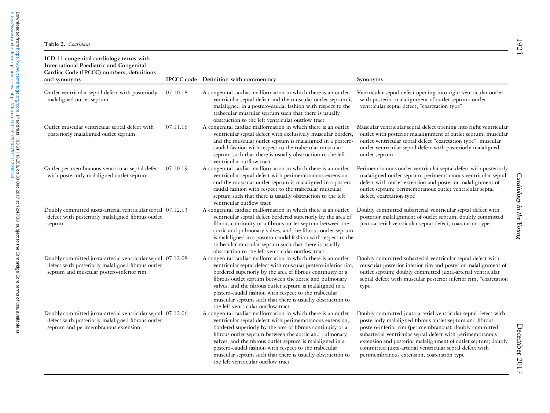| ICD-11 congenital cardiology terms with<br><b>International Paediatric and Congenital</b><br>Cardiac Code (IPCCC) numbers, definitions<br>and synonyms       |          | IPCCC code Definition with commentary                                                                                                                                                                                                                                                                                                                                                                                                                                          | Synonyms                                                                                                                                                                                                                                                                                                                                                                                                                     |
|--------------------------------------------------------------------------------------------------------------------------------------------------------------|----------|--------------------------------------------------------------------------------------------------------------------------------------------------------------------------------------------------------------------------------------------------------------------------------------------------------------------------------------------------------------------------------------------------------------------------------------------------------------------------------|------------------------------------------------------------------------------------------------------------------------------------------------------------------------------------------------------------------------------------------------------------------------------------------------------------------------------------------------------------------------------------------------------------------------------|
| Outlet ventricular septal defect with posteriorly<br>malaligned outlet septum                                                                                | 07.10.18 | A congenital cardiac malformation in which there is an outlet<br>ventricular septal defect and the muscular outlet septum is<br>malaligned in a postero-caudal fashion with respect to the<br>trabecular muscular septum such that there is usually<br>obstruction to the left ventricular outflow tract                                                                                                                                                                       | Ventricular septal defect opening into right ventricular outlet<br>with posterior malalignment of outlet septum; outlet<br>ventricular septal defect, "coarctation type"                                                                                                                                                                                                                                                     |
| Outlet muscular ventricular septal defect with<br>posteriorly malaligned outlet septum                                                                       | 07.11.16 | A congenital cardiac malformation in which there is an outlet<br>ventricular septal defect with exclusively muscular borders,<br>and the muscular outlet septum is malaligned in a postero-<br>caudal fashion with respect to the trabecular muscular<br>septum such that there is usually obstruction to the left<br>ventricular outflow tract                                                                                                                                | Muscular ventricular septal defect opening into right ventricular<br>outlet with posterior malalignment of outlet septum; muscular<br>outlet ventricular septal defect "coarctation type"; muscular<br>outlet ventricular septal defect with posteriorly malaligned<br>outlet septum                                                                                                                                         |
| Outlet perimembranous ventricular septal defect 07.10.19<br>with posteriorly malaligned outlet septum                                                        |          | A congenital cardiac malformation in which there is an outlet<br>ventricular septal defect with perimembranous extension<br>and the muscular outlet septum is malaligned in a postero-<br>caudal fashion with respect to the trabecular muscular<br>septum such that there is usually obstruction to the left<br>ventricular outflow tract                                                                                                                                     | Perimembranous outlet ventricular septal defect with posteriorly<br>malaligned outlet septum; perimembranous ventricular septal<br>defect with outlet extension and posterior malalignment of<br>outlet septum; perimembranous outlet ventricular septal<br>defect, coarctation type                                                                                                                                         |
| Doubly committed juxta-arterial ventricular septal 07.12.13<br>defect with posteriorly malaligned fibrous outlet<br>septum                                   |          | A congenital cardiac malformation in which there is an outlet<br>ventricular septal defect bordered superiorly by the area of<br>fibrous continuity or a fibrous outlet septum between the<br>aortic and pulmonary valves, and the fibrous outlet septum<br>is malaligned in a postero-caudal fashion with respect to the<br>trabecular muscular septum such that there is usually<br>obstruction to the left ventricular outflow tract                                        | Doubly committed subarterial ventricular septal defect with<br>posterior malalignment of outlet septum; doubly committed<br>juxta-arterial ventricular septal defect, coarctation type                                                                                                                                                                                                                                       |
| Doubly committed juxta-arterial ventricular septal 07.12.08<br>defect with posteriorly malaligned fibrous outlet<br>septum and muscular postero-inferior rim |          | A congenital cardiac malformation in which there is an outlet<br>ventricular septal defect with muscular postero-inferior rim,<br>bordered superiorly by the area of fibrous continuity or a<br>fibrous outlet septum between the aortic and pulmonary<br>valves, and the fibrous outlet septum is malaligned in a<br>postero-caudal fashion with respect to the trabecular<br>muscular septum such that there is usually obstruction to<br>the left ventricular outflow tract | Doubly committed subarterial ventricular septal defect with<br>muscular posterior inferior rim and posterior malalignment of<br>outlet septum; doubly committed juxta-arterial ventricular<br>septal defect with muscular posterior inferior rim, "coarctation<br>type"                                                                                                                                                      |
| Doubly committed juxta-arterial ventricular septal 07.12.06<br>defect with posteriorly malaligned fibrous outlet<br>septum and perimembranous extension      |          | A congenital cardiac malformation in which there is an outlet<br>ventricular septal defect with perimembranous extension,<br>bordered superiorly by the area of fibrous continuity or a<br>fibrous outlet septum between the aortic and pulmonary<br>valves, and the fibrous outlet septum is malaligned in a<br>postero-caudal fashion with respect to the trabecular<br>muscular septum such that there is usually obstruction to<br>the left ventricular outflow tract      | Doubly committed juxta-arterial ventricular septal defect with<br>posteriorly malaligned fibrous outlet septum and fibrous<br>postero-inferior rim (perimembranous); doubly committed<br>subarterial ventricular septal defect with perimembranous<br>extension and posterior malalignment of outlet septum; doubly<br>committed juxta-arterial ventricular septal defect with<br>perimembranous extension, coarctation type |

December 2017 December 2017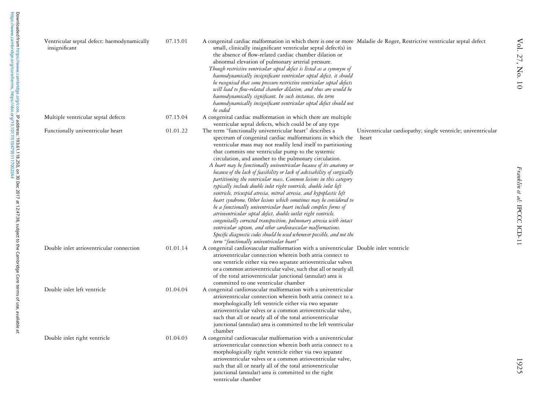| Ventricular septal defect: haemodynamically<br>insignificant | 07.15.01 | A congenital cardiac malformation in which there is one or more Maladie de Roger, Restrictive ventricular septal defect<br>small, clinically insignificant ventricular septal defect(s) in<br>the absence of flow-related cardiac chamber dilation or<br>abnormal elevation of pulmonary arterial pressure.<br>Though restrictive ventricular septal defect is listed as a synonym of<br>haemodynamically insignificant ventricular septal defect, it should<br>be recognised that some pressure restrictive ventricular septal defects<br>will lead to flow-related chamber dilation, and thus are would be<br>haemodynamically significant. In such instances, the term<br>haemodynamically insignificant ventricular septal defect should not<br>be coded                                                                                                                                                                                                                                                                                                                                                                                      |                                                                       |
|--------------------------------------------------------------|----------|---------------------------------------------------------------------------------------------------------------------------------------------------------------------------------------------------------------------------------------------------------------------------------------------------------------------------------------------------------------------------------------------------------------------------------------------------------------------------------------------------------------------------------------------------------------------------------------------------------------------------------------------------------------------------------------------------------------------------------------------------------------------------------------------------------------------------------------------------------------------------------------------------------------------------------------------------------------------------------------------------------------------------------------------------------------------------------------------------------------------------------------------------|-----------------------------------------------------------------------|
| Multiple ventricular septal defects                          | 07.15.04 | A congenital cardiac malformation in which there are multiple<br>ventricular septal defects, which could be of any type                                                                                                                                                                                                                                                                                                                                                                                                                                                                                                                                                                                                                                                                                                                                                                                                                                                                                                                                                                                                                           |                                                                       |
| Functionally univentricular heart                            | 01.01.22 | The term "functionally univentricular heart" describes a<br>spectrum of congenital cardiac malformations in which the<br>ventricular mass may not readily lend itself to partitioning<br>that commits one ventricular pump to the systemic<br>circulation, and another to the pulmonary circulation.<br>A heart may be functionally univentricular because of its anatomy or<br>because of the lack of feasibility or lack of advisability of surgically<br>partitioning the ventricular mass. Common lesions in this category<br>typically include double inlet right ventricle, double inlet left<br>ventricle, tricuspid atresia, mitral atresia, and hypoplastic left<br>heart syndrome. Other lesions which sometimes may be considered to<br>be a functionally univentricular heart include complex forms of<br>atrioventricular septal defect, double outlet right ventricle,<br>congenitally corrected transposition, pulmonary atresia with intact<br>ventricular septum, and other cardiovascular malformations.<br>Specific diagnostic codes should be used whenever possible, and not the<br>term "functionally univentricular heart" | Univentricular cardiopathy; single ventricle; univentricular<br>heart |
| Double inlet atrioventricular connection                     | 01.01.14 | A congenital cardiovascular malformation with a univentricular Double inlet ventricle<br>atrioventricular connection wherein both atria connect to<br>one ventricle either via two separate atrioventricular valves<br>or a common atrioventricular valve, such that all or nearly all<br>of the total atrioventricular junctional (annular) area is<br>committed to one ventricular chamber                                                                                                                                                                                                                                                                                                                                                                                                                                                                                                                                                                                                                                                                                                                                                      |                                                                       |
| Double inlet left ventricle                                  | 01.04.04 | A congenital cardiovascular malformation with a univentricular<br>atrioventricular connection wherein both atria connect to a<br>morphologically left ventricle either via two separate<br>atrioventricular valves or a common atrioventricular valve,<br>such that all or nearly all of the total atrioventricular<br>junctional (annular) area is committed to the left ventricular<br>chamber                                                                                                                                                                                                                                                                                                                                                                                                                                                                                                                                                                                                                                                                                                                                                  |                                                                       |
| Double inlet right ventricle                                 | 01.04.03 | A congenital cardiovascular malformation with a univentricular<br>atrioventricular connection wherein both atria connect to a<br>morphologically right ventricle either via two separate<br>atrioventricular valves or a common atrioventricular valve,<br>such that all or nearly all of the total atrioventricular<br>junctional (annular) area is committed to the right<br>ventricular chamber                                                                                                                                                                                                                                                                                                                                                                                                                                                                                                                                                                                                                                                                                                                                                |                                                                       |

1925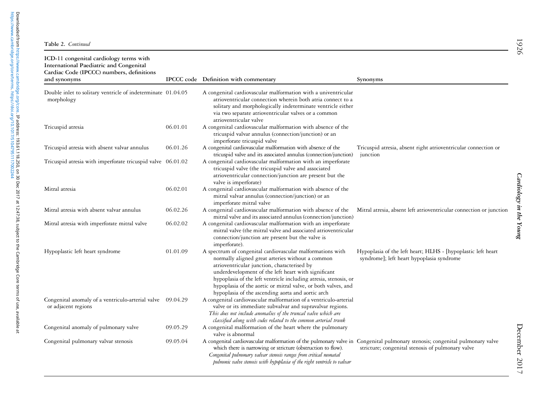| ICD-11 congenital cardiology terms with<br>International Paediatric and Congenital<br>Cardiac Code (IPCCC) numbers, definitions<br>and synonyms |          | IPCCC code Definition with commentary                                                                                                                                                                                                                                                                                                                                                                          | Synonyms                                                                                                       |
|-------------------------------------------------------------------------------------------------------------------------------------------------|----------|----------------------------------------------------------------------------------------------------------------------------------------------------------------------------------------------------------------------------------------------------------------------------------------------------------------------------------------------------------------------------------------------------------------|----------------------------------------------------------------------------------------------------------------|
| Double inlet to solitary ventricle of indeterminate 01.04.05<br>morphology                                                                      |          | A congenital cardiovascular malformation with a univentricular<br>atrioventricular connection wherein both atria connect to a<br>solitary and morphologically indeterminate ventricle either<br>via two separate atrioventricular valves or a common<br>atrioventricular valve                                                                                                                                 |                                                                                                                |
| Tricuspid atresia                                                                                                                               | 06.01.01 | A congenital cardiovascular malformation with absence of the<br>tricuspid valvar annulus (connection/junction) or an<br>imperforate tricuspid valve                                                                                                                                                                                                                                                            |                                                                                                                |
| Tricuspid atresia with absent valvar annulus                                                                                                    | 06.01.26 | A congenital cardiovascular malformation with absence of the<br>tricuspid valve and its associated annulus (connection/junction)                                                                                                                                                                                                                                                                               | Tricuspid atresia, absent right atrioventricular connection or<br>junction                                     |
| Tricuspid atresia with imperforate tricuspid valve 06.01.02                                                                                     |          | A congenital cardiovascular malformation with an imperforate<br>tricuspid valve (the tricuspid valve and associated<br>atrioventricular connection/junction are present but the<br>valve is imperforate)                                                                                                                                                                                                       |                                                                                                                |
| Mitral atresia                                                                                                                                  | 06.02.01 | A congenital cardiovascular malformation with absence of the<br>mitral valvar annulus (connection/junction) or an<br>imperforate mitral valve                                                                                                                                                                                                                                                                  |                                                                                                                |
| Mitral atresia with absent valvar annulus                                                                                                       | 06.02.26 | A congenital cardiovascular malformation with absence of the<br>mitral valve and its associated annulus (connection/junction)                                                                                                                                                                                                                                                                                  | Mitral atresia, absent left atrioventricular connection or junction                                            |
| Mitral atresia with imperforate mitral valve                                                                                                    | 06.02.02 | A congenital cardiovascular malformation with an imperforate<br>mitral valve (the mitral valve and associated atrioventricular<br>connection/junction are present but the valve is<br>imperforate).                                                                                                                                                                                                            |                                                                                                                |
| Hypoplastic left heart syndrome                                                                                                                 | 01.01.09 | A spectrum of congenital cardiovascular malformations with<br>normally aligned great arteries without a common<br>atrioventricular junction, characterised by<br>underdevelopment of the left heart with significant<br>hypoplasia of the left ventricle including atresia, stenosis, or<br>hypoplasia of the aortic or mitral valve, or both valves, and<br>hypoplasia of the ascending aorta and aortic arch | Hypoplasia of the left heart; HLHS - [hypoplastic left heart<br>syndrome]; left heart hypoplasia syndrome      |
| Congenital anomaly of a ventriculo-arterial valve 09.04.29<br>or adjacent regions                                                               |          | A congenital cardiovascular malformation of a ventriculo-arterial<br>valve or its immediate subvalvar and supravalvar regions.<br>This does not include anomalies of the truncal valve which are<br>classified along with codes related to the common arterial trunk                                                                                                                                           |                                                                                                                |
| Congenital anomaly of pulmonary valve                                                                                                           | 09.05.29 | A congenital malformation of the heart where the pulmonary<br>valve is abnormal                                                                                                                                                                                                                                                                                                                                |                                                                                                                |
| Congenital pulmonary valvar stenosis                                                                                                            | 09.05.04 | A congenital cardiovascular malformation of the pulmonary valve in<br>which there is narrowing or stricture (obstruction to flow).<br>Congenital pulmonary valvar stenosis ranges from critical neonatal<br>pulmonic valve stenosis with hypoplasia of the right ventricle to valvar                                                                                                                           | Congenital pulmonary stenosis; congenital pulmonary valve<br>stricture; congenital stenosis of pulmonary valve |

[https://www.cambridge.org/core/terms.](https://www.cambridge.org/core/terms) <https://doi.org/10.1017/S1047951117002244>

Downloaded from https://www.cambridge.org/core.**IP address: 193.61.118.250, on 30 Dec 2017 at 12:47:38, subject to the Cambridge Core terms of use, available at<br>https://www.cambridge.org/core/terms. https://doi.org/10.1017** Downloaded from [https://www.cambridge.org/core.](https://www.cambridge.org/core) IP address: 193.61.118.250, on 30 Dec 2017 at 12:47:38, subject to the Cambridge Core terms of use, available at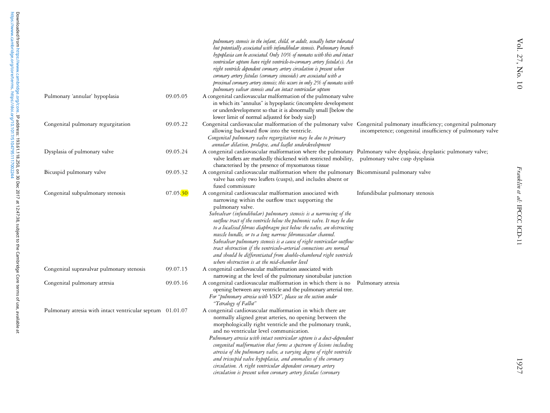|                                                           |          | pulmonary stenosis in the infant, child, or adult, usually better tolerated                                            |                                                           |
|-----------------------------------------------------------|----------|------------------------------------------------------------------------------------------------------------------------|-----------------------------------------------------------|
|                                                           |          | but potentially associated with infundibular stenosis. Pulmonary branch                                                |                                                           |
|                                                           |          | hypoplasia can be associated. Only 10% of neonates with this and intact                                                |                                                           |
|                                                           |          | ventricular septum have right ventricle-to-coronary artery fistula(s). An                                              |                                                           |
|                                                           |          | right ventricle dependent coronary artery circulation is present when                                                  |                                                           |
|                                                           |          | coronary artery fistulas (coronary sinusoids) are associated with a                                                    |                                                           |
|                                                           |          | proximal coronary artery stenosis; this occurs in only 2% of neonates with                                             |                                                           |
|                                                           |          | pulmonary valvar stenosis and an intact ventricular septum                                                             |                                                           |
| Pulmonary 'annular' hypoplasia                            | 09.05.05 | A congenital cardiovascular malformation of the pulmonary valve                                                        |                                                           |
|                                                           |          | in which its "annulus" is hypoplastic (incomplete development                                                          |                                                           |
|                                                           |          | or underdevelopment so that it is abnormally small [below the                                                          |                                                           |
|                                                           |          | lower limit of normal adjusted for body size])                                                                         |                                                           |
| Congenital pulmonary regurgitation                        | 09.05.22 | Congenital cardiovascular malformation of the pulmonary valve Congenital pulmonary insufficiency; congenital pulmonary |                                                           |
|                                                           |          | allowing backward flow into the ventricle.                                                                             | incompetence; congenital insufficiency of pulmonary valve |
|                                                           |          | Congenital pulmonary valve regurgitation may be due to primary                                                         |                                                           |
|                                                           |          | annular dilation, prolapse, and leaflet underdevelopment                                                               |                                                           |
| Dysplasia of pulmonary valve                              | 09.05.24 | A congenital cardiovascular malformation where the pulmonary Pulmonary valve dysplasia; dysplastic pulmonary valve;    |                                                           |
|                                                           |          | valve leaflets are markedly thickened with restricted mobility, pulmonary valve cusp dysplasia                         |                                                           |
|                                                           |          | characterised by the presence of myxomatous tissue                                                                     |                                                           |
| Bicuspid pulmonary valve                                  | 09.05.32 | A congenital cardiovascular malformation where the pulmonary Bicommisural pulmonary valve                              |                                                           |
|                                                           |          | valve has only two leaflets (cusps), and includes absent or                                                            |                                                           |
|                                                           |          | fused commissure                                                                                                       |                                                           |
| Congenital subpulmonary stenosis                          | 07.05.30 | A congenital cardiovascular malformation associated with                                                               | Infundibular pulmonary stenosis                           |
|                                                           |          | narrowing within the outflow tract supporting the                                                                      |                                                           |
|                                                           |          | pulmonary valve.                                                                                                       |                                                           |
|                                                           |          | Subvalvar (infundibular) pulmonary stenosis is a narrowing of the                                                      |                                                           |
|                                                           |          | outflow tract of the ventricle below the pulmonic valve. It may be due                                                 |                                                           |
|                                                           |          | to a localised fibrous diaphragm just below the valve, an obstructing                                                  |                                                           |
|                                                           |          | muscle bundle, or to a long narrow fibromuscular channel.                                                              |                                                           |
|                                                           |          | Subvalvar pulmonary stenosis is a cause of right ventricular outflow                                                   |                                                           |
|                                                           |          | tract obstruction if the ventriculo-arterial connections are normal                                                    |                                                           |
|                                                           |          | and should be differentiated from double-chambered right ventricle                                                     |                                                           |
|                                                           |          | where obstruction is at the mid-chamber level                                                                          |                                                           |
| Congenital supravalvar pulmonary stenosis                 | 09.07.15 | A congenital cardiovascular malformation associated with                                                               |                                                           |
|                                                           |          | narrowing at the level of the pulmonary sinotubular junction                                                           |                                                           |
| Congenital pulmonary atresia                              | 09.05.16 | A congenital cardiovascular malformation in which there is no                                                          | Pulmonary atresia                                         |
|                                                           |          | opening between any ventricle and the pulmonary arterial tree.                                                         |                                                           |
|                                                           |          | For "pulmonary atresia with VSD", please see the section under                                                         |                                                           |
|                                                           |          | "Tetralogy of Fallot"                                                                                                  |                                                           |
| Pulmonary atresia with intact ventricular septum 01.01.07 |          | A congenital cardiovascular malformation in which there are                                                            |                                                           |
|                                                           |          | normally aligned great arteries, no opening between the                                                                |                                                           |
|                                                           |          | morphologically right ventricle and the pulmonary trunk,                                                               |                                                           |
|                                                           |          | and no ventricular level communication.                                                                                |                                                           |
|                                                           |          | Pulmonary atresia with intact ventricular septum is a duct-dependent                                                   |                                                           |
|                                                           |          | congenital malformation that forms a spectrum of lesions including                                                     |                                                           |
|                                                           |          | atresia of the pulmonary valve, a varying degree of right ventricle                                                    |                                                           |
|                                                           |          | and tricuspid valve hypoplasia, and anomalies of the coronary                                                          |                                                           |
|                                                           |          | circulation. A right ventricular dependent coronary artery                                                             |                                                           |
|                                                           |          | circulation is present when coronary artery fistulas (coronary                                                         |                                                           |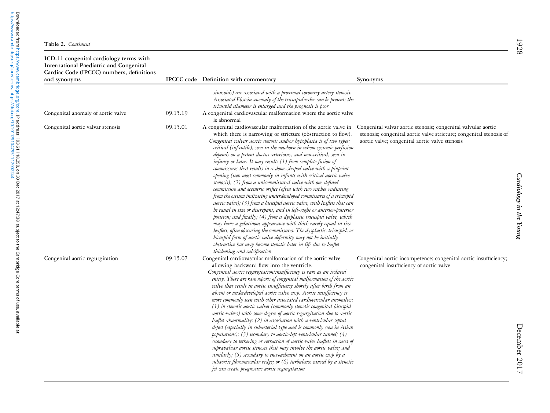| Table 2. Continued |  |  |  |  |
|--------------------|--|--|--|--|
|--------------------|--|--|--|--|

| ICD-11 congenital cardiology terms with<br>International Paediatric and Congenital<br>Cardiac Code (IPCCC) numbers, definitions<br>and synonyms |          | IPCCC code Definition with commentary                                                                                                                                                                                                                                                                                                                                                                                                                                                                                                                                                                                                                                                                                                                                                                                                                                                                                                                                                                                                                                                                                                                                                                                                                                                                                    | Synonyms                                                                                                                                                                               |
|-------------------------------------------------------------------------------------------------------------------------------------------------|----------|--------------------------------------------------------------------------------------------------------------------------------------------------------------------------------------------------------------------------------------------------------------------------------------------------------------------------------------------------------------------------------------------------------------------------------------------------------------------------------------------------------------------------------------------------------------------------------------------------------------------------------------------------------------------------------------------------------------------------------------------------------------------------------------------------------------------------------------------------------------------------------------------------------------------------------------------------------------------------------------------------------------------------------------------------------------------------------------------------------------------------------------------------------------------------------------------------------------------------------------------------------------------------------------------------------------------------|----------------------------------------------------------------------------------------------------------------------------------------------------------------------------------------|
| Congenital anomaly of aortic valve                                                                                                              | 09.15.19 | sinusoids) are associated with a proximal coronary artery stenosis.<br>Associated Ebstein anomaly of the tricuspid valve can be present; the<br>tricuspid diameter is enlarged and the prognosis is poor<br>A congenital cardiovascular malformation where the aortic valve<br>is abnormal                                                                                                                                                                                                                                                                                                                                                                                                                                                                                                                                                                                                                                                                                                                                                                                                                                                                                                                                                                                                                               |                                                                                                                                                                                        |
| Congenital aortic valvar stenosis                                                                                                               | 09.15.01 | A congenital cardiovascular malformation of the aortic valve in<br>which there is narrowing or stricture (obstruction to flow).<br>Congenital valvar aortic stenosis and/or hypoplasia is of two types:<br>critical (infantile), seen in the newborn in whom systemic perfusion<br>depends on a patent ductus arteriosus, and non-critical, seen in<br>infancy or later. It may result: (1) from complete fusion of<br>commissures that results in a dome-shaped valve with a pinpoint<br>opening (seen most commonly in infants with critical aortic valve<br>stenosis); (2) from a unicommissural valve with one defined<br>commissure and eccentric orifice (often with two raphes radiating<br>from the ostium indicating underdeveloped commissures of a tricuspid<br>aortic valve); (3) from a bicuspid aortic valve, with leaflets that can<br>be equal in size or discrepant, and in left-right or anterior-posterior<br>position; and finally; (4) from a dysplastic tricuspid valve, which<br>may have a gelatinous appearance with thick rarely equal in size<br>leaflets, often obscuring the commissures. The dysplastic, tricuspid, or<br>bicuspid form of aortic valve deformity may not be initially<br>obstructive but may become stenotic later in life due to leaflet<br>thickening and calcification | Congenital valvar aortic stenosis; congenital valvular aortic<br>stenosis; congenital aortic valve stricture; congenital stenosis of<br>aortic valve; congenital aortic valve stenosis |
| Congenital aortic regurgitation                                                                                                                 | 09.15.07 | Congenital cardiovascular malformation of the aortic valve<br>allowing backward flow into the ventricle.<br>Congenital aortic regurgitation/insufficiency is rare as an isolated<br>entity. There are rare reports of congenital malformation of the aortic<br>valve that result in aortic insufficiency shortly after birth from an<br>absent or underdeveloped aortic valve cusp. Aortic insufficiency is<br>more commonly seen with other associated cardiovascular anomalies:<br>(1) in stenotic aortic valves (commonly stenotic congenital bicuspid<br>aortic valves) with some degree of aortic regurgitation due to aortic<br>leaflet abnormality; (2) in association with a ventricular septal<br>defect (especially in subarterial type and is commonly seen in Asian<br>populations); (3) secondary to aortic-left ventricular tunnel; (4)<br>secondary to tethering or retraction of aortic valve leaflets in cases of<br>supravalvar aortic stenosis that may involve the aortic valve; and<br>similarly; (5) secondary to encroachment on an aortic cusp by a<br>subaortic fibromuscular ridge; or (6) turbulence caused by a stenotic<br>jet can create progressive aortic regurgitation                                                                                                                  | Congenital aortic incompetence; congenital aortic insufficiency;<br>congenital insufficiency of aortic valve                                                                           |

1928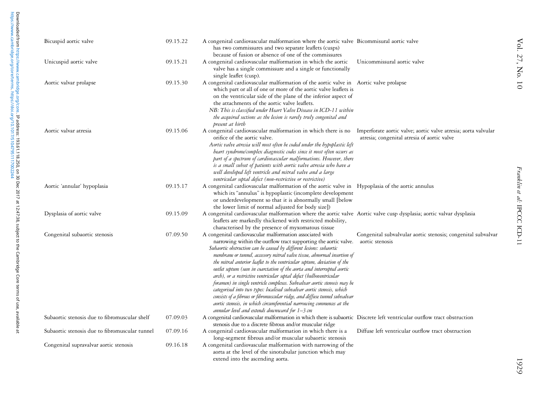| Downloaded from https://www.cambridge.org/core. IP address: 193.61.118.250, on 30 Dec 2017 at 12:47:38, subject to the Cambridge Core terms of use, available at<br>https://www.cambridge.org/core/terms. https://doi.org/10.1017<br>Bicuspid aortic valve |                                                | 09.15.22 | A congenital cardiovascular malformation where the aortic valve Bicommisural aortic valve                                                                                                                                                                                                                                                                                                                                                                                                                                                                                                                                                                                                                                                                                                                                                                                 |                                              |
|------------------------------------------------------------------------------------------------------------------------------------------------------------------------------------------------------------------------------------------------------------|------------------------------------------------|----------|---------------------------------------------------------------------------------------------------------------------------------------------------------------------------------------------------------------------------------------------------------------------------------------------------------------------------------------------------------------------------------------------------------------------------------------------------------------------------------------------------------------------------------------------------------------------------------------------------------------------------------------------------------------------------------------------------------------------------------------------------------------------------------------------------------------------------------------------------------------------------|----------------------------------------------|
|                                                                                                                                                                                                                                                            |                                                |          | has two commissures and two separate leaflets (cusps)<br>because of fusion or absence of one of the commissures                                                                                                                                                                                                                                                                                                                                                                                                                                                                                                                                                                                                                                                                                                                                                           |                                              |
| Unicuspid aortic valve                                                                                                                                                                                                                                     |                                                | 09.15.21 | A congenital cardiovascular malformation in which the aortic<br>valve has a single commissure and a single or functionally<br>single leaflet (cusp).                                                                                                                                                                                                                                                                                                                                                                                                                                                                                                                                                                                                                                                                                                                      | Unicommissural aortic va                     |
| Aortic valvar prolapse                                                                                                                                                                                                                                     |                                                | 09.15.30 | A congenital cardiovascular malformation of the aortic valve in Aortic valve prolapse<br>which part or all of one or more of the aortic valve leaflets is<br>on the ventricular side of the plane of the inferior aspect of<br>the attachments of the aortic valve leaflets.<br>NB: This is classified under Heart Valve Disease in ICD-11 within<br>the acquired sections as the lesion is rarely truly congenital and<br>present at birth                                                                                                                                                                                                                                                                                                                                                                                                                               |                                              |
| Aortic valvar atresia                                                                                                                                                                                                                                      |                                                | 09.15.06 | A congenital cardiovascular malformation in which there is no Imperforate aortic valve; a<br>orifice of the aortic valve.<br>Aortic valve atresia will most often be coded under the hypoplastic left<br>heart syndrome/complex diagnostic codes since it most often occurs as<br>part of a spectrum of cardiovascular malformations. However, there<br>is a small subset of patients with aortic valve atresia who have a<br>well developed left ventricle and mitral valve and a large<br>ventricular septal defect (non-restrictive or restrictive)                                                                                                                                                                                                                                                                                                                    | atresia; congenital atresia                  |
| Aortic 'annular' hypoplasia                                                                                                                                                                                                                                |                                                | 09.15.17 | A congenital cardiovascular malformation of the aortic valve in Hypoplasia of the aortic a<br>which its "annulus" is hypoplastic (incomplete development<br>or underdevelopment so that it is abnormally small [below<br>the lower limit of normal adjusted for body size])                                                                                                                                                                                                                                                                                                                                                                                                                                                                                                                                                                                               |                                              |
| Dysplasia of aortic valve                                                                                                                                                                                                                                  |                                                | 09.15.09 | A congenital cardiovascular malformation where the aortic valve Aortic valve cusp dysplasi<br>leaflets are markedly thickened with restricted mobility,<br>characterised by the presence of myxomatous tissue                                                                                                                                                                                                                                                                                                                                                                                                                                                                                                                                                                                                                                                             |                                              |
| Congenital subaortic stenosis                                                                                                                                                                                                                              |                                                | 07.09.50 | A congenital cardiovascular malformation associated with<br>narrowing within the outflow tract supporting the aortic valve.<br>Subaortic obstruction can be caused by different lesions: subaortic<br>membrane or tunnel, accessory mitral valve tissue, abnormal insertion of<br>the mitral anterior leaflet to the ventricular septum, deviation of the<br>outlet septum (seen in coarctation of the aorta and interrupted aortic<br>arch), or a restrictive ventricular septal defect (bulboventricular<br>foramen) in single ventricle complexes. Subvalvar aortic stenosis may be<br>categorised into two types: localised subvalvar aortic stenosis, which<br>consists of a fibrous or fibromuscular ridge, and diffuse tunnel subvalvar<br>aortic stenosis, in which circumferential narrowing commences at the<br>annular level and extends downward for $1-3$ cm | Congenital subvalvular ac<br>aortic stenosis |
|                                                                                                                                                                                                                                                            | Subaortic stenosis due to fibromuscular shelf  | 07.09.03 | A congenital cardiovascular malformation in which there is subaortic Discrete left ventricular o<br>stenosis due to a discrete fibrous and/or muscular ridge                                                                                                                                                                                                                                                                                                                                                                                                                                                                                                                                                                                                                                                                                                              |                                              |
|                                                                                                                                                                                                                                                            | Subaortic stenosis due to fibromuscular tunnel | 07.09.16 | A congenital cardiovascular malformation in which there is a<br>long-segment fibrous and/or muscular subaortic stenosis                                                                                                                                                                                                                                                                                                                                                                                                                                                                                                                                                                                                                                                                                                                                                   | Diffuse left ventricular ou                  |
|                                                                                                                                                                                                                                                            | Congenital supravalvar aortic stenosis         | 09.16.18 | A congenital cardiovascular malformation with narrowing of the<br>aorta at the level of the sinotubular iunction which may                                                                                                                                                                                                                                                                                                                                                                                                                                                                                                                                                                                                                                                                                                                                                |                                              |

|                                                |          | has two commissures and two separate leaflets (cusps)<br>because of fusion or absence of one of the commissures                                                                                                                                                                                                                                                                                                                                                                                                                                                                                                                                                                                                                                                                                                                                                           |                                                                                                               |
|------------------------------------------------|----------|---------------------------------------------------------------------------------------------------------------------------------------------------------------------------------------------------------------------------------------------------------------------------------------------------------------------------------------------------------------------------------------------------------------------------------------------------------------------------------------------------------------------------------------------------------------------------------------------------------------------------------------------------------------------------------------------------------------------------------------------------------------------------------------------------------------------------------------------------------------------------|---------------------------------------------------------------------------------------------------------------|
| Unicuspid aortic valve                         | 09.15.21 | A congenital cardiovascular malformation in which the aortic<br>valve has a single commissure and a single or functionally<br>single leaflet (cusp).                                                                                                                                                                                                                                                                                                                                                                                                                                                                                                                                                                                                                                                                                                                      | Unicommissural aortic valve                                                                                   |
| Aortic valvar prolapse                         | 09.15.30 | A congenital cardiovascular malformation of the aortic valve in Aortic valve prolapse<br>which part or all of one or more of the aortic valve leaflets is<br>on the ventricular side of the plane of the inferior aspect of<br>the attachments of the aortic valve leaflets.<br>NB: This is classified under Heart Valve Disease in ICD-11 within<br>the acquired sections as the lesion is rarely truly congenital and<br>present at birth                                                                                                                                                                                                                                                                                                                                                                                                                               |                                                                                                               |
| Aortic valvar atresia                          | 09.15.06 | A congenital cardiovascular malformation in which there is no<br>orifice of the aortic valve.<br>Aortic valve atresia will most often be coded under the hypoplastic left<br>heart syndrome/complex diagnostic codes since it most often occurs as<br>part of a spectrum of cardiovascular malformations. However, there<br>is a small subset of patients with aortic valve atresia who have a<br>well developed left ventricle and mitral valve and a large<br>ventricular septal defect (non-restrictive or restrictive)                                                                                                                                                                                                                                                                                                                                                | Imperforate aortic valve; aortic valve atresia; aorta valvular<br>atresia; congenital atresia of aortic valve |
| Aortic 'annular' hypoplasia                    | 09.15.17 | A congenital cardiovascular malformation of the aortic valve in Hypoplasia of the aortic annulus<br>which its "annulus" is hypoplastic (incomplete development<br>or underdevelopment so that it is abnormally small [below<br>the lower limit of normal adjusted for body size])                                                                                                                                                                                                                                                                                                                                                                                                                                                                                                                                                                                         |                                                                                                               |
| Dysplasia of aortic valve                      | 09.15.09 | A congenital cardiovascular malformation where the aortic valve Aortic valve cusp dysplasia; aortic valvar dysplasia<br>leaflets are markedly thickened with restricted mobility,<br>characterised by the presence of myxomatous tissue                                                                                                                                                                                                                                                                                                                                                                                                                                                                                                                                                                                                                                   |                                                                                                               |
| Congenital subaortic stenosis                  | 07.09.50 | A congenital cardiovascular malformation associated with<br>narrowing within the outflow tract supporting the aortic valve.<br>Subaortic obstruction can be caused by different lesions: subaortic<br>membrane or tunnel, accessory mitral valve tissue, abnormal insertion of<br>the mitral anterior leaflet to the ventricular septum, deviation of the<br>outlet septum (seen in coarctation of the aorta and interrupted aortic<br>arch), or a restrictive ventricular septal defect (bulboventricular<br>foramen) in single ventricle complexes. Subvalvar aortic stenosis may be<br>categorised into two types: localised subvalvar aortic stenosis, which<br>consists of a fibrous or fibromuscular ridge, and diffuse tunnel subvalvar<br>aortic stenosis, in which circumferential narrowing commences at the<br>annular level and extends downward for $1-3$ cm | Congenital subvalvular aortic stenosis; congenital subvalvar<br>aortic stenosis                               |
| Subaortic stenosis due to fibromuscular shelf  | 07.09.03 | A congenital cardiovascular malformation in which there is subaortic Discrete left ventricular outflow tract obstruction<br>stenosis due to a discrete fibrous and/or muscular ridge                                                                                                                                                                                                                                                                                                                                                                                                                                                                                                                                                                                                                                                                                      |                                                                                                               |
| Subaortic stenosis due to fibromuscular tunnel | 07.09.16 | A congenital cardiovascular malformation in which there is a<br>long-segment fibrous and/or muscular subaortic stenosis                                                                                                                                                                                                                                                                                                                                                                                                                                                                                                                                                                                                                                                                                                                                                   | Diffuse left ventricular outflow tract obstruction                                                            |
| Congenital supravalvar aortic stenosis         | 09.16.18 | A congenital cardiovascular malformation with narrowing of the<br>aorta at the level of the sinotubular junction which may<br>extend into the ascending aorta.                                                                                                                                                                                                                                                                                                                                                                                                                                                                                                                                                                                                                                                                                                            |                                                                                                               |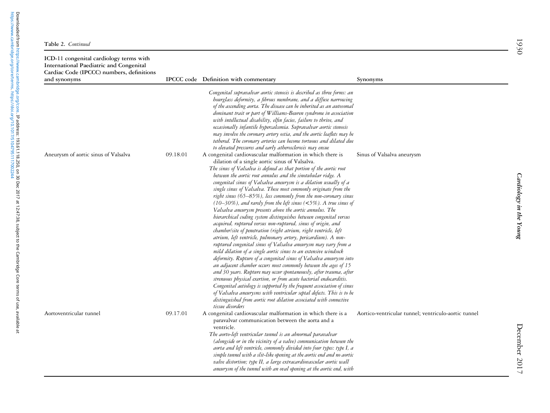| Table 2. Continued |  |  |  |  |
|--------------------|--|--|--|--|
|--------------------|--|--|--|--|

| ICD-11 congenital cardiology terms with<br>International Paediatric and Congenital<br>Cardiac Code (IPCCC) numbers, definitions<br>and synonyms |          | IPCCC code Definition with commentary                                                                                                                                                                                                                                                                                                                                                                                                                                                                                                                                                                                                                                                                                                                                                                                                                                                                                                                                                                                                                                                                                                                                                                                                                                                                                                                                                                                                                                                                                                                                                                                                                                                                                                                                                                                                                                                                                                                                                                                                | Synonyms                                             |
|-------------------------------------------------------------------------------------------------------------------------------------------------|----------|--------------------------------------------------------------------------------------------------------------------------------------------------------------------------------------------------------------------------------------------------------------------------------------------------------------------------------------------------------------------------------------------------------------------------------------------------------------------------------------------------------------------------------------------------------------------------------------------------------------------------------------------------------------------------------------------------------------------------------------------------------------------------------------------------------------------------------------------------------------------------------------------------------------------------------------------------------------------------------------------------------------------------------------------------------------------------------------------------------------------------------------------------------------------------------------------------------------------------------------------------------------------------------------------------------------------------------------------------------------------------------------------------------------------------------------------------------------------------------------------------------------------------------------------------------------------------------------------------------------------------------------------------------------------------------------------------------------------------------------------------------------------------------------------------------------------------------------------------------------------------------------------------------------------------------------------------------------------------------------------------------------------------------------|------------------------------------------------------|
| Aneurysm of aortic sinus of Valsalva                                                                                                            | 09.18.01 | Congenital supravalvar aortic stenosis is described as three forms: an<br>hourglass deformity, a fibrous membrane, and a diffuse narrowing<br>of the ascending aorta. The disease can be inherited as an autosomal<br>dominant trait or part of Williams-Beuren syndrome in association<br>with intellectual disability, elfin facies, failure to thrive, and<br>occasionally infantile hypercalcemia. Supravalvar aortic stenosis<br>may involve the coronary artery ostia, and the aortic leaflets may be<br>tethered. The coronary arteries can become tortuous and dilated due<br>to elevated pressures and early atherosclerosis may ensue<br>A congenital cardiovascular malformation in which there is<br>dilation of a single aortic sinus of Valsalva.<br>The sinus of Valsalva is defined as that portion of the aortic root<br>between the aortic root annulus and the sinotubular ridge. A<br>congenital sinus of Valsalva aneurysm is a dilation usually of a<br>single sinus of Valsalva. These most commonly originate from the<br>right sinus (65–85%), less commonly from the non-coronary sinus<br>$(10-30\%)$ , and rarely from the left sinus (<5%). A true sinus of<br>Valsalva aneurysm presents above the aortic annulus. The<br>hierarchical coding system distinguishes between congenital versus<br>acquired, ruptured versus non-ruptured, sinus of origin, and<br>chamber/site of penetration (right atrium, right ventricle, left<br>atrium, left ventricle, pulmonary artery, pericardium). A non-<br>ruptured congenital sinus of Valsalva aneurysm may vary from a<br>mild dilation of a single aortic sinus to an extensive windsock<br>deformity. Rupture of a congenital sinus of Valsalva aneurysm into<br>an adjacent chamber occurs most commonly between the ages of 15<br>and 30 years. Rupture may occur spontaneously, after trauma, after<br>strenuous physical exertion, or from acute bacterial endocarditis.<br>Congenital aetiology is supported by the frequent association of sinus | Sinus of Valsalva aneurysm                           |
| Aortoventricular tunnel                                                                                                                         | 09.17.01 | of Valsalva aneurysms with ventricular septal defects. This is to be<br>distinguished from aortic root dilation associated with connective<br>tissue disorders<br>A congenital cardiovascular malformation in which there is a<br>paravalvar communication between the aorta and a<br>ventricle.<br>The aorto-left ventricular tunnel is an abnormal paravalvar<br>(alongside or in the vicinity of a valve) communication between the<br>aorta and left ventricle, commonly divided into four types: type I, a<br>simple tunnel with a slit-like opening at the aortic end and no aortic<br>valve distortion; type II, a large extracardiovascular aortic wall<br>aneurysm of the tunnel with an oval opening at the aortic end, with                                                                                                                                                                                                                                                                                                                                                                                                                                                                                                                                                                                                                                                                                                                                                                                                                                                                                                                                                                                                                                                                                                                                                                                                                                                                                               | Aortico-ventricular tunnel; ventriculo-aortic tunnel |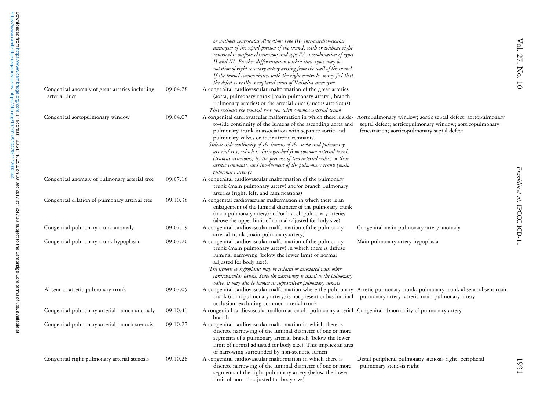|                                                                 |          | or without ventricular distortion; type III, intracardiovascular<br>aneurysm of the septal portion of the tunnel, with or without right<br>ventricular outflow obstruction; and type IV, a combination of types<br>II and III. Further differentiation within these types may be<br>notation of right coronary artery arising from the wall of the tunnel.<br>If the tunnel communicates with the right ventricle, many feel that<br>the defect is really a ruptured sinus of Valsalva aneurysm                                                                                                              |                                                                                                          |
|-----------------------------------------------------------------|----------|--------------------------------------------------------------------------------------------------------------------------------------------------------------------------------------------------------------------------------------------------------------------------------------------------------------------------------------------------------------------------------------------------------------------------------------------------------------------------------------------------------------------------------------------------------------------------------------------------------------|----------------------------------------------------------------------------------------------------------|
| Congenital anomaly of great arteries including<br>arterial duct | 09.04.28 | A congenital cardiovascular malformation of the great arteries<br>(aorta, pulmonary trunk [main pulmonary artery], branch<br>pulmonary arteries) or the arterial duct (ductus arteriosus).<br>This excludes the truncal root seen with common arterial trunk                                                                                                                                                                                                                                                                                                                                                 |                                                                                                          |
| Congenital aortopulmonary window                                | 09.04.07 | A congenital cardiovascular malformation in which there is side- Aortopulmonary window; aortic septal defect; aortopulmonary<br>to-side continuity of the lumens of the ascending aorta and<br>pulmonary trunk in association with separate aortic and<br>pulmonary valves or their atretic remnants.<br>Side-to-side continuity of the lumens of the aorta and pulmonary<br>arterial tree, which is distinguished from common arterial trunk<br>(truncus arteriosus) by the presence of two arterial valves or their<br>atretic remnants, and involvement of the pulmonary trunk (main<br>pulmonary artery) | septal defect; aorticopulmonary window; aorticopulmonary<br>fenestration; aorticopulmonary septal defect |
| Congenital anomaly of pulmonary arterial tree                   | 09.07.16 | A congenital cardiovascular malformation of the pulmonary<br>trunk (main pulmonary artery) and/or branch pulmonary<br>arteries (right, left, and ramifications)                                                                                                                                                                                                                                                                                                                                                                                                                                              |                                                                                                          |
| Congenital dilation of pulmonary arterial tree                  | 09.10.36 | A congenital cardiovascular malformation in which there is an<br>enlargement of the luminal diameter of the pulmonary trunk<br>(main pulmonary artery) and/or branch pulmonary arteries<br>(above the upper limit of normal adjusted for body size)                                                                                                                                                                                                                                                                                                                                                          |                                                                                                          |
| Congenital pulmonary trunk anomaly                              | 09.07.19 | A congenital cardiovascular malformation of the pulmonary<br>arterial trunk (main pulmonary artery)                                                                                                                                                                                                                                                                                                                                                                                                                                                                                                          | Congenital main pulmonary artery anomaly                                                                 |
| Congenital pulmonary trunk hypoplasia                           | 09.07.20 | A congenital cardiovascular malformation of the pulmonary<br>trunk (main pulmonary artery) in which there is diffuse<br>luminal narrowing (below the lower limit of normal<br>adjusted for body size).<br>The stenosis or hypoplasia may be isolated or associated with other<br>cardiovascular lesions. Since the narrowing is distal to the pulmonary<br>valve, it may also be known as supravalvar pulmonary stenosis                                                                                                                                                                                     | Main pulmonary artery hypoplasia                                                                         |
| Absent or atretic pulmonary trunk                               | 09.07.05 | A congenital cardiovascular malformation where the pulmonary Atretic pulmonary trunk; pulmonary trunk absent; absent main<br>trunk (main pulmonary artery) is not present or has luminal<br>occlusion, excluding common arterial trunk                                                                                                                                                                                                                                                                                                                                                                       | pulmonary artery; atretic main pulmonary artery                                                          |
| Congenital pulmonary arterial branch anomaly                    | 09.10.41 | A congenital cardiovascular malformation of a pulmonary arterial Congenital abnormality of pulmonary artery<br>branch                                                                                                                                                                                                                                                                                                                                                                                                                                                                                        |                                                                                                          |
| Congenital pulmonary arterial branch stenosis                   | 09.10.27 | A congenital cardiovascular malformation in which there is<br>discrete narrowing of the luminal diameter of one or more<br>segments of a pulmonary arterial branch (below the lower<br>limit of normal adjusted for body size). This implies an area<br>of narrowing surrounded by non-stenotic lumen                                                                                                                                                                                                                                                                                                        |                                                                                                          |
| Congenital right pulmonary arterial stenosis                    | 09.10.28 | A congenital cardiovascular malformation in which there is<br>discrete narrowing of the luminal diameter of one or more<br>segments of the right pulmonary artery (below the lower<br>limit of normal adjusted for body size)                                                                                                                                                                                                                                                                                                                                                                                | Distal peripheral pulmonary stenosis right; peripheral<br>pulmonary stenosis right                       |

1931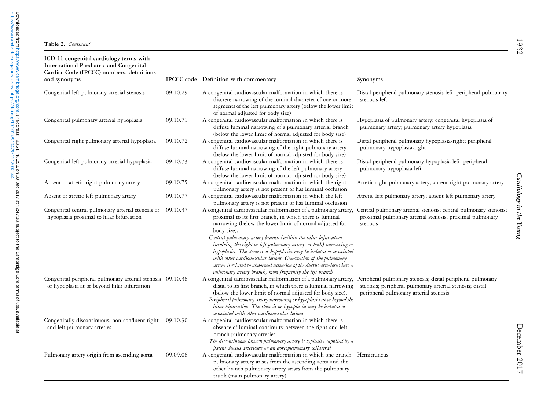| ICD-11 congenital cardiology terms with<br>International Paediatric and Congenital<br>Cardiac Code (IPCCC) numbers, definitions<br>and synonyms |          | IPCCC code Definition with commentary                                                                                                                                                                                                                                                                                                                                                                                  | Synonyms                                                                                                                                                         |
|-------------------------------------------------------------------------------------------------------------------------------------------------|----------|------------------------------------------------------------------------------------------------------------------------------------------------------------------------------------------------------------------------------------------------------------------------------------------------------------------------------------------------------------------------------------------------------------------------|------------------------------------------------------------------------------------------------------------------------------------------------------------------|
|                                                                                                                                                 |          |                                                                                                                                                                                                                                                                                                                                                                                                                        |                                                                                                                                                                  |
| Congenital left pulmonary arterial stenosis                                                                                                     | 09.10.29 | A congenital cardiovascular malformation in which there is<br>discrete narrowing of the luminal diameter of one or more<br>segments of the left pulmonary artery (below the lower limit<br>of normal adjusted for body size)                                                                                                                                                                                           | Distal peripheral pulmonary stenosis left; peripheral pulmonary<br>stenosis left                                                                                 |
| Congenital pulmonary arterial hypoplasia                                                                                                        | 09.10.71 | A congenital cardiovascular malformation in which there is<br>diffuse luminal narrowing of a pulmonary arterial branch<br>(below the lower limit of normal adjusted for body size)                                                                                                                                                                                                                                     | Hypoplasia of pulmonary artery; congenital hypoplasia of<br>pulmonary artery; pulmonary artery hypoplasia                                                        |
| Congenital right pulmonary arterial hypoplasia                                                                                                  | 09.10.72 | A congenital cardiovascular malformation in which there is<br>diffuse luminal narrowing of the right pulmonary artery<br>(below the lower limit of normal adjusted for body size)                                                                                                                                                                                                                                      | Distal peripheral pulmonary hypoplasia-right; peripheral<br>pulmonary hypoplasia-right                                                                           |
| Congenital left pulmonary arterial hypoplasia                                                                                                   | 09.10.73 | A congenital cardiovascular malformation in which there is<br>diffuse luminal narrowing of the left pulmonary artery<br>(below the lower limit of normal adjusted for body size)                                                                                                                                                                                                                                       | Distal peripheral pulmonary hypoplasia left; peripheral<br>pulmonary hypoplasia left                                                                             |
| Absent or atretic right pulmonary artery                                                                                                        | 09.10.75 | A congenital cardiovascular malformation in which the right<br>pulmonary artery is not present or has luminal occlusion                                                                                                                                                                                                                                                                                                | Atretic right pulmonary artery; absent right pulmonary artery                                                                                                    |
| Absent or atretic left pulmonary artery                                                                                                         | 09.10.77 | A congenital cardiovascular malformation in which the left<br>pulmonary artery is not present or has luminal occlusion                                                                                                                                                                                                                                                                                                 | Atretic left pulmonary artery; absent left pulmonary artery                                                                                                      |
| Congenital central pulmonary arterial stenosis or<br>hypoplasia proximal to hilar bifurcation                                                   | 09.10.37 | A congenital cardiovascular malformation of a pulmonary artery,<br>proximal to its first branch, in which there is luminal<br>narrowing (below the lower limit of normal adjusted for<br>body size).                                                                                                                                                                                                                   | Central pulmonary arterial stenosis; central pulmonary stenosis;<br>proximal pulmonary arterial stenosis; proximal pulmonary<br>stenosis                         |
|                                                                                                                                                 |          | Central pulmonary artery branch (within the hilar bifurcation<br>involving the right or left pulmonary artery, or both) narrowing or<br>hypoplasia. The stenosis or hypoplasia may be isolated or associated<br>with other cardiovascular lesions. Coarctation of the pulmonary<br>artery is related to abnormal extension of the ductus arteriosus into a<br>pulmonary artery branch, more frequently the left branch |                                                                                                                                                                  |
| Congenital peripheral pulmonary arterial stenosis 09.10.38<br>or hypoplasia at or beyond hilar bifurcation                                      |          | A congenital cardiovascular malformation of a pulmonary artery,<br>distal to its first branch, in which there is luminal narrowing<br>(below the lower limit of normal adjusted for body size).<br>Peripheral pulmonary artery narrowing or hypoplasia at or beyond the<br>hilar bifurcation. The stenosis or hypoplasia may be isolated or<br>associated with other cardiovascular lesions                            | Peripheral pulmonary stenosis; distal peripheral pulmonary<br>stenosis; peripheral pulmonary arterial stenosis; distal<br>peripheral pulmonary arterial stenosis |
| Congenitally discontinuous, non-confluent right 09.10.30<br>and left pulmonary arteries                                                         |          | A congenital cardiovascular malformation in which there is<br>absence of luminal continuity between the right and left<br>branch pulmonary arteries.<br>The discontinuous branch pulmonary artery is typically supplied by a<br>patent ductus arteriosus or an aortopulmonary collateral                                                                                                                               |                                                                                                                                                                  |
| Pulmonary artery origin from ascending aorta                                                                                                    | 09.09.08 | A congenital cardiovascular malformation in which one branch Hemitruncus<br>pulmonary artery arises from the ascending aorta and the<br>other branch pulmonary artery arises from the pulmonary<br>trunk (main pulmonary artery).                                                                                                                                                                                      |                                                                                                                                                                  |

[https://www.cambridge.org/core/terms.](https://www.cambridge.org/core/terms) <https://doi.org/10.1017/S1047951117002244>

Downloaded from https://www.cambridge.org/core.**IP address: 193.61.118.250, on 30 Dec 2017 at 12:47:38, subject to the Cambridge Core terms of use, available at<br>https://www.cambridge.org/core/terms. https://doi.org/10.1017** Downloaded from [https://www.cambridge.org/core.](https://www.cambridge.org/core) IP address: 193.61.118.250, on 30 Dec 2017 at 12:47:38, subject to the Cambridge Core terms of use, available at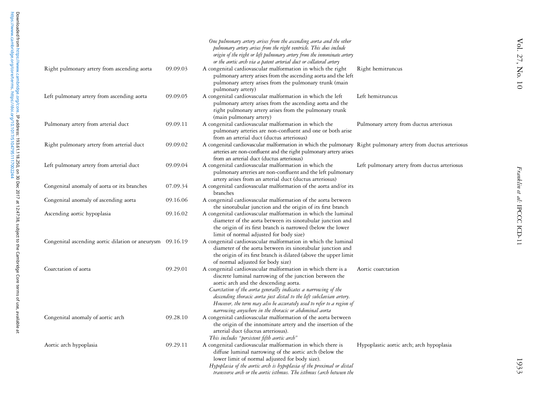|                                                           |          | One pulmonary artery arises from the ascending aorta and the other<br>pulmonary artery arises from the right ventricle. This does include<br>origin of the right or left pulmonary artery from the innominate artery<br>or the aortic arch via a patent arterial duct or collateral artery                                                                                                                                                   |                                              |
|-----------------------------------------------------------|----------|----------------------------------------------------------------------------------------------------------------------------------------------------------------------------------------------------------------------------------------------------------------------------------------------------------------------------------------------------------------------------------------------------------------------------------------------|----------------------------------------------|
| Right pulmonary artery from ascending aorta               | 09.09.03 | A congenital cardiovascular malformation in which the right<br>pulmonary artery arises from the ascending aorta and the left<br>pulmonary artery arises from the pulmonary trunk (main<br>pulmonary artery)                                                                                                                                                                                                                                  | Right hemitruncus                            |
| Left pulmonary artery from ascending aorta                | 09.09.05 | A congenital cardiovascular malformation in which the left<br>pulmonary artery arises from the ascending aorta and the<br>right pulmonary artery arises from the pulmonary trunk<br>(main pulmonary artery)                                                                                                                                                                                                                                  | Left hemitruncus                             |
| Pulmonary artery from arterial duct                       | 09.09.11 | A congenital cardiovascular malformation in which the<br>pulmonary arteries are non-confluent and one or both arise<br>from an arterial duct (ductus arteriosus)                                                                                                                                                                                                                                                                             | Pulmonary artery from ductus arteriosus      |
| Right pulmonary artery from arterial duct                 | 09.09.02 | A congenital cardiovascular malformation in which the pulmonary Right pulmonary artery from ductus arteriosus<br>arteries are non-confluent and the right pulmonary artery arises<br>from an arterial duct (ductus arteriosus)                                                                                                                                                                                                               |                                              |
| Left pulmonary artery from arterial duct                  | 09.09.04 | A congenital cardiovascular malformation in which the<br>pulmonary arteries are non-confluent and the left pulmonary<br>artery arises from an arterial duct (ductus arteriosus)                                                                                                                                                                                                                                                              | Left pulmonary artery from ductus arteriosus |
| Congenital anomaly of aorta or its branches               | 07.09.34 | A congenital cardiovascular malformation of the aorta and/or its<br>branches                                                                                                                                                                                                                                                                                                                                                                 |                                              |
| Congenital anomaly of ascending aorta                     | 09.16.06 | A congenital cardiovascular malformation of the aorta between<br>the sinotubular junction and the origin of its first branch                                                                                                                                                                                                                                                                                                                 |                                              |
| Ascending aortic hypoplasia                               | 09.16.02 | A congenital cardiovascular malformation in which the luminal<br>diameter of the aorta between its sinotubular junction and<br>the origin of its first branch is narrowed (below the lower<br>limit of normal adjusted for body size)                                                                                                                                                                                                        |                                              |
| Congenital ascending aortic dilation or aneurysm 09.16.19 |          | A congenital cardiovascular malformation in which the luminal<br>diameter of the aorta between its sinotubular junction and<br>the origin of its first branch is dilated (above the upper limit<br>of normal adjusted for body size)                                                                                                                                                                                                         |                                              |
| Coarctation of aorta                                      | 09.29.01 | A congenital cardiovascular malformation in which there is a<br>discrete luminal narrowing of the junction between the<br>aortic arch and the descending aorta.<br>Coarctation of the aorta generally indicates a narrowing of the<br>descending thoracic aorta just distal to the left subclavian artery.<br>However, the term may also be accurately used to refer to a region of<br>narrowing anywhere in the thoracic or abdominal aorta | Aortic coarctation                           |
| Congenital anomaly of aortic arch                         | 09.28.10 | A congenital cardiovascular malformation of the aorta between<br>the origin of the innominate artery and the insertion of the<br>arterial duct (ductus arteriosus).<br>This includes "persistent fifth aortic arch"                                                                                                                                                                                                                          |                                              |
| Aortic arch hypoplasia                                    | 09.29.11 | A congenital cardiovascular malformation in which there is<br>diffuse luminal narrowing of the aortic arch (below the<br>lower limit of normal adjusted for body size).<br>Hypoplasia of the aortic arch is hypoplasia of the proximal or distal<br>transverse arch or the aortic isthmus. The isthmus (arch between the                                                                                                                     | Hypoplastic aortic arch; arch hypoplasia     |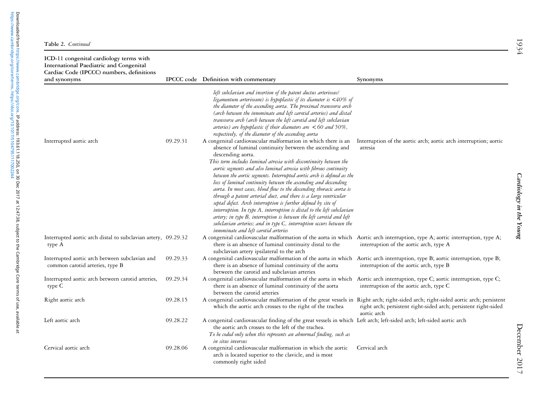| ICD-11 congenital cardiology terms with<br>International Paediatric and Congenital<br>Cardiac Code (IPCCC) numbers, definitions<br>and synonyms |          | IPCCC code Definition with commentary                                                                                                                                                                                                                                                                                                                                                                                                                                                                                                                                                                                                                                                                                                                                                                                                                                                                              | Synonyms                                                                                                  |
|-------------------------------------------------------------------------------------------------------------------------------------------------|----------|--------------------------------------------------------------------------------------------------------------------------------------------------------------------------------------------------------------------------------------------------------------------------------------------------------------------------------------------------------------------------------------------------------------------------------------------------------------------------------------------------------------------------------------------------------------------------------------------------------------------------------------------------------------------------------------------------------------------------------------------------------------------------------------------------------------------------------------------------------------------------------------------------------------------|-----------------------------------------------------------------------------------------------------------|
|                                                                                                                                                 |          | left subclavian and insertion of the patent ductus arteriosus/<br>ligamentum arteriosum) is hypoplastic if its diameter is $\langle 40\% \text{ of}$<br>the diameter of the ascending aorta. The proximal transverse arch<br>(arch between the innominate and left carotid arteries) and distal<br>transverse arch (arch between the left carotid and left subclavian<br>arteries) are hypoplastic if their diameters are $< 60$ and 50%,<br>respectively, of the diameter of the ascending aorta                                                                                                                                                                                                                                                                                                                                                                                                                  |                                                                                                           |
| Interrupted aortic arch                                                                                                                         | 09.29.31 | A congenital cardiovascular malformation in which there is an<br>absence of luminal continuity between the ascending and<br>descending aorta.<br>This term includes luminal atresia with discontinuity between the<br>aortic segments and also luminal atresia with fibrous continuity<br>between the aortic segments. Interrupted aortic arch is defined as the<br>loss of luminal continuity between the ascending and descending<br>aorta. In most cases, blood flow to the descending thoracic aorta is<br>through a patent arterial duct, and there is a large ventricular<br>septal defect. Arch interruption is further defined by site of<br>interruption. In type A, interruption is distal to the left subclavian<br>artery; in type B, interruption is between the left carotid and left<br>subclavian arteries; and in type C, interruption occurs between the<br>innominate and left carotid arteries | Interruption of the aortic arch; aortic arch interruption; aortic<br>atresia                              |
| Interrupted aortic arch distal to subclavian artery, 09.29.32<br>type A                                                                         |          | A congenital cardiovascular malformation of the aorta in which<br>there is an absence of luminal continuity distal to the<br>subclavian artery ipsilateral to the arch                                                                                                                                                                                                                                                                                                                                                                                                                                                                                                                                                                                                                                                                                                                                             | Aortic arch interruption, type A; aortic interruption, type A;<br>interruption of the aortic arch, type A |
| Interrupted aortic arch between subclavian and<br>common carotid arteries, type B                                                               | 09.29.33 | A congenital cardiovascular malformation of the aorta in which<br>there is an absence of luminal continuity of the aorta<br>between the carotid and subclavian arteries                                                                                                                                                                                                                                                                                                                                                                                                                                                                                                                                                                                                                                                                                                                                            | Aortic arch interruption, type B; aortic interruption, type B;<br>interruption of the aortic arch, type B |
| Interrupted aortic arch between carotid arteries,<br>type C                                                                                     | 09.29.34 | A congenital cardiovascular malformation of the aorta in which<br>there is an absence of luminal continuity of the aorta<br>between the carotid arteries                                                                                                                                                                                                                                                                                                                                                                                                                                                                                                                                                                                                                                                                                                                                                           | Aortic arch interruption, type C; aortic interruption, type C;<br>interruption of the aortic arch, type C |
| Right aortic arch                                                                                                                               | 09.28.15 | A congenital cardiovascular malformation of the great vessels in Right arch; right-sided arch; right-sided aortic arch; persistent<br>which the aortic arch crosses to the right of the trachea                                                                                                                                                                                                                                                                                                                                                                                                                                                                                                                                                                                                                                                                                                                    | right arch; persistent right-sided arch; persistent right-sided<br>aortic arch                            |
| Left aortic arch                                                                                                                                | 09.28.22 | A congenital cardiovascular finding of the great vessels in which Left arch; left-sided arch; left-sided aortic arch<br>the aortic arch crosses to the left of the trachea.<br>To be coded only when this represents an abnormal finding, such as<br>in situs inversus                                                                                                                                                                                                                                                                                                                                                                                                                                                                                                                                                                                                                                             |                                                                                                           |
| Cervical aortic arch                                                                                                                            | 09.28.06 | A congenital cardiovascular malformation in which the aortic<br>arch is located superior to the clavicle, and is most<br>commonly right sided                                                                                                                                                                                                                                                                                                                                                                                                                                                                                                                                                                                                                                                                                                                                                                      | Cervical arch                                                                                             |

[https://www.cambridge.org/core/terms.](https://www.cambridge.org/core/terms) <https://doi.org/10.1017/S1047951117002244>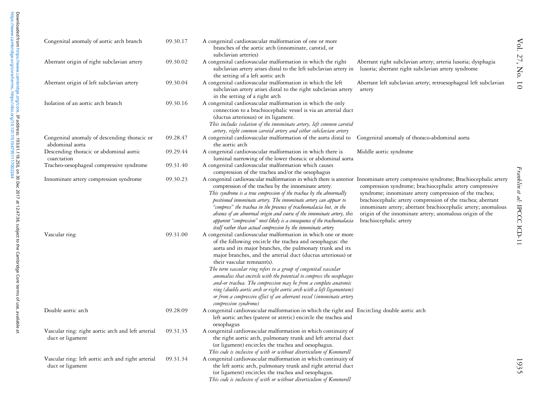| Congenital anomaly of aortic arch branch                               | 09.30.17 | A congenital cardiovascular malformation of one or more<br>branches of the aortic arch (innominate, carotid, or<br>subclavian arteries)                                                                                                                                                                                                                                                                                                                                                                                                                                                                                                                                         |                                                                                                                                                                                                                                                                                                                                           |
|------------------------------------------------------------------------|----------|---------------------------------------------------------------------------------------------------------------------------------------------------------------------------------------------------------------------------------------------------------------------------------------------------------------------------------------------------------------------------------------------------------------------------------------------------------------------------------------------------------------------------------------------------------------------------------------------------------------------------------------------------------------------------------|-------------------------------------------------------------------------------------------------------------------------------------------------------------------------------------------------------------------------------------------------------------------------------------------------------------------------------------------|
| Aberrant origin of right subclavian artery                             | 09.30.02 | A congenital cardiovascular malformation in which the right<br>subclavian artery arises distal to the left subclavian artery in<br>the setting of a left aortic arch                                                                                                                                                                                                                                                                                                                                                                                                                                                                                                            | Aberrant right subclavian artery; arteria lusoria; dysphagia<br>lusoria; aberrant right subclavian artery syndrome                                                                                                                                                                                                                        |
| Aberrant origin of left subclavian artery                              | 09.30.04 | A congenital cardiovascular malformation in which the left<br>subclavian artery arises distal to the right subclavian artery<br>in the setting of a right arch                                                                                                                                                                                                                                                                                                                                                                                                                                                                                                                  | Aberrant left subclavian artery; retroesophageal left subclavian<br>artery                                                                                                                                                                                                                                                                |
| Isolation of an aortic arch branch                                     | 09.30.16 | A congenital cardiovascular malformation in which the only<br>connection to a brachiocephalic vessel is via an arterial duct<br>(ductus arteriosus) or its ligament.<br>This includes isolation of the innominate artery, left common carotid<br>artery, right common carotid artery and either subclavian artery                                                                                                                                                                                                                                                                                                                                                               |                                                                                                                                                                                                                                                                                                                                           |
| Congenital anomaly of descending thoracic or<br>abdominal aorta        | 09.28.47 | A congenital cardiovascular malformation of the aorta distal to<br>the aortic arch                                                                                                                                                                                                                                                                                                                                                                                                                                                                                                                                                                                              | Congenital anomaly of thoraco-abdominal aorta                                                                                                                                                                                                                                                                                             |
| Descending thoracic or abdominal aortic<br>coarctation                 | 09.29.44 | A congenital cardiovascular malformation in which there is<br>luminal narrowing of the lower thoracic or abdominal aorta                                                                                                                                                                                                                                                                                                                                                                                                                                                                                                                                                        | Middle aortic syndrome                                                                                                                                                                                                                                                                                                                    |
| Tracheo-oesophageal compressive syndrome                               | 09.31.40 | A congenital cardiovascular malformation which causes<br>compression of the trachea and/or the oesophagus                                                                                                                                                                                                                                                                                                                                                                                                                                                                                                                                                                       |                                                                                                                                                                                                                                                                                                                                           |
| Innominate artery compression syndrome                                 | 09.30.23 | A congenital cardiovascular malformation in which there is anterior Innominate artery compressive syndrome; Brachiocephalic artery<br>compression of the trachea by the innominate artery.<br>This syndrome is a true compression of the trachea by the abnormally<br>positioned innominate artery. The innominate artery can appear to<br>"compress" the trachea in the presence of tracheomalacia but, in the<br>absence of an abnormal origin and course of the innominate artery, this<br>apparent "compression" most likely is a consequence of the tracheomalacia<br>itself rather than actual compression by the innominate artery                                       | compression syndrome; brachiocephalic artery compressive<br>syndrome; innominate artery compression of the trachea;<br>brachiocephalic artery compression of the trachea; aberrant<br>innominate artery; aberrant brachiocephalic artery; anomalous<br>origin of the innominate artery; anomalous origin of the<br>brachiocephalic artery |
| Vascular ring                                                          | 09.31.00 | A congenital cardiovascular malformation in which one or more<br>of the following encircle the trachea and oesophagus: the<br>aorta and its major branches, the pulmonary trunk and its<br>major branches, and the arterial duct (ductus arteriosus) or<br>their vascular remnant(s).<br>The term vascular ring refers to a group of congenital vascular<br>anomalies that encircle with the potential to compress the oesophagus<br>and-or trachea. The compression may be from a complete anatomic<br>ring (double aortic arch or right aortic arch with a left ligamentum)<br>or from a compressive effect of an aberrant vessel (innominate artery<br>compression syndrome) |                                                                                                                                                                                                                                                                                                                                           |
| Double aortic arch                                                     | 09.28.09 | A congenital cardiovascular malformation in which the right and Encircling double aortic arch<br>left aortic arches (patent or atretic) encircle the trachea and<br>oesophagus                                                                                                                                                                                                                                                                                                                                                                                                                                                                                                  |                                                                                                                                                                                                                                                                                                                                           |
| Vascular ring: right aortic arch and left arterial<br>duct or ligament | 09.31.35 | A congenital cardiovascular malformation in which continuity of<br>the right aortic arch, pulmonary trunk and left arterial duct<br>(or ligament) encircles the trachea and oesophagus.<br>This code is inclusive of with or without diverticulum of Kommerell                                                                                                                                                                                                                                                                                                                                                                                                                  |                                                                                                                                                                                                                                                                                                                                           |
| Vascular ring: left aortic arch and right arterial<br>duct or ligament | 09.31.34 | A congenital cardiovascular malformation in which continuity of<br>the left aortic arch, pulmonary trunk and right arterial duct<br>(or ligament) encircles the trachea and oesophagus.<br>This code is inclusive of with or without diverticulum of Kommerell                                                                                                                                                                                                                                                                                                                                                                                                                  |                                                                                                                                                                                                                                                                                                                                           |

Franklin et al: IPCCC ICD-11 Franklin et al: IPCCC ICD-11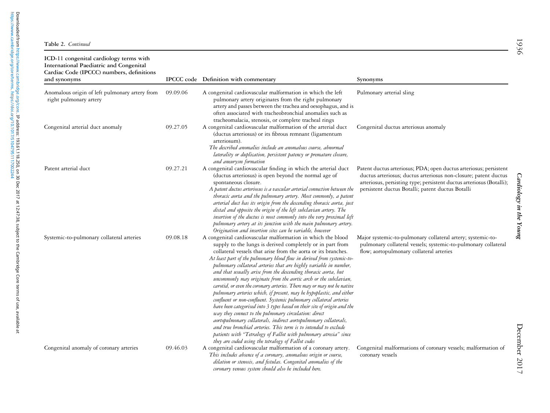| ICD-11 congenital cardiology terms with<br>International Paediatric and Congenital<br>Cardiac Code (IPCCC) numbers, definitions<br>and synonyms |          | IPCCC code Definition with commentary                                                                                                                                                                                                                                                                                                                                                                                                                                                                                                                                                                                                                                                                                                                                                                                                                                                                                                                                                                                                                                                                         | Synonyms                                                                                                                                                                                                                                                         |
|-------------------------------------------------------------------------------------------------------------------------------------------------|----------|---------------------------------------------------------------------------------------------------------------------------------------------------------------------------------------------------------------------------------------------------------------------------------------------------------------------------------------------------------------------------------------------------------------------------------------------------------------------------------------------------------------------------------------------------------------------------------------------------------------------------------------------------------------------------------------------------------------------------------------------------------------------------------------------------------------------------------------------------------------------------------------------------------------------------------------------------------------------------------------------------------------------------------------------------------------------------------------------------------------|------------------------------------------------------------------------------------------------------------------------------------------------------------------------------------------------------------------------------------------------------------------|
| Anomalous origin of left pulmonary artery from<br>right pulmonary artery                                                                        | 09.09.06 | A congenital cardiovascular malformation in which the left<br>pulmonary artery originates from the right pulmonary<br>artery and passes between the trachea and oesophagus, and is<br>often associated with tracheobronchial anomalies such as<br>tracheomalacia, stenosis, or complete tracheal rings                                                                                                                                                                                                                                                                                                                                                                                                                                                                                                                                                                                                                                                                                                                                                                                                        | Pulmonary arterial sling                                                                                                                                                                                                                                         |
| Congenital arterial duct anomaly                                                                                                                | 09.27.05 | A congenital cardiovascular malformation of the arterial duct<br>(ductus arteriosus) or its fibrous remnant (ligamentum<br>arteriosum).<br>The described anomalies include an anomalous course, abnormal<br>laterality or duplication, persistent patency or premature closure,<br>and aneurysm formation                                                                                                                                                                                                                                                                                                                                                                                                                                                                                                                                                                                                                                                                                                                                                                                                     | Congenital ductus arteriosus anomaly                                                                                                                                                                                                                             |
| Patent arterial duct                                                                                                                            | 09.27.21 | A congenital cardiovascular finding in which the arterial duct<br>(ductus arteriosus) is open beyond the normal age of<br>spontaneous closure.<br>A patent ductus arteriosus is a vascular arterial connection between the<br>thoracic aorta and the pulmonary artery. Most commonly, a patent<br>arterial duct has its origin from the descending thoracic aorta, just<br>distal and opposite the origin of the left subclavian artery. The<br>insertion of the ductus is most commonly into the very proximal left<br>pulmonary artery at its junction with the main pulmonary artery.<br>Origination and insertion sites can be variable, however                                                                                                                                                                                                                                                                                                                                                                                                                                                          | Patent ductus arteriosus; PDA; open ductus arteriosus; persistent<br>ductus arteriosus; ductus arteriosus non-closure; patent ductus<br>arteriosus, persisting type; persistent ductus arteriosus (Botalli);<br>persistent ductus Botalli; patent ductus Botalli |
| Systemic-to-pulmonary collateral arteries                                                                                                       | 09.08.18 | A congenital cardiovascular malformation in which the blood<br>supply to the lungs is derived completely or in part from<br>collateral vessels that arise from the aorta or its branches.<br>At least part of the pulmonary blood flow in derived from systemic-to-<br>pulmonary collateral arteries that are highly variable in number,<br>and that usually arise from the descending thoracic aorta, but<br>uncommonly may originate from the aortic arch or the subclavian,<br>carotid, or even the coronary arteries. There may or may not be native<br>pulmonary arteries which, if present, may be hypoplastic, and either<br>confluent or non-confluent. Systemic pulmonary collateral arteries<br>have been categorised into 3 types based on their site of origin and the<br>way they connect to the pulmonary circulation: direct<br>aortopulmonary collaterals, indirect aortopulmonary collaterals,<br>and true bronchial arteries. This term is to intended to exclude<br>patients with "Tetralogy of Fallot with pulmonary atresia" since<br>they are coded using the tetralogy of Fallot codes | Major systemic-to-pulmonary collateral artery; systemic-to-<br>pulmonary collateral vessels; systemic-to-pulmonary collateral<br>flow; aortopulmonary collateral arteries                                                                                        |
| Congenital anomaly of coronary arteries                                                                                                         | 09.46.03 | A congenital cardiovascular malformation of a coronary artery.<br>This includes absence of a coronary, anomalous origin or course,<br>dilation or stenosis, and fistulas. Congenital anomalies of the<br>coronary venous system should also be included here.                                                                                                                                                                                                                                                                                                                                                                                                                                                                                                                                                                                                                                                                                                                                                                                                                                                 | Congenital malformations of coronary vessels; malformation of<br>coronary vessels                                                                                                                                                                                |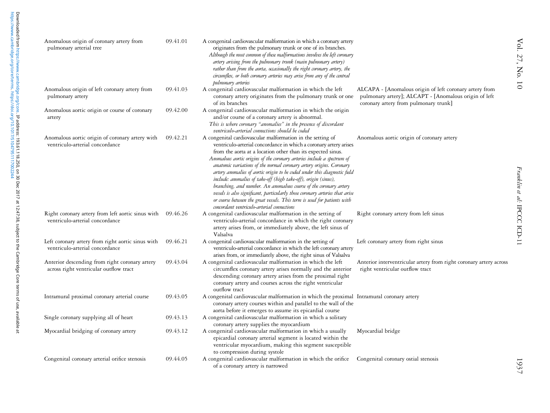| Anomalous origin of coronary artery from<br>pulmonary arterial tree                           | 09.41.01 | A congenital cardiovascular malformation in which a coronary artery<br>originates from the pulmonary trunk or one of its branches.<br>Although the most common of these malformations involves the left coronary<br>artery arising from the pulmonary trunk (main pulmonary artery)<br>rather than from the aorta, occasionally the right coronary artery, the<br>circumflex, or both coronary arteries may arise from any of the central<br>pulmonary arteries                                                                                                                                                                                                                                                                                                                 |                                                                                                                                                           |
|-----------------------------------------------------------------------------------------------|----------|---------------------------------------------------------------------------------------------------------------------------------------------------------------------------------------------------------------------------------------------------------------------------------------------------------------------------------------------------------------------------------------------------------------------------------------------------------------------------------------------------------------------------------------------------------------------------------------------------------------------------------------------------------------------------------------------------------------------------------------------------------------------------------|-----------------------------------------------------------------------------------------------------------------------------------------------------------|
| Anomalous origin of left coronary artery from<br>pulmonary artery                             | 09.41.03 | A congenital cardiovascular malformation in which the left<br>coronary artery originates from the pulmonary trunk or one<br>of its branches                                                                                                                                                                                                                                                                                                                                                                                                                                                                                                                                                                                                                                     | ALCAPA - [Anomalous origin of left coronary artery from<br>pulmonary artery]; ALCAPT - [Anomalous origin of left<br>coronary artery from pulmonary trunk] |
| Anomalous aortic origin or course of coronary<br>artery                                       | 09.42.00 | A congenital cardiovascular malformation in which the origin<br>and/or course of a coronary artery is abnormal.<br>This is where coronary "anomalies" in the presence of discordant<br>ventriculo-arterial connections should be coded                                                                                                                                                                                                                                                                                                                                                                                                                                                                                                                                          |                                                                                                                                                           |
| Anomalous aortic origin of coronary artery with<br>ventriculo-arterial concordance            | 09.42.21 | A congenital cardiovascular malformation in the setting of<br>ventriculo-arterial concordance in which a coronary artery arises<br>from the aorta at a location other than its expected sinus.<br>Anomalous aortic origins of the coronary arteries include a spectrum of<br>anatomic variations of the normal coronary artery origins. Coronary<br>artery anomalies of aortic origin to be coded under this diagnostic field<br>include: anomalies of take-off (high take-off), origin (sinus),<br>branching, and number. An anomalous course of the coronary artery<br>vessels is also significant, particularly those coronary arteries that arise<br>or course between the great vessels. This term is used for patients with<br>concordant ventriculo-arterial connections | Anomalous aortic origin of coronary artery                                                                                                                |
| Right coronary artery from left aortic sinus with 09.46.26<br>ventriculo-arterial concordance |          | A congenital cardiovascular malformation in the setting of<br>ventriculo-arterial concordance in which the right coronary<br>artery arises from, or immediately above, the left sinus of<br>Valsalva                                                                                                                                                                                                                                                                                                                                                                                                                                                                                                                                                                            | Right coronary artery from left sinus                                                                                                                     |
| Left coronary artery from right aortic sinus with<br>ventriculo-arterial concordance          | 09.46.21 | A congenital cardiovascular malformation in the setting of<br>ventriculo-arterial concordance in which the left coronary artery<br>arises from, or immediately above, the right sinus of Valsalva                                                                                                                                                                                                                                                                                                                                                                                                                                                                                                                                                                               | Left coronary artery from right sinus                                                                                                                     |
| Anterior descending from right coronary artery<br>across right ventricular outflow tract      | 09.43.04 | A congenital cardiovascular malformation in which the left<br>circumflex coronary artery arises normally and the anterior<br>descending coronary artery arises from the proximal right<br>coronary artery and courses across the right ventricular<br>outflow tract                                                                                                                                                                                                                                                                                                                                                                                                                                                                                                             | Anterior interventricular artery from right coronary artery across<br>right ventricular outflow tract                                                     |
| Intramural proximal coronary arterial course                                                  | 09.43.05 | A congenital cardiovascular malformation in which the proximal Intramural coronary artery<br>coronary artery courses within and parallel to the wall of the<br>aorta before it emerges to assume its epicardial course                                                                                                                                                                                                                                                                                                                                                                                                                                                                                                                                                          |                                                                                                                                                           |
| Single coronary supplying all of heart                                                        | 09.43.13 | A congenital cardiovascular malformation in which a solitary<br>coronary artery supplies the myocardium                                                                                                                                                                                                                                                                                                                                                                                                                                                                                                                                                                                                                                                                         |                                                                                                                                                           |
| Myocardial bridging of coronary artery                                                        | 09.43.12 | A congenital cardiovascular malformation in which a usually<br>epicardial coronary arterial segment is located within the<br>ventricular myocardium, making this segment susceptible<br>to compression during systole                                                                                                                                                                                                                                                                                                                                                                                                                                                                                                                                                           | Myocardial bridge                                                                                                                                         |
| Congenital coronary arterial orifice stenosis                                                 | 09.44.05 | A congenital cardiovascular malformation in which the orifice<br>of a coronary artery is narrowed                                                                                                                                                                                                                                                                                                                                                                                                                                                                                                                                                                                                                                                                               | Congenital coronary ostial stenosis                                                                                                                       |

1937